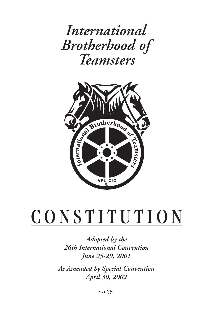# *International Brotherhood of Teamsters*



# CONSTITUTION

# *Adopted by the 26th International Convention June 25-29, 2001*

*As Amended by Special Convention April 30, 2002*

وتواريخ وبالمستح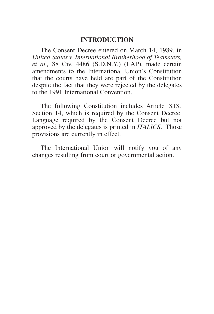# **INTRODUCTION**

The Consent Decree entered on March 14, 1989, in *United States v. International Brotherhood of Teamsters, et al.,* 88 Civ. 4486 (S.D.N.Y.) (LAP), made certain amendments to the International Union's Constitution that the courts have held are part of the Constitution despite the fact that they were rejected by the delegates to the 1991 International Convention.

The following Constitution includes Article XIX, Section 14, which is required by the Consent Decree. Language required by the Consent Decree but not approved by the delegates is printed in *ITALICS*. Those provisions are currently in effect.

The International Union will notify you of any changes resulting from court or governmental action.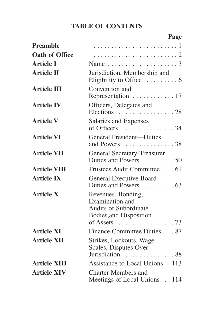# **TABLE OF CONTENTS**

|                       | Page                                                                                                                                                   |
|-----------------------|--------------------------------------------------------------------------------------------------------------------------------------------------------|
| <b>Preamble</b>       |                                                                                                                                                        |
| <b>Oath of Office</b> |                                                                                                                                                        |
| <b>Article I</b>      | Name $\ldots \ldots \ldots \ldots \ldots \ldots$                                                                                                       |
| <b>Article II</b>     | Jurisdiction, Membership and<br>Eligibility to Office $\dots \dots \dots 6$                                                                            |
| <b>Article III</b>    | Convention and<br>Representation  17                                                                                                                   |
| <b>Article IV</b>     | Officers, Delegates and<br>Elections 28                                                                                                                |
| <b>Article V</b>      | Salaries and Expenses<br>of Officers  34                                                                                                               |
| <b>Article VI</b>     | General President—Duties<br>and Powers $\ldots \ldots \ldots \ldots 38$                                                                                |
| <b>Article VII</b>    | General Secretary-Treasurer-<br>Duties and Powers 50                                                                                                   |
| <b>Article VIII</b>   | Trustees Audit Committee  61                                                                                                                           |
| <b>Article IX</b>     | General Executive Board-<br>Duties and Powers  63                                                                                                      |
| <b>Article X</b>      | Revenues, Bonding,<br>Examination and<br><b>Audits of Subordinate</b><br>Bodies, and Disposition<br>of Assets $\dots \dots \dots \dots \dots \dots$ 73 |
| <b>Article XI</b>     | Finance Committee Duties 87                                                                                                                            |
| <b>Article XII</b>    | Strikes, Lockouts, Wage<br>Scales, Disputes Over<br>Jurisdiction  88                                                                                   |
| <b>Article XIII</b>   | Assistance to Local Unions . 113                                                                                                                       |
| <b>Article XIV</b>    | <b>Charter Members and</b><br>Meetings of Local Unions 114                                                                                             |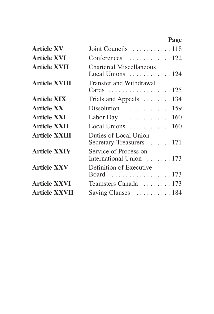|                      | Page                                                                         |
|----------------------|------------------------------------------------------------------------------|
| <b>Article XV</b>    | Joint Councils  118                                                          |
| <b>Article XVI</b>   | Conferences  122                                                             |
| <b>Article XVII</b>  | <b>Chartered Miscellaneous</b><br>Local Unions $\dots \dots \dots \dots 124$ |
| <b>Article XVIII</b> | Transfer and Withdrawal<br>Cards 125                                         |
| <b>Article XIX</b>   | Trials and Appeals 134                                                       |
| <b>Article XX</b>    | Dissolution $\dots\dots\dots\dots\dots$ 159                                  |
| <b>Article XXI</b>   | Labor Day $\dots \dots \dots \dots \dots 160$                                |
| <b>Article XXII</b>  | Local Unions $\dots \dots \dots \dots 160$                                   |
| <b>Article XXIII</b> | Duties of Local Union<br>Secretary-Treasurers  171                           |
| <b>Article XXIV</b>  | Service of Process on<br>International Union  173                            |
| <b>Article XXV</b>   | Definition of Executive<br>Board 173                                         |
| <b>Article XXVI</b>  | Teamsters Canada  173                                                        |
| <b>Article XXVII</b> | Saving Clauses  184                                                          |
|                      |                                                                              |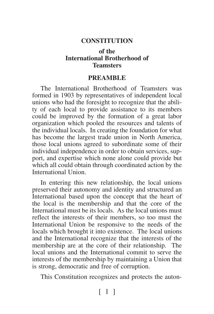# **CONSTITUTION**

#### **of the International Brotherhood of Teamsters**

#### **PREAMBLE**

The International Brotherhood of Teamsters was formed in 1903 by representatives of independent local unions who had the foresight to recognize that the ability of each local to provide assistance to its members could be improved by the formation of a great labor organization which pooled the resources and talents of the individual locals. In creating the foundation for what has become the largest trade union in North America, those local unions agreed to subordinate some of their individual independence in order to obtain services, support, and expertise which none alone could provide but which all could obtain through coordinated action by the International Union.

In entering this new relationship, the local unions preserved their autonomy and identity and structured an International based upon the concept that the heart of the local is the membership and that the core of the International must be its locals. As the local unions must reflect the interests of their members, so too must the International Union be responsive to the needs of the locals which brought it into existence. The local unions and the International recognize that the interests of the membership are at the core of their relationship. The local unions and the International commit to serve the interests of the membership by maintaining a Union that is strong, democratic and free of corruption.

This Constitution recognizes and protects the auton-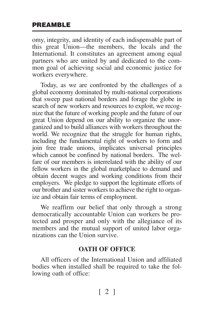omy, integrity, and identity of each indispensable part of this great Union—the members, the locals and the International. It constitutes an agreement among equal partners who are united by and dedicated to the common goal of achieving social and economic justice for workers everywhere.

Today, as we are confronted by the challenges of a global economy dominated by multi-national corporations that sweep past national borders and forage the globe in search of new workers and resources to exploit, we recognize that the future of working people and the future of our great Union depend on our ability to organize the unorganized and to build alliances with workers throughout the world. We recognize that the struggle for human rights, including the fundamental right of workers to form and join free trade unions, implicates universal principles which cannot be confined by national borders. The welfare of our members is interrelated with the ability of our fellow workers in the global marketplace to demand and obtain decent wages and working conditions from their employers. We pledge to support the legitimate efforts of our brother and sister workers to achieve the right to organize and obtain fair terms of employment.

We reaffirm our belief that only through a strong democratically accountable Union can workers be protected and prosper and only with the allegiance of its members and the mutual support of united labor organizations can the Union survive.

# **OATH OF OFFICE**

All officers of the International Union and affiliated bodies when installed shall be required to take the following oath of office: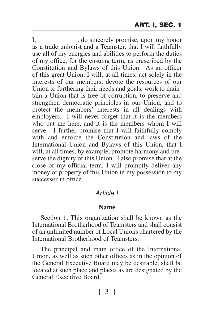I, do sincerely promise, upon my honor as a trade unionist and a Teamster, that I will faithfully use all of my energies and abilities to perform the duties of my office, for the ensuing term, as prescribed by the Constitution and Bylaws of this Union. As an officer of this great Union, I will, at all times, act solely in the interests of our members, devote the resources of our Union to furthering their needs and goals, work to maintain a Union that is free of corruption, to preserve and strengthen democratic principles in our Union, and to protect the members' interests in all dealings with employers. I will never forget that it is the members who put me here, and it is the members whom I will serve. I further promise that I will faithfully comply with and enforce the Constitution and laws of the International Union and Bylaws of this Union, that I will, at all times, by example, promote harmony and preserve the dignity of this Union. I also promise that at the close of my official term, I will promptly deliver any money or property of this Union in my possession to my successor in office.

# *Article I*

#### **Name**

Section 1. This organization shall be known as the International Brotherhood of Teamsters and shall consist of an unlimited number of Local Unions chartered by the International Brotherhood of Teamsters.

The principal and main office of the International Union, as well as such other offices as in the opinion of the General Executive Board may be desirable, shall be located at such place and places as are designated by the General Executive Board.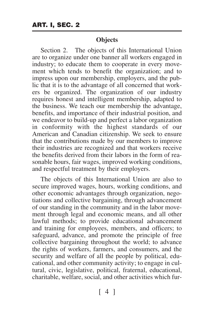# **Objects**

Section 2. The objects of this International Union are to organize under one banner all workers engaged in industry; to educate them to cooperate in every movement which tends to benefit the organization; and to impress upon our membership, employers, and the public that it is to the advantage of all concerned that workers be organized. The organization of our industry requires honest and intelligent membership, adapted to the business. We teach our membership the advantage, benefits, and importance of their industrial position, and we endeavor to build-up and perfect a labor organization in conformity with the highest standards of our American and Canadian citizenship. We seek to ensure that the contributions made by our members to improve their industries are recognized and that workers receive the benefits derived from their labors in the form of reasonable hours, fair wages, improved working conditions, and respectful treatment by their employers.

The objects of this International Union are also to secure improved wages, hours, working conditions, and other economic advantages through organization, negotiations and collective bargaining, through advancement of our standing in the community and in the labor movement through legal and economic means, and all other lawful methods; to provide educational advancement and training for employees, members, and officers; to safeguard, advance, and promote the principle of free collective bargaining throughout the world; to advance the rights of workers, farmers, and consumers, and the security and welfare of all the people by political, educational, and other community activity; to engage in cultural, civic, legislative, political, fraternal, educational, charitable, welfare, social, and other activities which fur-

[ 4 ]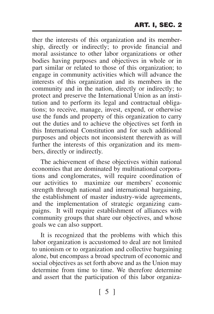ther the interests of this organization and its membership, directly or indirectly; to provide financial and moral assistance to other labor organizations or other bodies having purposes and objectives in whole or in part similar or related to those of this organization; to engage in community activities which will advance the interests of this organization and its members in the community and in the nation, directly or indirectly; to protect and preserve the International Union as an institution and to perform its legal and contractual obligations; to receive, manage, invest, expend, or otherwise use the funds and property of this organization to carry out the duties and to achieve the objectives set forth in this International Constitution and for such additional purposes and objects not inconsistent therewith as will further the interests of this organization and its members, directly or indirectly.

The achievement of these objectives within national economies that are dominated by multinational corporations and conglomerates, will require coordination of our activities to maximize our members' economic strength through national and international bargaining, the establishment of master industry-wide agreements, and the implementation of strategic organizing campaigns. It will require establishment of alliances with community groups that share our objectives, and whose goals we can also support.

It is recognized that the problems with which this labor organization is accustomed to deal are not limited to unionism or to organization and collective bargaining alone, but encompass a broad spectrum of economic and social objectives as set forth above and as the Union may determine from time to time. We therefore determine and assert that the participation of this labor organiza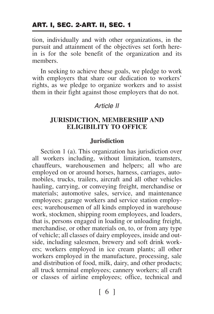tion, individually and with other organizations, in the pursuit and attainment of the objectives set forth herein is for the sole benefit of the organization and its members.

In seeking to achieve these goals, we pledge to work with employers that share our dedication to workers' rights, as we pledge to organize workers and to assist them in their fight against those employers that do not.

#### *Article II*

# **JURISDICTION, MEMBERSHIP AND ELIGIBILITY TO OFFICE**

#### **Jurisdiction**

Section 1 (a). This organization has jurisdiction over all workers including, without limitation, teamsters, chauffeurs, warehousemen and helpers; all who are employed on or around horses, harness, carriages, automobiles, trucks, trailers, aircraft and all other vehicles hauling, carrying, or conveying freight, merchandise or materials; automotive sales, service, and maintenance employees; garage workers and service station employees; warehousemen of all kinds employed in warehouse work, stockmen, shipping room employees, and loaders, that is, persons engaged in loading or unloading freight, merchandise, or other materials on, to, or from any type of vehicle; all classes of dairy employees, inside and outside, including salesmen, brewery and soft drink workers; workers employed in ice cream plants; all other workers employed in the manufacture, processing, sale and distribution of food, milk, dairy, and other products; all truck terminal employees; cannery workers; all craft or classes of airline employees; office, technical and

[ 6 ]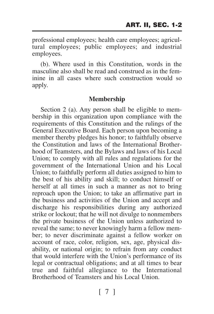professional employees; health care employees; agricultural employees; public employees; and industrial employees.

(b). Where used in this Constitution, words in the masculine also shall be read and construed as in the feminine in all cases where such construction would so apply.

# **Membership**

Section 2 (a). Any person shall be eligible to membership in this organization upon compliance with the requirements of this Constitution and the rulings of the General Executive Board. Each person upon becoming a member thereby pledges his honor; to faithfully observe the Constitution and laws of the International Brotherhood of Teamsters, and the Bylaws and laws of his Local Union; to comply with all rules and regulations for the government of the International Union and his Local Union; to faithfully perform all duties assigned to him to the best of his ability and skill; to conduct himself or herself at all times in such a manner as not to bring reproach upon the Union; to take an affirmative part in the business and activities of the Union and accept and discharge his responsibilities during any authorized strike or lockout; that he will not divulge to nonmembers the private business of the Union unless authorized to reveal the same; to never knowingly harm a fellow member; to never discriminate against a fellow worker on account of race, color, religion, sex, age, physical disability, or national origin; to refrain from any conduct that would interfere with the Union's performance of its legal or contractual obligations; and at all times to bear true and faithful allegiance to the International Brotherhood of Teamsters and his Local Union.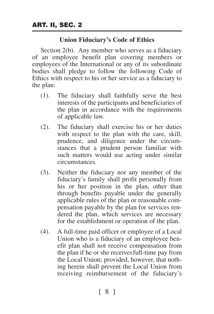#### **Union Fiduciary's Code of Ethics**

Section 2(b). Any member who serves as a fiduciary of an employee benefit plan covering members or employees of the International or any of its subordinate bodies shall pledge to follow the following Code of Ethics with respect to his or her service as a fiduciary to the plan:

- (1). The fiduciary shall faithfully serve the best interests of the participants and beneficiaries of the plan in accordance with the requirements of applicable law.
- (2). The fiduciary shall exercise his or her duties with respect to the plan with the care, skill, prudence, and diligence under the circumstances that a prudent person familiar with such matters would use acting under similar circumstances.
- (3). Neither the fiduciary nor any member of the fiduciary's family shall profit personally from his or her position in the plan, other than through benefits payable under the generally applicable rules of the plan or reasonable compensation payable by the plan for services rendered the plan, which services are necessary for the establishment or operation of the plan.
- (4). A full-time paid officer or employee of a Local Union who is a fiduciary of an employee benefit plan shall not receive compensation from the plan if he or she receivesfull-time pay from the Local Union; provided, however, that nothing herein shall prevent the Local Union from receiving reimbursement of the fiduciary's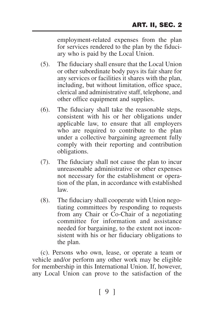employment-related expenses from the plan for services rendered to the plan by the fiduciary who is paid by the Local Union.

- (5). The fiduciary shall ensure that the Local Union or other subordinate body pays its fair share for any services or facilities it shares with the plan, including, but without limitation, office space, clerical and administrative staff, telephone, and other office equipment and supplies.
- (6). The fiduciary shall take the reasonable steps, consistent with his or her obligations under applicable law, to ensure that all employers who are required to contribute to the plan under a collective bargaining agreement fully comply with their reporting and contribution obligations.
- (7). The fiduciary shall not cause the plan to incur unreasonable administrative or other expenses not necessary for the establishment or operation of the plan, in accordance with established law.
- (8). The fiduciary shall cooperate with Union negotiating committees by responding to requests from any Chair or Co-Chair of a negotiating committee for information and assistance needed for bargaining, to the extent not inconsistent with his or her fiduciary obligations to the plan.

(c). Persons who own, lease, or operate a team or vehicle and/or perform any other work may be eligible for membership in this International Union. If, however, any Local Union can prove to the satisfaction of the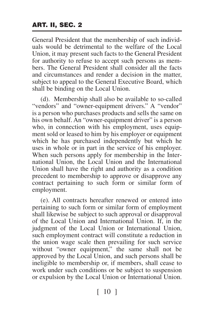General President that the membership of such individuals would be detrimental to the welfare of the Local Union, it may present such facts to the General President for authority to refuse to accept such persons as members. The General President shall consider all the facts and circumstances and render a decision in the matter, subject to appeal to the General Executive Board, which shall be binding on the Local Union.

(d). Membership shall also be available to so-called "vendors" and "owner-equipment drivers." A "vendor" is a person who purchases products and sells the same on his own behalf. An "owner-equipment driver" is a person who, in connection with his employment, uses equipment sold or leased to him by his employer or equipment which he has purchased independently but which he uses in whole or in part in the service of his employer. When such persons apply for membership in the International Union, the Local Union and the International Union shall have the right and authority as a condition precedent to membership to approve or disapprove any contract pertaining to such form or similar form of employment.

(e). All contracts hereafter renewed or entered into pertaining to such form or similar form of employment shall likewise be subject to such approval or disapproval of the Local Union and International Union. If, in the judgment of the Local Union or International Union, such employment contract will constitute a reduction in the union wage scale then prevailing for such service without "owner equipment," the same shall not be approved by the Local Union, and such persons shall be ineligible to membership or, if members, shall cease to work under such conditions or be subject to suspension or expulsion by the Local Union or International Union.

[ 10 ]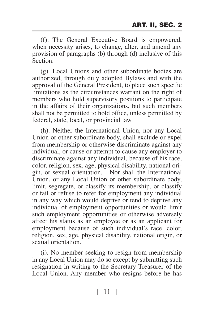(f). The General Executive Board is empowered, when necessity arises, to change, alter, and amend any provision of paragraphs (b) through (d) inclusive of this Section.

(g). Local Unions and other subordinate bodies are authorized, through duly adopted Bylaws and with the approval of the General President, to place such specific limitations as the circumstances warrant on the right of members who hold supervisory positions to participate in the affairs of their organizations, but such members shall not be permitted to hold office, unless permitted by federal, state, local, or provincial law.

(h). Neither the International Union, nor any Local Union or other subordinate body, shall exclude or expel from membership or otherwise discriminate against any individual, or cause or attempt to cause any employer to discriminate against any individual, because of his race, color, religion, sex, age, physical disability, national origin, or sexual orientation. Nor shall the International Union, or any Local Union or other subordinate body, limit, segregate, or classify its membership, or classify or fail or refuse to refer for employment any individual in any way which would deprive or tend to deprive any individual of employment opportunities or would limit such employment opportunities or otherwise adversely affect his status as an employee or as an applicant for employment because of such individual's race, color, religion, sex, age, physical disability, national origin, or sexual orientation.

(i). No member seeking to resign from membership in any Local Union may do so except by submitting such resignation in writing to the Secretary-Treasurer of the Local Union. Any member who resigns before he has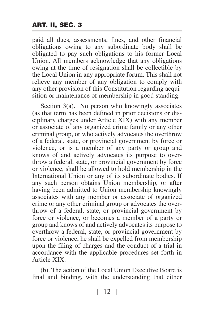paid all dues, assessments, fines, and other financial obligations owing to any subordinate body shall be obligated to pay such obligations to his former Local Union. All members acknowledge that any obligations owing at the time of resignation shall be collectible by the Local Union in any appropriate forum. This shall not relieve any member of any obligation to comply with any other provision of this Constitution regarding acquisition or maintenance of membership in good standing.

Section 3(a). No person who knowingly associates (as that term has been defined in prior decisions or disciplinary charges under Article  $\overline{XIX}$ ) with any member or associate of any organized crime family or any other criminal group, or who actively advocates the overthrow of a federal, state, or provincial government by force or violence, or is a member of any party or group and knows of and actively advocates its purpose to overthrow a federal, state, or provincial government by force or violence, shall be allowed to hold membership in the International Union or any of its subordinate bodies. If any such person obtains Union membership, or after having been admitted to Union membership knowingly associates with any member or associate of organized crime or any other criminal group or advocates the overthrow of a federal, state, or provincial government by force or violence, or becomes a member of a party or group and knows of and actively advocates its purpose to overthrow a federal, state, or provincial government by force or violence, he shall be expelled from membership upon the filing of charges and the conduct of a trial in accordance with the applicable procedures set forth in Article XIX.

(b). The action of the Local Union Executive Board is final and binding, with the understanding that either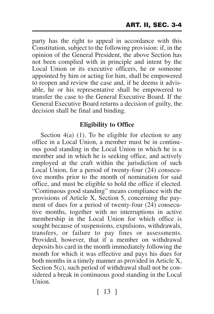party has the right to appeal in accordance with this Constitution, subject to the following provision: if, in the opinion of the General President, the above Section has not been complied with in principle and intent by the Local Union or its executive officers, he or someone appointed by him or acting for him, shall be empowered to reopen and review the case and, if he deems it advisable, he or his representative shall be empowered to transfer the case to the General Executive Board. If the General Executive Board returns a decision of guilty, the decision shall be final and binding.

# **Eligibility to Office**

Section  $4(a)$  (1). To be eligible for election to any office in a Local Union, a member must be in continuous good standing in the Local Union in which he is a member and in which he is seeking office, and actively employed at the craft within the jurisdiction of such Local Union, for a period of twenty-four (24) consecutive months prior to the month of nomination for said office, and must be eligible to hold the office if elected. "Continuous good standing" means compliance with the provisions of Article X, Section 5, concerning the payment of dues for a period of twenty-four (24) consecutive months, together with no interruptions in active membership in the Local Union for which office is sought because of suspensions, expulsions, withdrawals, transfers, or failure to pay fines or assessments. Provided, however, that if a member on withdrawal deposits his card in the month immediately following the month for which it was effective and pays his dues for both months in a timely manner as provided in Article X, Section 5(c), such period of withdrawal shall not be considered a break in continuous good standing in the Local Union.

# [ 13 ]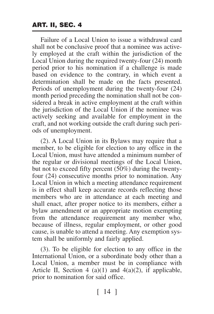Failure of a Local Union to issue a withdrawal card shall not be conclusive proof that a nominee was actively employed at the craft within the jurisdiction of the Local Union during the required twenty-four (24) month period prior to his nomination if a challenge is made based on evidence to the contrary, in which event a determination shall be made on the facts presented. Periods of unemployment during the twenty-four (24) month period preceding the nomination shall not be considered a break in active employment at the craft within the jurisdiction of the Local Union if the nominee was actively seeking and available for employment in the craft, and not working outside the craft during such periods of unemployment.

(2). A Local Union in its Bylaws may require that a member, to be eligible for election to any office in the Local Union, must have attended a minimum number of the regular or divisional meetings of the Local Union, but not to exceed fifty percent (50%) during the twentyfour (24) consecutive months prior to nomination. Any Local Union in which a meeting attendance requirement is in effect shall keep accurate records reflecting those members who are in attendance at each meeting and shall enact, after proper notice to its members, either a bylaw amendment or an appropriate motion exempting from the attendance requirement any member who, because of illness, regular employment, or other good cause, is unable to attend a meeting. Any exemption system shall be uniformly and fairly applied.

(3). To be eligible for election to any office in the International Union, or a subordinate body other than a Local Union, a member must be in compliance with Article II, Section 4 (a)(1) and  $4(a)(2)$ , if applicable, prior to nomination for said office.

# [ 14 ]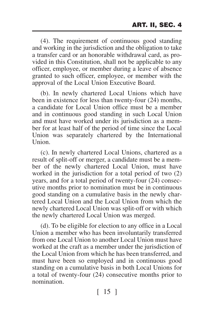(4). The requirement of continuous good standing and working in the jurisdiction and the obligation to take a transfer card or an honorable withdrawal card, as provided in this Constitution, shall not be applicable to any officer, employee, or member during a leave of absence granted to such officer, employee, or member with the approval of the Local Union Executive Board.

(b). In newly chartered Local Unions which have been in existence for less than twenty-four (24) months, a candidate for Local Union office must be a member and in continuous good standing in such Local Union and must have worked under its jurisdiction as a member for at least half of the period of time since the Local Union was separately chartered by the International Union.

(c). In newly chartered Local Unions, chartered as a result of split-off or merger, a candidate must be a member of the newly chartered Local Union, must have worked in the jurisdiction for a total period of two (2) years, and for a total period of twenty-four (24) consecutive months prior to nomination must be in continuous good standing on a cumulative basis in the newly chartered Local Union and the Local Union from which the newly chartered Local Union was split-off or with which the newly chartered Local Union was merged.

(d). To be eligible for election to any office in a Local Union a member who has been involuntarily transferred from one Local Union to another Local Union must have worked at the craft as a member under the jurisdiction of the Local Union from which he has been transferred, and must have been so employed and in continuous good standing on a cumulative basis in both Local Unions for a total of twenty-four (24) consecutive months prior to nomination.

[ 15 ]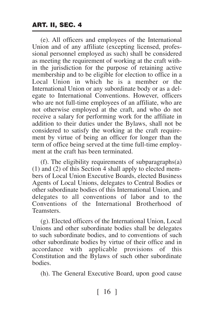(e). All officers and employees of the International Union and of any affiliate (excepting licensed, professional personnel employed as such) shall be considered as meeting the requirement of working at the craft within the jurisdiction for the purpose of retaining active membership and to be eligible for election to office in a Local Union in which he is a member or the International Union or any subordinate body or as a delegate to International Conventions. However, officers who are not full-time employees of an affiliate, who are not otherwise employed at the craft, and who do not receive a salary for performing work for the affiliate in addition to their duties under the Bylaws, shall not be considered to satisfy the working at the craft requirement by virtue of being an officer for longer than the term of office being served at the time full-time employment at the craft has been terminated.

(f). The eligibility requirements of subparagraphs(a) (1) and (2) of this Section 4 shall apply to elected members of Local Union Executive Boards, elected Business Agents of Local Unions, delegates to Central Bodies or other subordinate bodies of this International Union, and delegates to all conventions of labor and to the Conventions of the International Brotherhood of Teamsters.

(g). Elected officers of the International Union, Local Unions and other subordinate bodies shall be delegates to such subordinate bodies, and to conventions of such other subordinate bodies by virtue of their office and in accordance with applicable provisions of this Constitution and the Bylaws of such other subordinate bodies.

(h). The General Executive Board, upon good cause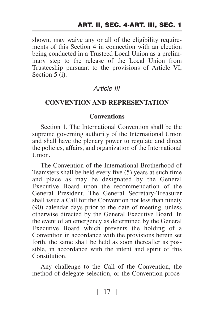shown, may waive any or all of the eligibility requirements of this Section 4 in connection with an election being conducted in a Trusteed Local Union as a preliminary step to the release of the Local Union from Trusteeship pursuant to the provisions of Article VI, Section 5 (i).

#### *Article III*

#### **CONVENTION AND REPRESENTATION**

#### **Conventions**

Section 1. The International Convention shall be the supreme governing authority of the International Union and shall have the plenary power to regulate and direct the policies, affairs, and organization of the International Union.

The Convention of the International Brotherhood of Teamsters shall be held every five (5) years at such time and place as may be designated by the General Executive Board upon the recommendation of the General President. The General Secretary-Treasurer shall issue a Call for the Convention not less than ninety (90) calendar days prior to the date of meeting, unless otherwise directed by the General Executive Board. In the event of an emergency as determined by the General Executive Board which prevents the holding of a Convention in accordance with the provisions herein set forth, the same shall be held as soon thereafter as possible, in accordance with the intent and spirit of this Constitution.

Any challenge to the Call of the Convention, the method of delegate selection, or the Convention proce-

# [ 17 ]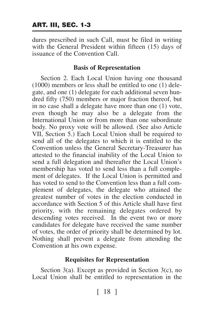dures prescribed in such Call, must be filed in writing with the General President within fifteen (15) days of issuance of the Convention Call.

# **Basis of Representation**

Section 2. Each Local Union having one thousand (1000) members or less shall be entitled to one (1) delegate, and one (1) delegate for each additional seven hundred fifty (750) members or major fraction thereof, but in no case shall a delegate have more than one (1) vote, even though he may also be a delegate from the International Union or from more than one subordinate body. No proxy vote will be allowed. (See also Article VII, Section 5.) Each Local Union shall be required to send all of the delegates to which it is entitled to the Convention unless the General Secretary-Treasurer has attested to the financial inability of the Local Union to send a full delegation and thereafter the Local Union's membership has voted to send less than a full complement of delegates. If the Local Union is permitted and has voted to send to the Convention less than a full complement of delegates, the delegate who attained the greatest number of votes in the election conducted in accordance with Section 5 of this Article shall have first priority, with the remaining delegates ordered by descending votes received. In the event two or more candidates for delegate have received the same number of votes, the order of priority shall be determined by lot. Nothing shall prevent a delegate from attending the Convention at his own expense.

# **Requisites for Representation**

Section 3(a). Except as provided in Section 3(c), no Local Union shall be entitled to representation in the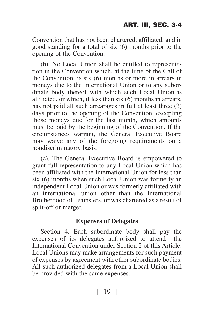Convention that has not been chartered, affiliated, and in good standing for a total of six (6) months prior to the opening of the Convention.

(b). No Local Union shall be entitled to representation in the Convention which, at the time of the Call of the Convention, is six (6) months or more in arrears in moneys due to the International Union or to any subordinate body thereof with which such Local Union is affiliated, or which, if less than six (6) months in arrears, has not paid all such arrearages in full at least three (3) days prior to the opening of the Convention, excepting those moneys due for the last month, which amounts must be paid by the beginning of the Convention. If the circumstances warrant, the General Executive Board may waive any of the foregoing requirements on a nondiscriminatory basis.

(c). The General Executive Board is empowered to grant full representation to any Local Union which has been affiliated with the International Union for less than six (6) months when such Local Union was formerly an independent Local Union or was formerly affiliated with an international union other than the International Brotherhood of Teamsters, or was chartered as a result of split-off or merger.

#### **Expenses of Delegates**

Section 4. Each subordinate body shall pay the expenses of its delegates authorized to attend the International Convention under Section 2 of this Article. Local Unions may make arrangements for such payment of expenses by agreement with other subordinate bodies. All such authorized delegates from a Local Union shall be provided with the same expenses.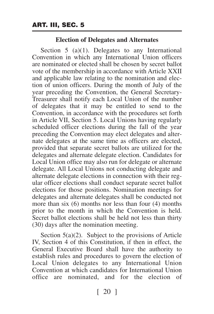# **Election of Delegates and Alternates**

Section  $5$  (a)(1). Delegates to any International Convention in which any International Union officers are nominated or elected shall be chosen by secret ballot vote of the membership in accordance with Article XXII and applicable law relating to the nomination and election of union officers. During the month of July of the year preceding the Convention, the General Secretary-Treasurer shall notify each Local Union of the number of delegates that it may be entitled to send to the Convention, in accordance with the procedures set forth in Article VII, Section 5. Local Unions having regularly scheduled officer elections during the fall of the year preceding the Convention may elect delegates and alternate delegates at the same time as officers are elected, provided that separate secret ballots are utilized for the delegates and alternate delegate election. Candidates for Local Union office may also run for delegate or alternate delegate. All Local Unions not conducting delegate and alternate delegate elections in connection with their regular officer elections shall conduct separate secret ballot elections for those positions. Nomination meetings for delegates and alternate delegates shall be conducted not more than six (6) months nor less than four (4) months prior to the month in which the Convention is held. Secret ballot elections shall be held not less than thirty (30) days after the nomination meeting.

Section 5(a)(2). Subject to the provisions of Article IV, Section 4 of this Constitution, if then in effect, the General Executive Board shall have the authority to establish rules and procedures to govern the election of Local Union delegates to any International Union Convention at which candidates for International Union office are nominated, and for the election of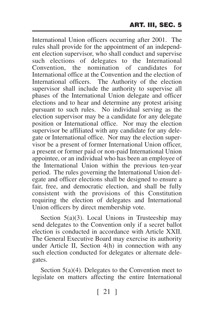International Union officers occurring after 2001. The rules shall provide for the appointment of an independent election supervisor, who shall conduct and supervise such elections of delegates to the International Convention the nomination of candidates for the nomination of candidates for International office at the Convention and the election of International officers. The Authority of the election supervisor shall include the authority to supervise all phases of the International Union delegate and officer elections and to hear and determine any protest arising pursuant to such rules. No individual serving as the election supervisor may be a candidate for any delegate position or International office. Nor may the election supervisor be affiliated with any candidate for any delegate or International office. Nor may the election supervisor be a present of former International Union officer, a present or former paid or non-paid International Union appointee, or an individual who has been an employee of the International Union within the previous ten-year period. The rules governing the International Union delegate and officer elections shall be designed to ensure a fair, free, and democratic election, and shall be fully consistent with the provisions of this Constitution requiring the election of delegates and International Union officers by direct membership vote.

Section  $5(a)(3)$ . Local Unions in Trusteeship may send delegates to the Convention only if a secret ballot election is conducted in accordance with Article XXII. The General Executive Board may exercise its authority under Article II, Section 4(h) in connection with any such election conducted for delegates or alternate delegates.

Section  $5(a)(4)$ . Delegates to the Convention meet to legislate on matters affecting the entire International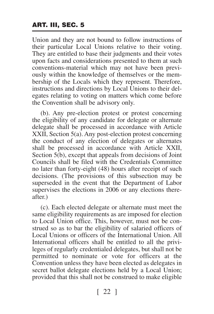Union and they are not bound to follow instructions of their particular Local Unions relative to their voting. They are entitled to base their judgments and their votes upon facts and considerations presented to them at such conventions-material which may not have been previously within the knowledge of themselves or the membership of the Locals which they represent. Therefore, instructions and directions by Local Unions to their delegates relating to voting on matters which come before the Convention shall be advisory only.

(b). Any pre-election protest or protest concerning the eligibility of any candidate for delegate or alternate delegate shall be processed in accordance with Article XXII, Section 5(a). Any post-election protest concerning the conduct of any election of delegates or alternates shall be processed in accordance with Article XXII, Section  $\vec{5}$ (b), except that appeals from decisions of Joint Councils shall be filed with the Credentials Committee no later than forty-eight (48) hours after receipt of such decisions. (The provisions of this subsection may be superseded in the event that the Department of Labor supervises the elections in 2006 or any elections thereafter.)

(c). Each elected delegate or alternate must meet the same eligibility requirements as are imposed for election to Local Union office. This, however, must not be construed so as to bar the eligibility of salaried officers of Local Unions or officers of the International Union. All International officers shall be entitled to all the privileges of regularly credentialed delegates, but shall not be permitted to nominate or vote for officers at the Convention unless they have been elected as delegates in secret ballot delegate elections held by a Local Union; provided that this shall not be construed to make eligible

[ 22 ]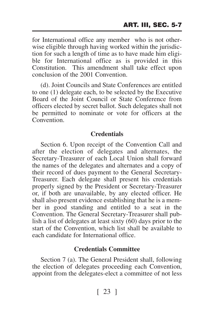for International office any member who is not otherwise eligible through having worked within the jurisdiction for such a length of time as to have made him eligible for International office as is provided in this Constitution. This amendment shall take effect upon conclusion of the 2001 Convention.

(d). Joint Councils and State Conferences are entitled to one (1) delegate each, to be selected by the Executive Board of the Joint Council or State Conference from officers elected by secret ballot. Such delegates shall not be permitted to nominate or vote for officers at the Convention.

#### **Credentials**

Section 6. Upon receipt of the Convention Call and after the election of delegates and alternates, the Secretary-Treasurer of each Local Union shall forward the names of the delegates and alternates and a copy of their record of dues payment to the General Secretary-Treasurer. Each delegate shall present his credentials properly signed by the President or Secretary-Treasurer or, if both are unavailable, by any elected officer. He shall also present evidence establishing that he is a member in good standing and entitled to a seat in the Convention. The General Secretary-Treasurer shall publish a list of delegates at least sixty (60) days prior to the start of the Convention, which list shall be available to each candidate for International office.

#### **Credentials Committee**

Section 7 (a). The General President shall, following the election of delegates proceeding each Convention, appoint from the delegates-elect a committee of not less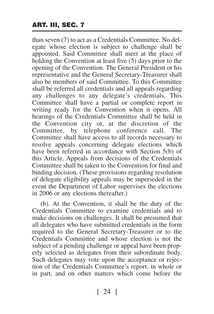than seven (7) to act as a Credentials Committee. No delegate whose election is subject to challenge shall be appointed. Said Committee shall meet at the place of holding the Convention at least five (5) days prior to the opening of the Convention. The General President or his representative and the General Secretary-Treasurer shall also be members of said Committee. To this Committee shall be referred all credentials and all appeals regarding any challenges to any delegate's credentials. This Committee shall have a partial or complete report in writing ready for the Convention when it opens. All hearings of the Credentials Committee shall be held in the Convention city or, at the discretion of the Committee, by telephone conference call. The Committee shall have access to all records necessary to resolve appeals concerning delegate elections which have been referred in accordance with Section 5(b) of this Article. Appeals from decisions of the Credentials Committee shall be taken to the Convention for final and binding decision. (These provisions regarding resolution of delegate eligibility appeals may be superseded in the event the Department of Labor supervises the elections in 2006 or any elections thereafter.)

(b). At the Convention, it shall be the duty of the Credentials Committee to examine credentials and to make decisions on challenges. It shall be presumed that all delegates who have submitted credentials in the form required to the General Secretary-Treasurer or to the Credentials Committee and whose election is not the subject of a pending challenge or appeal have been properly selected as delegates from their subordinate body. Such delegates may vote upon the acceptance or rejection of the Credentials Committee's report, in whole or in part, and on other matters which come before the

[ 24 ]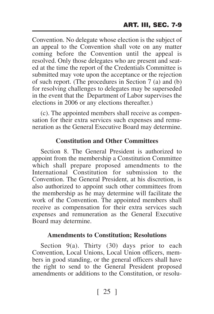Convention. No delegate whose election is the subject of an appeal to the Convention shall vote on any matter coming before the Convention until the appeal is resolved. Only those delegates who are present and seated at the time the report of the Credentials Committee is submitted may vote upon the acceptance or the rejection of such report. (The procedures in Section 7 (a) and (b) for resolving challenges to delegates may be superseded in the event that the Department of Labor supervises the elections in 2006 or any elections thereafter.)

(c). The appointed members shall receive as compensation for their extra services such expenses and remuneration as the General Executive Board may determine.

# **Constitution and Other Committees**

Section 8. The General President is authorized to appoint from the membership a Constitution Committee which shall prepare proposed amendments to the International Constitution for submission to the Convention. The General President, at his discretion, is also authorized to appoint such other committees from the membership as he may determine will facilitate the work of the Convention. The appointed members shall receive as compensation for their extra services such expenses and remuneration as the General Executive Board may determine.

#### **Amendments to Constitution; Resolutions**

Section 9(a). Thirty (30) days prior to each Convention, Local Unions, Local Union officers, members in good standing, or the general officers shall have the right to send to the General President proposed amendments or additions to the Constitution, or resolu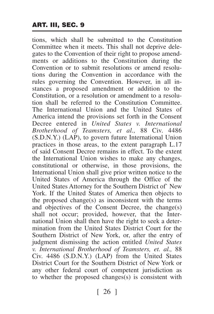tions, which shall be submitted to the Constitution Committee when it meets. This shall not deprive delegates to the Convention of their right to propose amendments or additions to the Constitution during the Convention or to submit resolutions or amend resolutions during the Convention in accordance with the rules governing the Convention. However, in all instances a proposed amendment or addition to the Constitution, or a resolution or amendment to a resolution shall be referred to the Constitution Committee. The International Union and the United States of America intend the provisions set forth in the Consent Decree entered in *United States v. International Brotherhood of Teamsters, et al.,* 88 Civ. 4486 (S.D.N.Y.) (LAP), to govern future International Union practices in those areas, to the extent paragraph L.17 of said Consent Decree remains in effect. To the extent the International Union wishes to make any changes, constitutional or otherwise, in those provisions, the International Union shall give prior written notice to the United States of America through the Office of the United States Attorney for the Southern District of` New York. If the United States of America then objects to the proposed change(s) as inconsistent with the terms and objectives of the Consent Decree, the change(s) shall not occur; provided, however, that the International Union shall then have the right to seek a determination from the United States District Court for the Southern District of New York, or, after the entry of judgment dismissing the action entitled *United States v. International Brotherhood of Teamsters, et. al.,* 88 Civ. 4486 (S.D.N.Y.) (LAP) from the United States District Court for the Southern District of New York or any other federal court of competent jurisdiction as to whether the proposed changes(s) is consistent with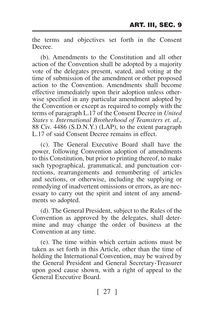the terms and objectives set forth in the Consent Decree.

(b). Amendments to the Constitution and all other action of the Convention shall be adopted by a majority vote of the delegates present, seated, and voting at the time of submission of the amendment or other proposed action to the Convention. Amendments shall become effective immediately upon their adoption unless otherwise specified in any particular amendment adopted by the Convention or except as required to comply with the terms of paragraph L.17 of the Consent Decree in *United States v. International Brotherhood of Teamsters et. al.,* 88 Civ. 4486 (S.D.N.Y.) (LAP), to the extent paragraph L.17 of said Consent Decree remains in effect.

(c). The General Executive Board shall have the power, following Convention adoption of amendments to this Constitution, but prior to printing thereof, to make such typographical, grammatical, and punctuation corrections, rearrangements and renumbering of articles and sections, or otherwise, including the supplying or remedying of inadvertent omissions or errors, as are necessary to carry out the spirit and intent of any amendments so adopted.

(d). The General President, subject to the Rules of the Convention as approved by the delegates, shall determine and may change the order of business at the Convention at any time.

(e). The time within which certain actions must be taken as set forth in this Article, other than the time of holding the International Convention, may be waived by the General President and General Secretary-Treasurer upon good cause shown, with a right of appeal to the General Executive Board.

[ 27 ]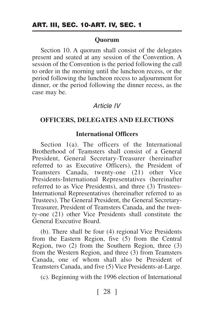#### **Quorum**

Section 10. A quorum shall consist of the delegates present and seated at any session of the Convention. A session of the Convention is the period following the call to order in the morning until the luncheon recess, or the period following the luncheon recess to adjournment for dinner, or the period following the dinner recess, as the case may be.

# *Article IV*

# **OFFICERS, DELEGATES AND ELECTIONS**

# **International Officers**

Section 1(a). The officers of the International Brotherhood of Teamsters shall consist of a General President, General Secretary-Treasurer (hereinafter referred to as Executive Officers), the President of Teamsters Canada, twenty-one (21) other Vice Presidents-International Representatives (hereinafter referred to as Vice Presidents), and three (3) Trustees-International Representatives (hereinafter referred to as Trustees). The General President, the General Secretary-Treasurer, President of Teamsters Canada, and the twenty-one (21) other Vice Presidents shall constitute the General Executive Board.

(b). There shall be four (4) regional Vice Presidents from the Eastern Region, five (5) from the Central Region, two (2) from the Southern Region, three (3) from the Western Region, and three (3) from Teamsters Canada, one of whom shall also be President of Teamsters Canada, and five (5) Vice Presidents-at-Large.

(c). Beginning with the 1996 election of International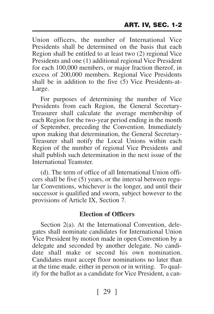Union officers, the number of International Vice Presidents shall be determined on the basis that each Region shall be entitled to at least two (2) regional Vice Presidents and one (1) additional regional Vice President for each 100,000 members, or major fraction thereof, in excess of 200,000 members. Regional Vice Presidents shall be in addition to the five (5) Vice Presidents-at-Large.

For purposes of determining the number of Vice Presidents from each Region, the General Secretary-Treasurer shall calculate the average membership of each Region for the two-year period ending in the month of September, preceding the Convention. Immediately upon making that determination, the General Secretary-Treasurer shall notify the Local Unions within each Region of the number of regional Vice Presidents and shall publish such determination in the next issue of the International Teamster.

(d). The term of office of all International Union officers shall be five (5) years, or the interval between regular Conventions, whichever is the longer, and until their successor is qualified and sworn, subject however to the provisions of Article IX, Section 7.

#### **Election of Officers**

Section 2(a). At the International Convention, delegates shall nominate candidates for International Union Vice President by motion made in open Convention by a delegate and seconded by another delegate. No candidate shall make or second his own nomination. Candidates must accept floor nominations no later than at the time made. either in person or in writing. To qualify for the ballot as a candidate for Vice President, a can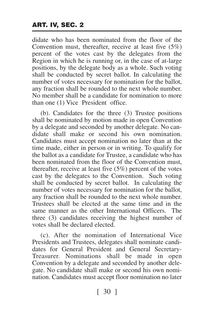didate who has been nominated from the floor of the Convention must, thereafter, receive at least five (5%) percent of the votes cast by the delegates from the Region in which he is running or, in the case of at-large positions, by the delegate body as a whole. Such voting shall be conducted by secret ballot. In calculating the number of votes necessary for nomination for the ballot, any fraction shall be rounded to the next whole number. No member shall be a candidate for nomination to more than one (1) Vice President office.

(b). Candidates for the three (3) Trustee positions shall be nominated by motion made in open Convention by a delegate and seconded by another delegate. No candidate shall make or second his own nomination. Candidates must accept nomination no later than at the time made, either in person or in writing. To qualify for the ballot as a candidate for Trustee, a candidate who has been nominated from the floor of the Convention must thereafter, receive at least five (5%) percent of the votes cast by the delegates to the Convention. Such voting shall be conducted by secret ballot. In calculating the number of votes necessary for nomination for the ballot, any fraction shall be rounded to the next whole number. Trustees shall be elected at the same time and in the same manner as the other International Officers. The three (3) candidates receiving the highest number of votes shall be declared elected.

(c). After the nomination of International Vice Presidents and Trustees, delegates shall nominate candidates for General President and General Secretary-Treasurer. Nominations shall be made in open Convention by a delegate and seconded by another delegate. No candidate shall make or second his own nomination. Candidates must accept floor nomination no later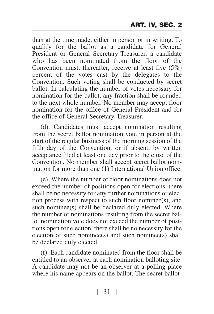than at the time made, either in person or in writing. To qualify for the ballot as a candidate for General President or General Secretary-Treasurer, a candidate who has been nominated from the floor of the Convention must, thereafter, receive at least five (5%) percent of the votes cast by the delegates to the Convention. Such voting shall be conducted by secret ballot. In calculating the number of votes necessary for nomination for the ballot, any fraction shall be rounded to the next whole number. No member may accept floor nomination for the office of General President and for the office of General Secretary-Treasurer.

(d). Candidates must accept nomination resulting from the secret ballot nomination vote in person at the start of the regular business of the morning session of the fifth day of the Convention, or if absent, by written acceptance filed at least one day prior to the close of the Convention. No member shall accept secret ballot nomination for more than one (1) International Union office.

(e). Where the number of floor nominations does not exceed the number of positions open for elections, there shall be no necessity for any further nominations or election process with respect to such floor nominee(s), and such nominee(s) shall be declared duly elected. Where the number of nominations resulting from the secret ballot nomination vote does not exceed the number of positions open for election, there shall be no necessity for the election of such nominee(s) and such nominee(s) shall be declared duly elected.

(f). Each candidate nominated from the floor shall be entitled to an observer at each nomination balloting site. A candidate may not be an observer at a polling place where his name appears on the ballot. The secret ballot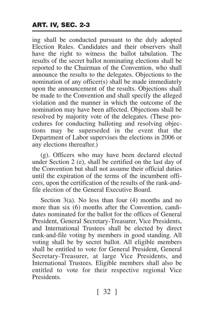ing shall be conducted pursuant to the duly adopted Election Rules. Candidates and their observers shall have the right to witness the ballot tabulation. The results of the secret ballot nominating elections shall be reported to the Chairman of the Convention, who shall announce the results to the delegates. Objections to the nomination of any officer(s) shall be made immediately upon the announcement of the results. Objections shall be made to the Convention and shall specify the alleged violation and the manner in which the outcome of the nomination may have been affected. Objections shall be resolved by majority vote of the delegates. (These procedures for conducting balloting and resolving objections may be superseded in the event that the Department of Labor supervises the elections in 2006 or any elections thereafter.)

(g). Officers who may have been declared elected under Section 2 (e), shall be certified on the last day of the Convention but shall not assume their official duties until the expiration of the terms of the incumbent officers, upon the certification of the results of the rank-andfile election of the General Executive Board.

Section 3(a). No less than four (4) months and no more than six (6) months after the Convention, candidates nominated for the ballot for the offices of General President, General Secretary-Treasurer, Vice Presidents, and International Trustees shall be elected by direct rank-and-file voting by members in good standing. All voting shall be by secret ballot. All eligible members shall be entitled to vote for General President, General Secretary-Treasurer, at large Vice Presidents, and International Trustees. Eligible members shall also be entitled to vote for their respective regional Vice Presidents*.*

[ 32 ]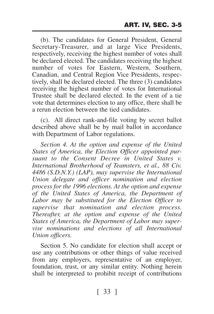(b). The candidates for General President, General Secretary-Treasurer, and at large Vice Presidents, respectively, receiving the highest number of votes shall be declared elected. The candidates receiving the highest number of votes for Eastern, Western, Southern, Canadian, and Central Region Vice Presidents, respectively, shall be declared elected. The three (3) candidates receiving the highest number of votes for International Trustee shall be declared elected. In the event of a tie vote that determines election to any office, there shall be a rerun election between the tied candidates.

(c). All direct rank-and-file voting by secret ballot described above shall be by mail ballot in accordance with Department of Labor regulations.

*Section 4. At the option and expense of the United States of America, the Election Officer appointed pursuant to the Consent Decree in United States v. International Brotherhood of Teamsters, et al., 88 Civ. 4486 (S.D.N.Y.) (LAP), may supervise the International Union delegate and officer nomination and election process for the 1996 elections. At the option and expense of the United States of America, the Department of Labor may be substituted for the Election Officer to supervise that nomination and election process. Thereafter, at the option and expense of the United States of America, the Department of Labor may supervise nominations and elections of all International Union officers.*

Section 5. No candidate for election shall accept or use any contributions or other things of value received from any employers, representative of an employer, foundation, trust, or any similar entity. Nothing herein shall be interpreted to prohibit receipt of contributions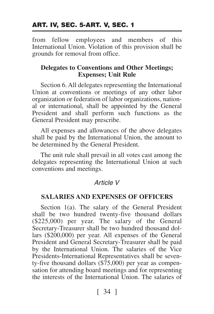from fellow employees and members of this International Union. Violation of this provision shall be grounds for removal from office.

# **Delegates to Conventions and Other Meetings; Expenses; Unit Rule**

Section 6. All delegates representing the International Union at conventions or meetings of any other labor organization or federation of labor organizations, national or international, shall be appointed by the General President and shall perform such functions as the General President may prescribe.

All expenses and allowances of the above delegates shall be paid by the International Union, the amount to be determined by the General President.

The unit rule shall prevail in all votes cast among the delegates representing the International Union at such conventions and meetings.

### *Article V*

### **SALARIES AND EXPENSES OF OFFICERS**

Section 1(a). The salary of the General President shall be two hundred twenty-five thousand dollars (\$225,000) per year. The salary of the General Secretary-Treasurer shall be two hundred thousand dollars (\$200,000) per year. All expenses of the General President and General Secretary-Treasurer shall be paid by the International Union. The salaries of the Vice Presidents-International Representatives shall be seventy-five thousand dollars (\$75,000) per year as compensation for attending board meetings and for representing the interests of the International Union. The salaries of

[ 34 ]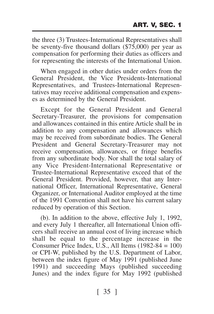the three (3) Trustees-International Representatives shall be seventy-five thousand dollars  $(\$75,000)$  per year as compensation for performing their duties as officers and for representing the interests of the International Union.

When engaged in other duties under orders from the General President, the Vice Presidents-International Representatives, and Trustees-International Representatives may receive additional compensation and expenses as determined by the General President.

Except for the General President and General Secretary-Treasurer, the provisions for compensation and allowances contained in this entire Article shall be in addition to any compensation and allowances which may be received from subordinate bodies. The General President and General Secretary-Treasurer may not receive compensation, allowances, or fringe benefits from any subordinate body. Nor shall the total salary of any Vice President-International Representative or Trustee-International Representative exceed that of the General President. Provided, however, that any International Officer, International Representative, General Organizer, or International Auditor employed at the time of the 1991 Convention shall not have his current salary reduced by operation of this Section.

(b). In addition to the above, effective July 1, 1992, and every July 1 thereafter, all International Union officers shall receive an annual cost of living increase which shall be equal to the percentage increase in the Consumer Price Index, U.S., All Items  $(1982-84 = 100)$ or CPI-W, published by the U.S. Department of Labor, between the index figure of May 1991 (published June 1991) and succeeding Mays (published succeeding Junes) and the index figure for May 1992 (published

[ 35 ]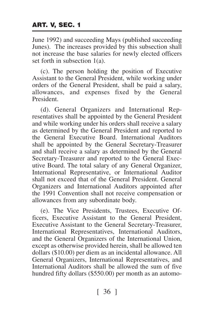June 1992) and succeeding Mays (published succeeding Junes). The increases provided by this subsection shall not increase the base salaries for newly elected officers set forth in subsection 1(a).

(c). The person holding the position of Executive Assistant to the General President, while working under orders of the General President, shall be paid a salary, allowances, and expenses fixed by the General President.

(d). General Organizers and International Representatives shall be appointed by the General President and while working under his orders shall receive a salary as determined by the General President and reported to the General Executive Board. International Auditors shall be appointed by the General Secretary-Treasurer and shall receive a salary as determined by the General Secretary-Treasurer and reported to the General Executive Board. The total salary of any General Organizer, International Representative, or International Auditor shall not exceed that of the General President. General Organizers and International Auditors appointed after the 1991 Convention shall not receive compensation or allowances from any subordinate body.

(e). The Vice Presidents, Trustees, Executive Officers, Executive Assistant to the General President, Executive Assistant to the General Secretary-Treasurer, International Representatives, International Auditors, and the General Organizers of the International Union, except as otherwise provided herein, shall be allowed ten dollars (\$10.00) per diem as an incidental allowance. All General Organizers, International Representatives, and International Auditors shall be allowed the sum of five hundred fifty dollars (\$550.00) per month as an automo-

[ 36 ]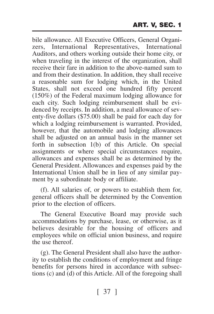bile allowance. All Executive Officers, General Organizers, International Representatives, International Auditors, and others working outside their home city, or when traveling in the interest of the organization, shall receive their fare in addition to the above-named sum to and from their destination. In addition, they shall receive a reasonable sum for lodging which, in the United States, shall not exceed one hundred fifty percent (150%) of the Federal maximum lodging allowance for each city. Such lodging reimbursement shall be evidenced by receipts. In addition, a meal allowance of seventy-five dollars (\$75.00) shall be paid for each day for which a lodging reimbursement is warranted. Provided, however, that the automobile and lodging allowances shall be adjusted on an annual basis in the manner set forth in subsection 1(b) of this Article. On special assignments or where special circumstances require, allowances and expenses shall be as determined by the General President. Allowances and expenses paid by the International Union shall be in lieu of any similar payment by a subordinate body or affiliate.

(f). All salaries of, or powers to establish them for, general officers shall be determined by the Convention prior to the election of officers.

The General Executive Board may provide such accommodations by purchase, lease, or otherwise, as it believes desirable for the housing of officers and employees while on official union business, and require the use thereof.

(g). The General President shall also have the authority to establish the conditions of employment and fringe benefits for persons hired in accordance with subsections (c) and  $\overline{d}$  of this Article. All of the foregoing shall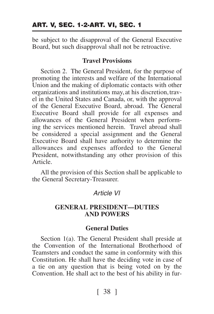be subject to the disapproval of the General Executive Board, but such disapproval shall not be retroactive.

## **Travel Provisions**

Section 2. The General President, for the purpose of promoting the interests and welfare of the International Union and the making of diplomatic contacts with other organizations and institutions may,at his discretion,travel in the United States and Canada, or, with the approval of the General Executive Board, abroad. The General Executive Board shall provide for all expenses and allowances of the General President when performing the services mentioned herein. Travel abroad shall be considered a special assignment and the General Executive Board shall have authority to determine the allowances and expenses afforded to the General President, notwithstanding any other provision of this Article.

All the provision of this Section shall be applicable to the General Secretary-Treasurer.

## *Article VI*

### **GENERAL PRESIDENT—DUTIES AND POWERS**

### **General Duties**

Section 1(a). The General President shall preside at the Convention of the International Brotherhood of Teamsters and conduct the same in conformity with this Constitution. He shall have the deciding vote in case of a tie on any question that is being voted on by the Convention. He shall act to the best of his ability in fur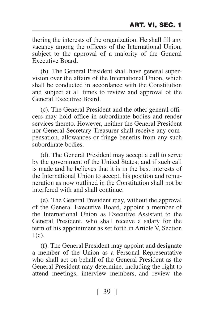thering the interests of the organization. He shall fill any vacancy among the officers of the International Union, subject to the approval of a majority of the General Executive Board.

(b). The General President shall have general supervision over the affairs of the International Union, which shall be conducted in accordance with the Constitution and subject at all times to review and approval of the General Executive Board.

(c). The General President and the other general officers may hold office in subordinate bodies and render services thereto. However, neither the General President nor General Secretary-Treasurer shall receive any compensation, allowances or fringe benefits from any such subordinate bodies.

(d). The General President may accept a call to serve by the government of the United States; and if such call is made and he believes that it is in the best interests of the International Union to accept, his position and remuneration as now outlined in the Constitution shall not be interfered with and shall continue.

(e). The General President may, without the approval of the General Executive Board, appoint a member of the International Union as Executive Assistant to the General President, who shall receive a salary for the term of his appointment as set forth in Article V, Section 1(c).

(f). The General President may appoint and designate a member of the Union as a Personal Representative who shall act on behalf of the General President as the General President may determine, including the right to attend meetings, interview members, and review the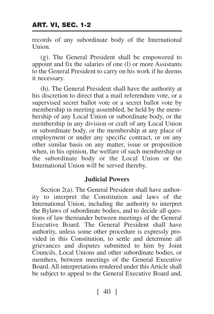records of any subordinate body of the International Union.

(g). The General President shall be empowered to appoint and fix the salaries of one (l) or more Assistants to the General President to carry on his work if he deems it necessary.

(h). The General President shall have the authority at his discretion to direct that a mail referendum vote, or a supervised secret ballot vote or a secret ballot vote by membership in meeting assembled, be held by the membership of any Local Union or subordinate body, or the membership in any division or craft of any Local Union or subordinate body, or the membership at any place of employment or under any specific contract, or on any other similar basis on any matter, issue or proposition when, in his opinion, the welfare of such membership or the subordinate body or the Local Union or the International Union will be served thereby.

# **Judicial Powers**

Section 2(a). The General President shall have authority to interpret the Constitution and laws of the International Union, including the authority to interpret the Bylaws of subordinate bodies, and to decide all questions of law thereunder between meetings of the General Executive Board. The General President shall have authority, unless some other procedure is expressly provided in this Constitution, to settle and determine all grievances and disputes submitted to him by Joint Councils, Local Unions and other subordinate bodies, or members, between meetings of the General Executive Board. All interpretations rendered under this Article shall be subject to appeal to the General Executive Board and,

[ 40 ]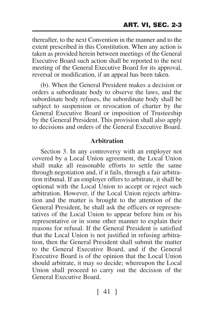thereafter, to the next Convention in the manner and to the extent prescribed in this Constitution. When any action is taken as provided herein between meetings of the General Executive Board such action shall be reported to the next meeting of the General Executive Board for its approval, reversal or modification, if an appeal has been taken.

(b). When the General President makes a decision or orders a subordinate body to observe the laws, and the subordinate body refuses, the subordinate body shall be subject to suspension or revocation of charter by the General Executive Board or imposition of Trusteeship by the General President. This provision shall also apply to decisions and orders of the General Executive Board.

## **Arbitration**

Section 3. In any controversy with an employer not covered by a Local Union agreement, the Local Union shall make all reasonable efforts to settle the same through negotiation and, if it fails, through a fair arbitration tribunal. If an employer offers to arbitrate, it shall be optional with the Local Union to accept or reject such arbitration. However, if the Local Union rejects arbitration and the matter is brought to the attention of the General President, he shall ask the officers or representatives of the Local Union to appear before him or his representative or in some other manner to explain their reasons for refusal. If the General President is satisfied that the Local Union is not justified in refusing arbitration, then the General President shall submit the matter to the General Executive Board, and if the General Executive Board is of the opinion that the Local Union should arbitrate, it may so decide; whereupon the Local Union shall proceed to carry out the decision of the General Executive Board.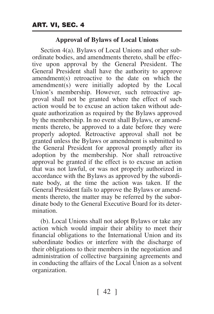# **Approval of Bylaws of Local Unions**

Section 4(a). Bylaws of Local Unions and other subordinate bodies, and amendments thereto, shall be effective upon approval by the General President. The General President shall have the authority to approve amendment(s) retroactive to the date on which the amendment(s) were initially adopted by the Local Union's membership. However, such retroactive approval shall not be granted where the effect of such action would be to excuse an action taken without adequate authorization as required by the Bylaws approved by the membership. In no event shall Bylaws, or amendments thereto, be approved to a date before they were properly adopted. Retroactive approval shall not be granted unless the Bylaws or amendment is submitted to the General President for approval promptly after its adoption by the membership. Nor shall retroactive approval be granted if the effect is to excuse an action that was not lawful, or was not properly authorized in accordance with the Bylaws as approved by the subordinate body, at the time the action was taken. If the General President fails to approve the Bylaws or amendments thereto, the matter may be referred by the subordinate body to the General Executive Board for its determination.

(b). Local Unions shall not adopt Bylaws or take any action which would impair their ability to meet their financial obligations to the International Union and its subordinate bodies or interfere with the discharge of their obligations to their members in the negotiation and administration of collective bargaining agreements and in conducting the affairs of the Local Union as a solvent organization.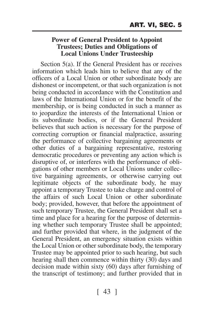## **Power of General President to Appoint Trustees; Duties and Obligations of Local Unions Under Trusteeship**

Section 5(a). If the General President has or receives information which leads him to believe that any of the officers of a Local Union or other subordinate body are dishonest or incompetent, or that such organization is not being conducted in accordance with the Constitution and laws of the International Union or for the benefit of the membership, or is being conducted in such a manner as to jeopardize the interests of the International Union or its subordinate bodies, or if the General President believes that such action is necessary for the purpose of correcting corruption or financial malpractice, assuring the performance of collective bargaining agreements or other duties of a bargaining representative, restoring democratic procedures or preventing any action which is disruptive of, or interferes with the performance of obligations of other members or Local Unions under collective bargaining agreements, or otherwise carrying out legitimate objects of the subordinate body, he may appoint a temporary Trustee to take charge and control of the affairs of such Local Union or other subordinate body; provided, however, that before the appointment of such temporary Trustee, the General President shall set a time and place for a hearing for the purpose of determining whether such temporary Trustee shall be appointed; and further provided that where, in the judgment of the General President, an emergency situation exists within the Local Union or other subordinate body, the temporary Trustee may be appointed prior to such hearing, but such hearing shall then commence within thirty (30) days and decision made within sixty (60) days after furnishing of the transcript of testimony; and further provided that in

[ 43 ]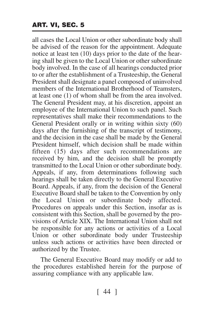all cases the Local Union or other subordinate body shall be advised of the reason for the appointment. Adequate notice at least ten (10) days prior to the date of the hearing shall be given to the Local Union or other subordinate body involved. In the case of all hearings conducted prior to or after the establishment of a Trusteeship, the General President shall designate a panel composed of uninvolved members of the International Brotherhood of Teamsters, at least one (1) of whom shall be from the area involved. The General President may, at his discretion, appoint an employee of the International Union to such panel. Such representatives shall make their recommendations to the General President orally or in writing within sixty (60) days after the furnishing of the transcript of testimony, and the decision in the case shall be made by the General President himself, which decision shall be made within fifteen (15) days after such recommendations are received by him, and the decision shall be promptly transmitted to the Local Union or other subordinate body. Appeals, if any, from determinations following such hearings shall be taken directly to the General Executive Board. Appeals, if any, from the decision of the General Executive Board shall be taken to the Convention by only the Local Union or subordinate body affected. Procedures on appeals under this Section, insofar as is consistent with this Section, shall be governed by the provisions of Article XIX. The International Union shall not be responsible for any actions or activities of a Local Union or other subordinate body under Trusteeship unless such actions or activities have been directed or authorized by the Trustee.

The General Executive Board may modify or add to the procedures established herein for the purpose of assuring compliance with any applicable law.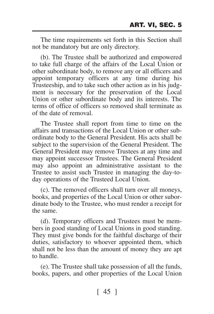The time requirements set forth in this Section shall not be mandatory but are only directory.

(b). The Trustee shall be authorized and empowered to take full charge of the affairs of the Local Union or other subordinate body, to remove any or all officers and appoint temporary officers at any time during his Trusteeship, and to take such other action as in his judgment is necessary for the preservation of the Local Union or other subordinate body and its interests. The terms of office of officers so removed shall terminate as of the date of removal.

The Trustee shall report from time to time on the affairs and transactions of the Local Union or other subordinate body to the General President. His acts shall be subject to the supervision of the General President. The General President may remove Trustees at any time and may appoint successor Trustees. The General President may also appoint an administrative assistant to the Trustee to assist such Trustee in managing the day-today operations of the Trusteed Local Union.

(c). The removed officers shall turn over all moneys, books, and properties of the Local Union or other subordinate body to the Trustee, who must render a receipt for the same.

(d). Temporary officers and Trustees must be members in good standing of Local Unions in good standing. They must give bonds for the faithful discharge of their duties, satisfactory to whoever appointed them, which shall not be less than the amount of money they are apt to handle.

(e). The Trustee shall take possession of all the funds, books, papers, and other properties of the Local Union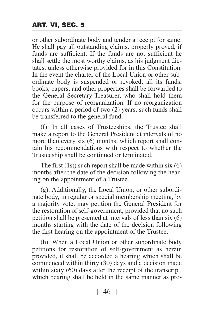or other subordinate body and tender a receipt for same. He shall pay all outstanding claims, properly proved, if funds are sufficient. If the funds are not sufficient he shall settle the most worthy claims, as his judgment dictates, unless otherwise provided for in this Constitution. In the event the charter of the Local Union or other subordinate body is suspended or revoked, all its funds, books, papers, and other properties shall be forwarded to the General Secretary-Treasurer, who shall hold them for the purpose of reorganization. If no reorganization occurs within a period of two (2) years, such funds shall be transferred to the general fund.

(f). In all cases of Trusteeships, the Trustee shall make a report to the General President at intervals of no more than every six (6) months, which report shall contain his recommendations with respect to whether the Trusteeship shall be continued or terminated.

The first  $(1st)$  such report shall be made within six  $(6)$ months after the date of the decision following the hearing on the appointment of a Trustee.

(g). Additionally, the Local Union, or other subordinate body, in regular or special membership meeting, by a majority vote, may petition the General President for the restoration of self-government, provided that no such petition shall be presented at intervals of less than six (6) months starting with the date of the decision following the first hearing on the appointment of the Trustee.

(h). When a Local Union or other subordinate body petitions for restoration of self-government as herein provided, it shall be accorded a hearing which shall be commenced within thirty (30) days and a decision made within sixty (60) days after the receipt of the transcript, which hearing shall be held in the same manner as pro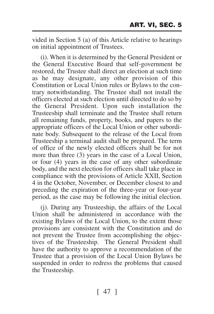vided in Section 5 (a) of this Article relative to hearings on initial appointment of Trustees.

(i). When it is determined by the General President or the General Executive Board that self-government be restored, the Trustee shall direct an election at such time as he may designate, any other provision of this Constitution or Local Union rules or Bylaws to the contrary notwithstanding. The Trustee shall not install the officers elected at such election until directed to do so by the General President. Upon such installation the Trusteeship shall terminate and the Trustee shall return all remaining funds, property, books, and papers to the appropriate officers of the Local Union or other subordinate body. Subsequent to the release of the Local from Trusteeship a terminal audit shall be prepared. The term of office of the newly elected officers shall be for not more than three (3) years in the case of a Local Union, or four (4) years in the case of any other subordinate body, and the next election for officers shall take place in compliance with the provisions of Article XXII, Section 4 in the October, November, or December closest to and preceding the expiration of the three-year or four-year period, as the case may be following the initial election.

(j). During any Trusteeship, the affairs of the Local Union shall be administered in accordance with the existing Bylaws of the Local Union, to the extent those provisions are consistent with the Constitution and do not prevent the Trustee from accomplishing the objectives of the Trusteeship. The General President shall have the authority to approve a recommendation of the Trustee that a provision of the Local Union Bylaws be suspended in order to redress the problems that caused the Trusteeship.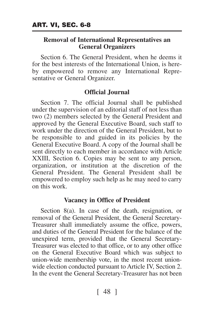## **Removal of International Representatives an General Organizers**

Section 6. The General President, when he deems it for the best interests of the International Union, is hereby empowered to remove any International Representative or General Organizer.

## **Official Journal**

Section 7. The official Journal shall be published under the supervision of an editorial staff of not less than two (2) members selected by the General President and approved by the General Executive Board, such staff to work under the direction of the General President, but to be responsible to and guided in its policies by the General Executive Board. A copy of the Journal shall be sent directly to each member in accordance with Article XXIII, Section 6. Copies may be sent to any person, organization, or institution at the discretion of the General President. The General President shall be empowered to employ such help as he may need to carry on this work.

## **Vacancy in Office of President**

Section 8(a). In case of the death, resignation, or removal of the General President, the General Secretary-Treasurer shall immediately assume the office, powers, and duties of the General President for the balance of the unexpired term, provided that the General Secretary-Treasurer was elected to that office, or to any other office on the General Executive Board which was subject to union-wide membership vote, in the most recent unionwide election conducted pursuant to Article IV, Section 2. In the event the General Secretary-Treasurer has not been

[ 48 ]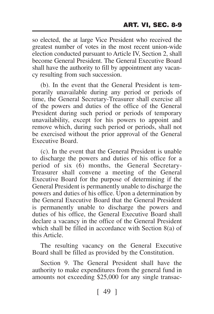so elected, the at large Vice President who received the greatest number of votes in the most recent union-wide election conducted pursuant to Article IV, Section 2, shall become General President. The General Executive Board shall have the authority to fill by appointment any vacancy resulting from such succession.

(b). In the event that the General President is temporarily unavailable during any period or periods of time, the General Secretary-Treasurer shall exercise all of the powers and duties of the office of the General President during such period or periods of temporary unavailability, except for his powers to appoint and remove which, during such period or periods, shall not be exercised without the prior approval of the General Executive Board.

(c). In the event that the General President is unable to discharge the powers and duties of his office for a period of six  $(6)$  months, the General Secretary-Treasurer shall convene a meeting of the General Executive Board for the purpose of determining if the General President is permanently unable to discharge the powers and duties of his office. Upon a determination by the General Executive Board that the General President is permanently unable to discharge the powers and duties of his office, the General Executive Board shall declare a vacancy in the office of the General President which shall be filled in accordance with Section 8(a) of this Article.

The resulting vacancy on the General Executive Board shall be filled as provided by the Constitution.

Section 9. The General President shall have the authority to make expenditures from the general fund in amounts not exceeding \$25,000 for any single transac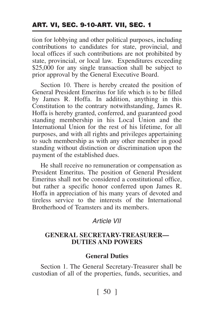tion for lobbying and other political purposes, including contributions to candidates for state, provincial, and local offices if such contributions are not prohibited by state, provincial, or local law. Expenditures exceeding \$25,000 for any single transaction shall be subject to prior approval by the General Executive Board.

Section 10. There is hereby created the position of General President Emeritus for life which is to be filled by James R. Hoffa. In addition, anything in this Constitution to the contrary notwithstanding, James R. Hoffa is hereby granted, conferred, and guaranteed good standing membership in his Local Union and the International Union for the rest of his lifetime, for all purposes, and with all rights and privileges appertaining to such membership as with any other member in good standing without distinction or discrimination upon the payment of the established dues.

He shall receive no remuneration or compensation as President Emeritus. The position of General President Emeritus shall not be considered a constitutional office, but rather a specific honor conferred upon James R. Hoffa in appreciation of his many years of devoted and tireless service to the interests of the International Brotherhood of Teamsters and its members.

# *Article VII*

# **GENERAL SECRETARY-TREASURER— DUTIES AND POWERS**

# **General Duties**

Section 1. The General Secretary-Treasurer shall be custodian of all of the properties, funds, securities, and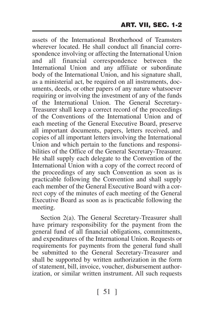assets of the International Brotherhood of Teamsters wherever located. He shall conduct all financial correspondence involving or affecting the International Union and all financial correspondence between the International Union and any affiliate or subordinate body of the International Union, and his signature shall, as a ministerial act, be required on all instruments, documents, deeds, or other papers of any nature whatsoever requiring or involving the investment of any of the funds of the International Union. The General Secretary-Treasurer shall keep a correct record of the proceedings of the Conventions of the International Union and of each meeting of the General Executive Board, preserve all important documents, papers, letters received, and copies of all important letters involving the International Union and which pertain to the functions and responsibilities of the Office of the General Secretary-Treasurer. He shall supply each delegate to the Convention of the International Union with a copy of the correct record of the proceedings of any such Convention as soon as is practicable following the Convention and shall supply each member of the General Executive Board with a correct copy of the minutes of each meeting of the General Executive Board as soon as is practicable following the meeting.

Section 2(a). The General Secretary-Treasurer shall have primary responsibility for the payment from the general fund of all financial obligations, commitments, and expenditures of the International Union. Requests or requirements for payments from the general fund shall be submitted to the General Secretary-Treasurer and shall be supported by written authorization in the form of statement, bill, invoice, voucher, disbursement authorization, or similar written instrument. All such requests

[ 51 ]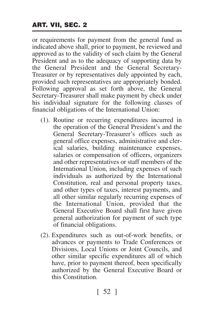or requirements for payment from the general fund as indicated above shall, prior to payment, be reviewed and approved as to the validity of such claim by the General President and as to the adequacy of supporting data by the General President and the General Secretary-Treasurer or by representatives duly appointed by each, provided such representatives are appropriately bonded. Following approval as set forth above, the General Secretary-Treasurer shall make payment by check under his individual signature for the following classes of financial obligations of the International Union:

- (1). Routine or recurring expenditures incurred in the operation of the General President's and the General Secretary-Treasurer's offices such as general office expenses, administrative and clerical salaries, building maintenance expenses, salaries or compensation of officers, organizers and other representatives or staff members of the International Union, including expenses of such individuals as authorized by the International Constitution, real and personal property taxes, and other types of taxes, interest payments, and all other similar regularly recurring expenses of the International Union, provided that the General Executive Board shall first have given general authorization for payment of such type of financial obligations.
- (2). Expenditures such as out-of-work benefits, or advances or payments to Trade Conferences or Divisions, Local Unions or Joint Councils, and other similar specific expenditures all of which have, prior to payment thereof, been specifically authorized by the General Executive Board or this Constitution.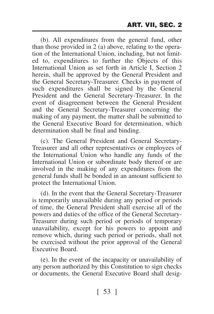(b). All expenditures from the general fund, other than those provided in 2 (a) above, relating to the operation of the International Union, including, but not limited to, expenditures to further the Objects of this International Union as set forth in Article I, Section 2 herein, shall be approved by the General President and the General Secretary-Treasurer. Checks in payment of such expenditures shall be signed by the General President and the General Secretary-Treasurer. In the event of disagreement between the General President and the General Secretary-Treasurer concerning the making of any payment, the matter shall be submitted to the General Executive Board for determination, which determination shall be final and binding.

(c). The General President and General Secretary-Treasurer and all other representatives or employees of the International Union who handle any funds of the International Union or subordinate body thereof or are involved in the making of any expenditures from the general funds shall be bonded in an amount sufficient to protect the International Union.

(d). In the event that the General Secretary-Treasurer is temporarily unavailable during any period or periods of time, the General President shall exercise all of the powers and duties of the office of the General Secretary-Treasurer during such period or periods of temporary unavailability, except for his powers to appoint and remove which, during such period or periods, shall not be exercised without the prior approval of the General Executive Board.

(e). In the event of the incapacity or unavailability of any person authorized by this Constitution to sign checks or documents, the General Executive Board shall desig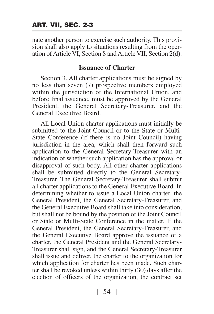nate another person to exercise such authority. This provision shall also apply to situations resulting from the operation of Article VI, Section 8 and Article VII, Section 2(d).

### **Issuance of Charter**

Section 3. All charter applications must be signed by no less than seven (7) prospective members employed within the jurisdiction of the International Union, and before final issuance, must be approved by the General President, the General Secretary-Treasurer, and the General Executive Board.

All Local Union charter applications must initially be submitted to the Joint Council or to the State or Multi-State Conference (if there is no Joint Council) having jurisdiction in the area, which shall then forward such application to the General Secretary-Treasurer with an indication of whether such application has the approval or disapproval of such body. All other charter applications shall be submitted directly to the General Secretary-Treasurer. The General Secretary-Treasurer shall submit all charter applications to the General Executive Board. In determining whether to issue a Local Union charter, the General President, the General Secretary-Treasurer, and the General Executive Board shall take into consideration, but shall not be bound by the position of the Joint Council or State or Multi-State Conference in the matter. If the General President, the General Secretary-Treasurer, and the General Executive Board approve the issuance of a charter, the General President and the General Secretary-Treasurer shall sign, and the General Secretary-Treasurer shall issue and deliver, the charter to the organization for which application for charter has been made. Such charter shall be revoked unless within thirty (30) days after the election of officers of the organization, the contract set

[ 54 ]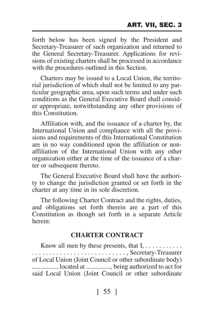forth below has been signed by the President and Secretary-Treasurer of such organization and returned to the General Secretary-Treasurer. Applications for revisions of existing charters shall be processed in accordance with the procedures outlined in this Section.

Charters may be issued to a Local Union, the territorial jurisdiction of which shall not be limited to any particular geographic area, upon such terms and under such conditions as the General Executive Board shall consider appropriate, notwithstanding any other provisions of this Constitution.

Affiliation with, and the issuance of a charter by, the International Union and compliance with all the provisions and requirements of this International Constitution are in no way conditioned upon the affiliation or nonaffiliation of the International Union with any other organization either at the time of the issuance of a charter or subsequent thereto.

The General Executive Board shall have the authority to change the jurisdiction granted or set forth in the charter at any time in its sole discretion.

The following Charter Contract and the rights, duties, and obligations set forth therein are a part of this Constitution as though set forth in a separate Article herein:

# **CHARTER CONTRACT**

Know all men by these presents, that  $I, \ldots, \ldots, \ldots$ . . . . . . . . . . . . , Secretary-Treasurer of Local Union (Joint Council or other subordinate body) ..............., located at ..............., being authorized to act for said Local Union (Joint Council or other subordinate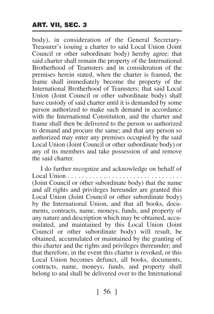body), in consideration of the General Secretary-Treasurer's issuing a charter to said Local Union (Joint Council or other subordinate body) hereby agree: that said charter shall remain the property of the International Brotherhood of Teamsters and in consideration of the premises herein stated, when the charter is framed, the frame shall immediately become the property of the International Brotherhood of Teamsters; that said Local Union (Joint Council or other subordinate body) shall have custody of said charter until it is demanded by some person authorized to make such demand in accordance with the International Constitution, and the charter and frame shall then be delivered to the person so authorized to demand and procure the same; and that any person so authorized may enter any premises occupied by the said Local Union (Joint Council or other subordinate body) or any of its members and take possession of and remove the said charter.

I do further recognize and acknowledge on behalf of Local Union . . . . . . . . . . .. . . . . . . . . . . . . . . . . . . . . . (Joint Council or other subordinate body) that the name and all rights and privileges hereunder are granted this Local Union (Joint Council or other subordinate body) by the International Union, and that all books, documents, contracts, name, moneys, funds, and property of any nature and description which may be obtained, accumulated, and maintained by this Local Union (Joint Council or other subordinate body) will result, be obtained, accumulated or maintained by the granting of this charter and the rights and privileges thereunder; and that therefore, in the event this charter is revoked, or this Local Union becomes defunct, all books, documents, contracts, name, moneys, funds, and property shall belong to and shall be delivered over to the International

[ 56 ]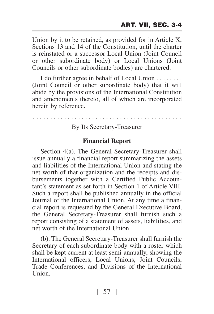Union by it to be retained, as provided for in Article X, Sections 13 and 14 of the Constitution, until the charter is reinstated or a successor Local Union (Joint Council or other subordinate body) or Local Unions (Joint Councils or other subordinate bodies) are chartered.

I do further agree in behalf of Local Union . . . . . . . . (Joint Council or other subordinate body) that it will abide by the provisions of the International Constitution and amendments thereto, all of which are incorporated herein by reference.

. . . . . . . . . . . . . . . . . . . . . . . . . . . . . . . . . . . . . . . . . . .

### By Its Secretary-Treasurer

### **Financial Report**

Section 4(a). The General Secretary-Treasurer shall issue annually a financial report summarizing the assets and liabilities of the International Union and stating the net worth of that organization and the receipts and disbursements together with a Certified Public Accountant's statement as set forth in Section 1 of Article VIII. Such a report shall be published annually in the official Journal of the International Union. At any time a financial report is requested by the General Executive Board, the General Secretary-Treasurer shall furnish such a report consisting of a statement of assets, liabilities, and net worth of the International Union.

(b). The General Secretary-Treasurer shall furnish the Secretary of each subordinate body with a roster which shall be kept current at least semi-annually, showing the International officers, Local Unions, Joint Councils, Trade Conferences, and Divisions of the International Union.

# [ 57 ]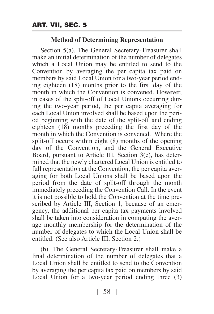# **Method of Determining Representation**

Section 5(a). The General Secretary-Treasurer shall make an initial determination of the number of delegates which a Local Union may be entitled to send to the Convention by averaging the per capita tax paid on members by said Local Union for a two-year period ending eighteen (18) months prior to the first day of the month in which the Convention is convened. However, in cases of the split-off of Local Unions occurring during the two-year period, the per capita averaging for each Local Union involved shall be based upon the period beginning with the date of the split-off and ending eighteen (18) months preceding the first day of the month in which the Convention is convened. Where the split-off occurs within eight (8) months of the opening day of the Convention, and the General Executive Board, pursuant to Article III, Section 3(c), has determined that the newly chartered Local Union is entitled to full representation at the Convention, the per capita averaging for both Local Unions shall be based upon the period from the date of split-off through the month immediately preceding the Convention Call. In the event it is not possible to hold the Convention at the time prescribed by Article III, Section 1, because of an emergency, the additional per capita tax payments involved shall be taken into consideration in computing the average monthly membership for the determination of the number of delegates to which the Local Union shall be entitled. (See also Article III, Section 2.)

(b). The General Secretary-Treasurer shall make a final determination of the number of delegates that a Local Union shall be entitled to send to the Convention by averaging the per capita tax paid on members by said Local Union for a two-year period ending three (3)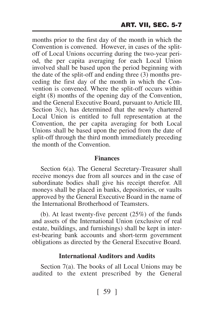months prior to the first day of the month in which the Convention is convened. However, in cases of the splitoff of Local Unions occurring during the two-year period, the per capita averaging for each Local Union involved shall be based upon the period beginning with the date of the split-off and ending three (3) months preceding the first day of the month in which the Convention is convened. Where the split-off occurs within eight (8) months of the opening day of the Convention, and the General Executive Board, pursuant to Article III, Section 3(c), has determined that the newly chartered Local Union is entitled to full representation at the Convention, the per capita averaging for both Local Unions shall be based upon the period from the date of split-off through the third month immediately preceding the month of the Convention.

### **Finances**

Section 6(a). The General Secretary-Treasurer shall receive moneys due from all sources and in the case of subordinate bodies shall give his receipt therefor. All moneys shall be placed in banks, depositories, or vaults approved by the General Executive Board in the name of the International Brotherhood of Teamsters.

(b). At least twenty-five percent (25%) of the funds and assets of the International Union (exclusive of real estate, buildings, and furnishings) shall be kept in interest-bearing bank accounts and short-term government obligations as directed by the General Executive Board.

# **International Auditors and Audits**

Section 7(a). The books of all Local Unions may be audited to the extent prescribed by the General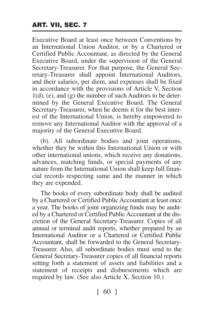Executive Board at least once between Conventions by an International Union Auditor, or by a Chartered or Certified Public Accountant, as directed by the General Executive Board, under the supervision of the General Secretary-Treasurer. For that purpose, the General Secretary-Treasurer shall appoint International Auditors, and their salaries, per diem, and expenses shall be fixed in accordance with the provisions of Article V, Section 1(d), (e), and (g) the number of such Auditors to be determined by the General Executive Board. The General Secretary-Treasurer, when he deems it for the best interest of the International Union, is hereby empowered to remove any International Auditor with the approval of a majority of the General Executive Board.

(b). All subordinate bodies and joint operations, whether they be within this International Union or with other international unions, which receive any donations, advances, matching funds, or special payments of any nature from the International Union shall keep full financial records respecting same and the manner in which they are expended.

The books of every subordinate body shall be audited by a Chartered or Certified Public Accountant at least once a year. The books of joint organizing funds may be audited by a Chartered or Certified Public Accountant at the discretion of the General Secretary-Treasurer. Copies of all annual or terminal audit reports, whether prepared by an International Auditor or a Chartered or Certified Public Accountant, shall be forwarded to the General Secretary-Treasurer. Also, all subordinate bodies must send to the General Secretary-Treasurer copies of all financial reports setting forth a statement of assets and liabilities and a statement of receipts and disbursements which are required by law. (See also Article X, Section 10.)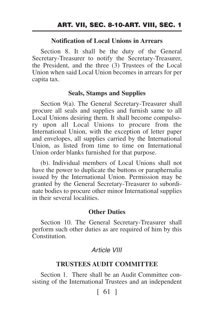## **Notification of Local Unions in Arrears**

Section 8. It shall be the duty of the General Secretary-Treasurer to notify the Secretary-Treasurer, the President, and the three (3) Trustees of the Local Union when said Local Union becomes in arrears for per capita tax.

### **Seals, Stamps and Supplies**

Section 9(a). The General Secretary-Treasurer shall procure all seals and supplies and furnish same to all Local Unions desiring them. It shall become compulsory upon all Local Unions to procure from the International Union, with the exception of letter paper and envelopes, all supplies carried by the International Union, as listed from time to time on International Union order blanks furnished for that purpose.

(b). Individual members of Local Unions shall not have the power to duplicate the buttons or paraphernalia issued by the International Union. Permission may be granted by the General Secretary-Treasurer to subordinate bodies to procure other minor International supplies in their several localities.

### **Other Duties**

Section 10. The General Secretary-Treasurer shall perform such other duties as are required of him by this Constitution.

## *Article VIII*

## **TRUSTEES AUDIT COMMITTEE**

Section 1. There shall be an Audit Committee consisting of the International Trustees and an independent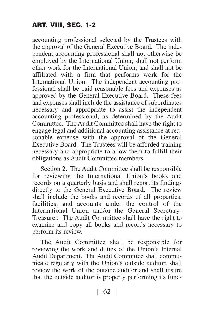accounting professional selected by the Trustees with the approval of the General Executive Board. The independent accounting professional shall not otherwise be employed by the International Union; shall not perform other work for the International Union; and shall not be affiliated with a firm that performs work for the International Union. The independent accounting professional shall be paid reasonable fees and expenses as approved by the General Executive Board. These fees and expenses shall include the assistance of subordinates necessary and appropriate to assist the independent accounting professional, as determined by the Audit Committee. The Audit Committee shall have the right to engage legal and additional accounting assistance at reasonable expense with the approval of the General Executive Board. The Trustees will be afforded training necessary and appropriate to allow them to fulfill their obligations as Audit Committee members.

Section 2. The Audit Committee shall be responsible for reviewing the International Union's books and records on a quarterly basis and shall report its findings directly to the General Executive Board. The review shall include the books and records of all properties, facilities, and accounts under the control of the International Union and/or the General Secretary-Treasurer. The Audit Committee shall have the right to examine and copy all books and records necessary to perform its review.

The Audit Committee shall be responsible for reviewing the work and duties of the Union's Internal Audit Department. The Audit Committee shall communicate regularly with the Union's outside auditor, shall review the work of the outside auditor and shall insure that the outside auditor is properly performing its func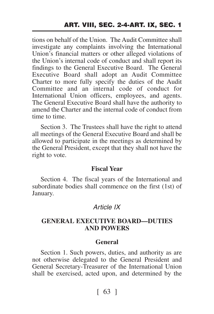tions on behalf of the Union. The Audit Committee shall investigate any complaints involving the International Union's financial matters or other alleged violations of the Union's internal code of conduct and shall report its findings to the General Executive Board. The General Executive Board shall adopt an Audit Committee Charter to more fully specify the duties of the Audit Committee and an internal code of conduct for International Union officers, employees, and agents. The General Executive Board shall have the authority to amend the Charter and the internal code of conduct from time to time.

Section 3. The Trustees shall have the right to attend all meetings of the General Executive Board and shall be allowed to participate in the meetings as determined by the General President, except that they shall not have the right to vote.

### **Fiscal Year**

Section 4. The fiscal years of the International and subordinate bodies shall commence on the first (1st) of January.

### *Article IX*

## **GENERAL EXECUTIVE BOARD—DUTIES AND POWERS**

### **General**

Section 1. Such powers, duties, and authority as are not otherwise delegated to the General President and General Secretary-Treasurer of the International Union shall be exercised, acted upon, and determined by the

[ 63 ]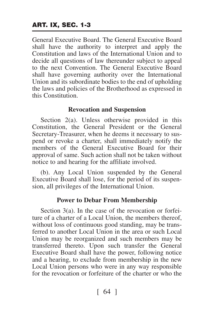General Executive Board. The General Executive Board shall have the authority to interpret and apply the Constitution and laws of the International Union and to decide all questions of law thereunder subject to appeal to the next Convention. The General Executive Board shall have governing authority over the International Union and its subordinate bodies to the end of upholding the laws and policies of the Brotherhood as expressed in this Constitution.

## **Revocation and Suspension**

Section 2(a). Unless otherwise provided in this Constitution, the General President or the General Secretary-Treasurer, when he deems it necessary to suspend or revoke a charter, shall immediately notify the members of the General Executive Board for their approval of same. Such action shall not be taken without notice to and hearing for the affiliate involved.

(b). Any Local Union suspended by the General Executive Board shall lose, for the period of its suspension, all privileges of the International Union.

## **Power to Debar From Membership**

Section 3(a). In the case of the revocation or forfeiture of a charter of a Local Union, the members thereof, without loss of continuous good standing, may be transferred to another Local Union in the area or such Local Union may be reorganized and such members may be transferred thereto. Upon such transfer the General Executive Board shall have the power, following notice and a hearing, to exclude from membership in the new Local Union persons who were in any way responsible for the revocation or forfeiture of the charter or who the

[ 64 ]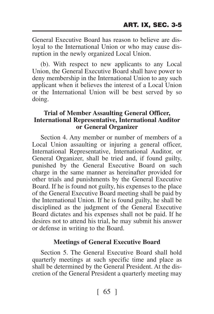General Executive Board has reason to believe are disloyal to the International Union or who may cause disruption in the newly organized Local Union.

(b). With respect to new applicants to any Local Union, the General Executive Board shall have power to deny membership in the International Union to any such applicant when it believes the interest of a Local Union or the International Union will be best served by so doing.

## **Trial of Member Assaulting General Officer, International Representative, International Auditor or General Organizer**

Section 4. Any member or number of members of a Local Union assaulting or injuring a general officer, International Representative, International Auditor, or General Organizer, shall be tried and, if found guilty, punished by the General Executive Board on such charge in the same manner as hereinafter provided for other trials and punishments by the General Executive Board. If he is found not guilty, his expenses to the place of the General Executive Board meeting shall be paid by the International Union. If he is found guilty, he shall be disciplined as the judgment of the General Executive Board dictates and his expenses shall not be paid. If he desires not to attend his trial, he may submit his answer or defense in writing to the Board.

# **Meetings of General Executive Board**

Section 5. The General Executive Board shall hold quarterly meetings at such specific time and place as shall be determined by the General President. At the discretion of the General President a quarterly meeting may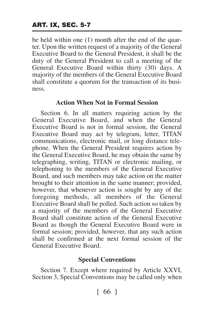be held within one (1) month after the end of the quarter. Upon the written request of a majority of the General Executive Board to the General President, it shall be the duty of the General President to call a meeting of the General Executive Board within thirty (30) days. A majority of the members of the General Executive Board shall constitute a quorum for the transaction of its business.

## **Action When Not in Formal Session**

Section 6. In all matters requiring action by the General Executive Board, and when the General Executive Board is not in formal session, the General Executive Board may act by telegram, letter, TITAN communications, electronic mail, or long distance telephone. When the General President requires action by the General Executive Board, he may obtain the same by telegraphing, writing, TITAN or electronic mailing, or telephoning to the members of the General Executive Board, and such members may take action on the matter brought to their attention in the same manner; provided, however, that whenever action is sought by any of the foregoing methods, all members of the General Executive Board shall be polled. Such action so taken by a majority of the members of the General Executive Board shall constitute action of the General Executive Board as though the General Executive Board were in formal session; provided, however, that any such action shall be confirmed at the next formal session of the General Executive Board.

# **Special Conventions**

Section 7. Except where required by Article XXVI, Section 3, Special Conventions may be called only when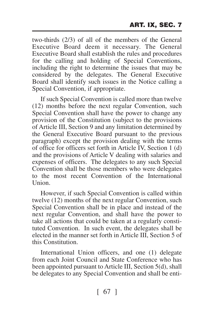two-thirds (2/3) of all of the members of the General Executive Board deem it necessary. The General Executive Board shall establish the rules and procedures for the calling and holding of Special Conventions, including the right to determine the issues that may be considered by the delegates. The General Executive Board shall identify such issues in the Notice calling a Special Convention, if appropriate.

If such Special Convention is called more than twelve (12) months before the next regular Convention, such Special Convention shall have the power to change any provision of the Constitution (subject to the provisions of Article III, Section 9 and any limitation determined by the General Executive Board pursuant to the previous paragraph) except the provision dealing with the terms of office for officers set forth in Article IV, Section 1 (d) and the provisions of Article V dealing with salaries and expenses of officers. The delegates to any such Special Convention shall be those members who were delegates to the most recent Convention of the International Union.

However, if such Special Convention is called within twelve (12) months of the next regular Convention, such Special Convention shall be in place and instead of the next regular Convention, and shall have the power to take all actions that could be taken at a regularly constituted Convention. In such event, the delegates shall be elected in the manner set forth in Article III, Section 5 of this Constitution.

International Union officers, and one (1) delegate from each Joint Council and State Conference who has been appointed pursuant to Article III, Section 5(d), shall be delegates to any Special Convention and shall be enti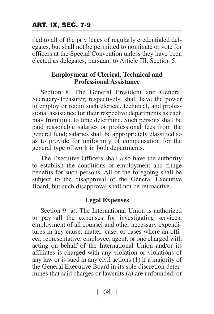tled to all of the privileges of regularly credentialed delegates, but shall not be permitted to nominate or vote for officers at the Special Convention unless they have been elected as delegates, pursuant to Article III, Section 5.

# **Employment of Clerical, Technical and Professional Assistance**

Section 8. The General President and General Secretary-Treasurer, respectively, shall have the power to employ or retain such clerical, technical, and professional assistance for their respective departments as each may from time to time determine. Such persons shall be paid reasonable salaries or professional fees from the general fund; salaries shall be appropriately classified so as to provide for uniformity of compensation for the general type of work in both departments.

The Executive Officers shall also have the authority to establish the conditions of employment and fringe benefits for such persons. All of the foregoing shall be subject to the disapproval of the General Executive Board, but such disapproval shall not be retroactive.

# **Legal Expenses**

Section 9 (a). The International Union is authorized to pay all the expenses for investigating services, employment of all counsel and other necessary expenditures in any cause, matter, case, or cases where an officer, representative, employee, agent, or one charged with acting on behalf of the International Union and/or its affiliates is charged with any violation or violations of any law or is sued in any civil actions (1) if a majority of the General Executive Board in its sole discretion determines that said charges or lawsuits (a) are unfounded, or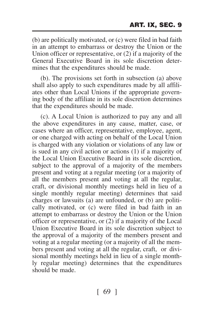(b) are politically motivated, or (c) were filed in bad faith in an attempt to embarrass or destroy the Union or the Union officer or representative, or (2) if a majority of the General Executive Board in its sole discretion determines that the expenditures should be made.

(b). The provisions set forth in subsection (a) above shall also apply to such expenditures made by all affiliates other than Local Unions if the appropriate governing body of the affiliate in its sole discretion determines that the expenditures should be made.

(c). A Local Union is authorized to pay any and all the above expenditures in any cause, matter, case, or cases where an officer, representative, employee, agent, or one charged with acting on behalf of the Local Union is charged with any violation or violations of any law or is sued in any civil action or actions (1) if a majority of the Local Union Executive Board in its sole discretion, subject to the approval of a majority of the members present and voting at a regular meeting (or a majority of all the members present and voting at all the regular, craft, or divisional monthly meetings held in lieu of a single monthly regular meeting) determines that said charges or lawsuits (a) are unfounded, or (b) are politically motivated, or (c) were filed in bad faith in an attempt to embarrass or destroy the Union or the Union officer or representative, or (2) if a majority of the Local Union Executive Board in its sole discretion subject to the approval of a majority of the members present and voting at a regular meeting (or a majority of all the members present and voting at all the regular, craft, or divisional monthly meetings held in lieu of a single monthly regular meeting) determines that the expenditures should be made.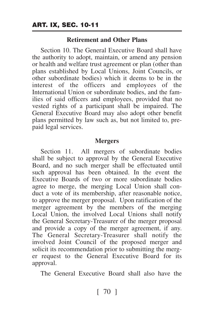#### **Retirement and Other Plans**

Section 10. The General Executive Board shall have the authority to adopt, maintain, or amend any pension or health and welfare trust agreement or plan (other than plans established by Local Unions, Joint Councils, or other subordinate bodies) which it deems to be in the interest of the officers and employees of the International Union or subordinate bodies, and the families of said officers and employees, provided that no vested rights of a participant shall be impaired. The General Executive Board may also adopt other benefit plans permitted by law such as, but not limited to, prepaid legal services.

# **Mergers**

Section 11. All mergers of subordinate bodies shall be subject to approval by the General Executive Board, and no such merger shall be effectuated until such approval has been obtained. In the event the Executive Boards of two or more subordinate bodies agree to merge, the merging Local Union shall conduct a vote of its membership, after reasonable notice, to approve the merger proposal. Upon ratification of the merger agreement by the members of the merging Local Union, the involved Local Unions shall notify the General Secretary-Treasurer of the merger proposal and provide a copy of the merger agreement, if any. The General Secretary-Treasurer shall notify the involved Joint Council of the proposed merger and solicit its recommendation prior to submitting the merger request to the General Executive Board for its approval.

The General Executive Board shall also have the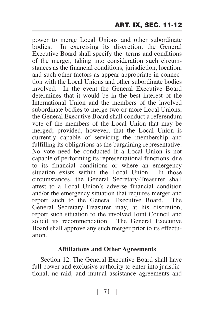power to merge Local Unions and other subordinate bodies. In exercising its discretion, the General Executive Board shall specify the terms and conditions of the merger, taking into consideration such circumstances as the financial conditions, jurisdiction, location, and such other factors as appear appropriate in connection with the Local Unions and other subordinate bodies involved. In the event the General Executive Board determines that it would be in the best interest of the International Union and the members of the involved subordinate bodies to merge two or more Local Unions, the General Executive Board shall conduct a referendum vote of the members of the Local Union that may be merged; provided, however, that the Local Union is currently capable of servicing the membership and fulfilling its obligations as the bargaining representative. No vote need be conducted if a Local Union is not capable of performing its representational functions, due to its financial conditions or where an emergency situation exists within the Local Union. In those circumstances, the General Secretary-Treasurer shall attest to a Local Union's adverse financial condition and/or the emergency situation that requires merger and report such to the General Executive Board. General Secretary-Treasurer may, at his discretion, report such situation to the involved Joint Council and solicit its recommendation. The General Executive Board shall approve any such merger prior to its effectuation.

# **Affiliations and Other Agreements**

Section 12. The General Executive Board shall have full power and exclusive authority to enter into jurisdictional, no-raid, and mutual assistance agreements and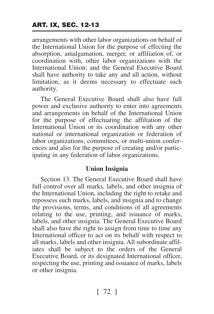arrangements with other labor organizations on behalf of the International Union for the purpose of effecting the absorption, amalgamation, merger, or affiliation of, or coordination with, other labor organizations with the International Union; and the General Executive Board shall have authority to take any and all action, without limitation, as it deems necessary to effectuate such authority.

The General Executive Board shall also have full power and exclusive authority to enter into agreements and arrangements on behalf of the International Union for the purpose of effectuating the affiliation of the International Union or its coordination with any other national or international organization or federation of labor organizations, committees, or multi-union conferences and also for the purpose of creating and/or participating in any federation of labor organizations.

## **Union Insignia**

Section 13. The General Executive Board shall have full control over all marks, labels, and other insignia of the International Union, including the right to retake and repossess such marks, labels, and insignia and to change the provisions, terms, and conditions of all agreements relating to the use, printing, and issuance of marks, labels, and other insignia. The General Executive Board shall also have the right to assign from time to time any International officer to act on its behalf with respect to all marks, labels and other insignia. All subordinate affiliates shall be subject to the orders of the General Executive Board, or its designated International officer, respecting the use, printing and issuance of marks, labels or other insignia.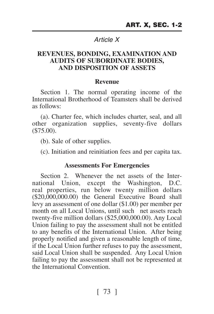#### *Article X*

# **REVENUES, BONDING, EXAMINATION AND AUDITS OF SUBORDINATE BODIES, AND DISPOSITION OF ASSETS**

#### **Revenue**

Section 1. The normal operating income of the International Brotherhood of Teamsters shall be derived as follows:

(a). Charter fee, which includes charter, seal, and all other organization supplies, seventy-five dollars (\$75.00).

(b). Sale of other supplies.

(c). Initiation and reinitiation fees and per capita tax.

#### **Assessments For Emergencies**

Section 2. Whenever the net assets of the International Union, except the Washington, D.C. real properties, run below twenty million dollars (\$20,000,000.00) the General Executive Board shall levy an assessment of one dollar (\$1.00) per member per month on all Local Unions, until such net assets reach twenty-five million dollars (\$25,000,000.00). Any Local Union failing to pay the assessment shall not be entitled to any benefits of the International Union. After being properly notified and given a reasonable length of time, if the Local Union further refuses to pay the assessment, said Local Union shall be suspended. Any Local Union failing to pay the assessment shall not be represented at the International Convention.

# [ 73 ]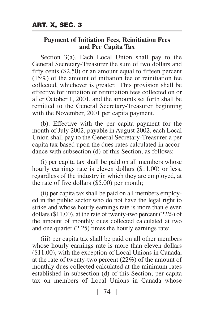#### **Payment of Initiation Fees, Reinitiation Fees and Per Capita Tax**

Section 3(a). Each Local Union shall pay to the General Secretary-Treasurer the sum of two dollars and fifty cents (\$2.50) or an amount equal to fifteen percent  $(15\%)$  of the amount of initiation fee or reinitiation fee collected, whichever is greater. This provision shall be effective for initiation or reinitiation fees collected on or after October 1, 2001, and the amounts set forth shall be remitted to the General Secretary-Treasurer beginning with the November, 2001 per capita payment.

(b). Effective with the per capita payment for the month of July 2002, payable in August 2002, each Local Union shall pay to the General Secretary-Treasurer a per capita tax based upon the dues rates calculated in accordance with subsection (d) of this Section, as follows:

(i) per capita tax shall be paid on all members whose hourly earnings rate is eleven dollars  $(\$11.00)$  or less, regardless of the industry in which they are employed, at the rate of five dollars (\$5.00) per month;

(ii) per capita tax shall be paid on all members employed in the public sector who do not have the legal right to strike and whose hourly earnings rate is more than eleven dollars (\$11.00), at the rate of twenty-two percent (22%) of the amount of monthly dues collected calculated at two and one quarter (2.25) times the hourly earnings rate;

(iii) per capita tax shall be paid on all other members whose hourly earnings rate is more than eleven dollars (\$11.00), with the exception of Local Unions in Canada, at the rate of twenty-two percent (22%) of the amount of monthly dues collected calculated at the minimum rates established in subsection (d) of this Section; per capita tax on members of Local Unions in Canada whose

[ 74 ]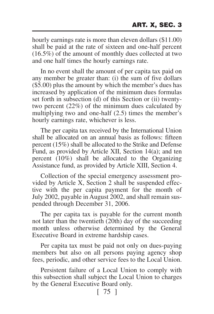hourly earnings rate is more than eleven dollars (\$11.00) shall be paid at the rate of sixteen and one-half percent (16.5%) of the amount of monthly dues collected at two and one half times the hourly earnings rate.

In no event shall the amount of per capita tax paid on any member be greater than: (i) the sum of five dollars (\$5.00) plus the amount by which the member's dues has increased by application of the minimum dues formulas set forth in subsection (d) of this Section or (ii) twentytwo percent (22%) of the minimum dues calculated by multiplying two and one-half (2.5) times the member's hourly earnings rate, whichever is less.

The per capita tax received by the International Union shall be allocated on an annual basis as follows: fifteen percent (15%) shall be allocated to the Strike and Defense Fund, as provided by Article XII, Section 14(a); and ten percent  $(10\%)$  shall be allocated to the Organizing Assistance fund, as provided by Article XIII, Section 4.

Collection of the special emergency assessment provided by Article X, Section 2 shall be suspended effective with the per capita payment for the month of July 2002, payable in August 2002, and shall remain suspended through December 31, 2006.

The per capita tax is payable for the current month not later than the twentieth (20th) day of the succeeding month unless otherwise determined by the General Executive Board in extreme hardship cases.

Per capita tax must be paid not only on dues-paying members but also on all persons paying agency shop fees, periodic, and other service fees to the Local Union.

Persistent failure of a Local Union to comply with this subsection shall subject the Local Union to charges by the General Executive Board only.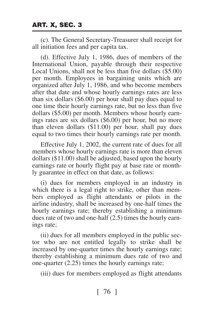(c). The General Secretary-Treasurer shall receipt for all initiation fees and per capita tax.

(d). Effective July 1, 1986, dues of members of the International Union, payable through their respective Local Unions, shall not be less than five dollars (\$5.00) per month. Employees in bargaining units which are organized after July 1, 1986, and who become members after that date and whose hourly earnings rates are less than six dollars (\$6.00) per hour shall pay dues equal to one time their hourly earnings rate, but no less than five dollars (\$5.00) per month. Members whose hourly earnings rates are six dollars (\$6.00) per hour, but no more than eleven dollars (\$11.00) per hour, shall pay dues equal to two times their hourly earnings rate per month.

Effective July 1, 2002, the current rate of dues for all members whose hourly earnings rate is more than eleven dollars (\$11.00) shall be adjusted, based upon the hourly earnings rate or hourly flight pay at base rate or monthly guarantee in effect on that date, as follows:

(i) dues for members employed in an industry in which there is a legal right to strike, other than members employed as flight attendants or pilots in the airline industry, shall be increased by one-half times the hourly earnings rate; thereby establishing a minimum dues rate of two and one-half (2.5) times the hourly earnings rate;

(ii) dues for all members employed in the public sector who are not entitled legally to strike shall be increased by one-quarter times the hourly earnings rate; thereby establishing a minimum dues rate of two and one-quarter (2.25) times the hourly earnings rate;

(iii) dues for members employed as flight attendants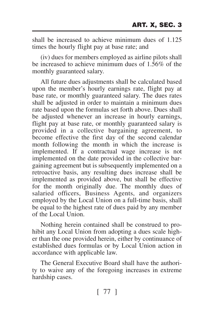shall be increased to achieve minimum dues of 1.125 times the hourly flight pay at base rate; and

(iv) dues for members employed as airline pilots shall be increased to achieve minimum dues of 1.56% of the monthly guaranteed salary.

All future dues adjustments shall be calculated based upon the member's hourly earnings rate, flight pay at base rate, or monthly guaranteed salary. The dues rates shall be adjusted in order to maintain a minimum dues rate based upon the formulas set forth above. Dues shall be adjusted whenever an increase in hourly earnings, flight pay at base rate, or monthly guaranteed salary is provided in a collective bargaining agreement, to become effective the first day of the second calendar month following the month in which the increase is implemented. If a contractual wage increase is not implemented on the date provided in the collective bargaining agreement but is subsequently implemented on a retroactive basis, any resulting dues increase shall be implemented as provided above, but shall be effective for the month originally due. The monthly dues of salaried officers, Business Agents, and organizers employed by the Local Union on a full-time basis, shall be equal to the highest rate of dues paid by any member of the Local Union.

Nothing herein contained shall be construed to prohibit any Local Union from adopting a dues scale higher than the one provided herein, either by continuance of established dues formulas or by Local Union action in accordance with applicable law.

The General Executive Board shall have the authority to waive any of the foregoing increases in extreme hardship cases.

[ 77 ]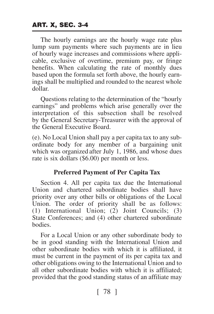The hourly earnings are the hourly wage rate plus lump sum payments where such payments are in lieu of hourly wage increases and commissions where applicable, exclusive of overtime, premium pay, or fringe benefits. When calculating the rate of monthly dues based upon the formula set forth above, the hourly earnings shall be multiplied and rounded to the nearest whole dollar.

Questions relating to the determination of the "hourly earnings" and problems which arise generally over the interpretation of this subsection shall be resolved by the General Secretary-Treasurer with the approval of the General Executive Board.

(e). No Local Union shall pay a per capita tax to any subordinate body for any member of a bargaining unit which was organized after July 1, 1986, and whose dues rate is six dollars (\$6.00) per month or less.

#### **Preferred Payment of Per Capita Tax**

Section 4. All per capita tax due the International Union and chartered subordinate bodies shall have priority over any other bills or obligations of the Local Union. The order of priority shall be as follows: (1) International Union; (2) Joint Councils; (3) State Conferences; and (4) other chartered subordinate bodies.

For a Local Union or any other subordinate body to be in good standing with the International Union and other subordinate bodies with which it is affiliated, it must be current in the payment of its per capita tax and other obligations owing to the International Union and to all other subordinate bodies with which it is affiliated; provided that the good standing status of an affiliate may

[ 78 ]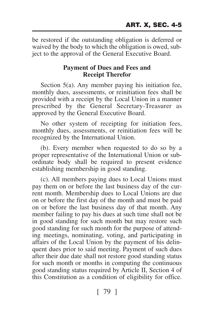be restored if the outstanding obligation is deferred or waived by the body to which the obligation is owed, subject to the approval of the General Executive Board.

# **Payment of Dues and Fees and Receipt Therefor**

Section 5(a). Any member paying his initiation fee, monthly dues, assessments, or reinitiation fees shall be provided with a receipt by the Local Union in a manner prescribed by the General Secretary-Treasurer as approved by the General Executive Board.

No other system of receipting for initiation fees, monthly dues, assessments, or reinitiation fees will be recognized by the International Union.

(b). Every member when requested to do so by a proper representative of the International Union or subordinate body shall be required to present evidence establishing membership in good standing.

(c). All members paying dues to Local Unions must pay them on or before the last business day of the current month. Membership dues to Local Unions are due on or before the first day of the month and must be paid on or before the last business day of that month. Any member failing to pay his dues at such time shall not be in good standing for such month but may restore such good standing for such month for the purpose of attending meetings, nominating, voting, and participating in affairs of the Local Union by the payment of his delinquent dues prior to said meeting. Payment of such dues after their due date shall not restore good standing status for such month or months in computing the continuous good standing status required by Article II, Section 4 of this Constitution as a condition of eligibility for office.

[ 79 ]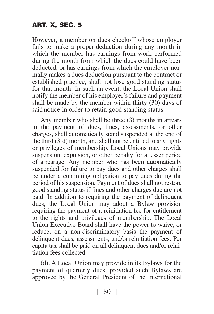However, a member on dues checkoff whose employer fails to make a proper deduction during any month in which the member has earnings from work performed during the month from which the dues could have been deducted, or has earnings from which the employer normally makes a dues deduction pursuant to the contract or established practice, shall not lose good standing status for that month. In such an event, the Local Union shall notify the member of his employer's failure and payment shall be made by the member within thirty (30) days of said notice in order to retain good standing status.

Any member who shall be three (3) months in arrears in the payment of dues, fines, assessments, or other charges, shall automatically stand suspended at the end of the third (3rd) month, and shall not be entitled to any rights or privileges of membership. Local Unions may provide suspension, expulsion, or other penalty for a lesser period of arrearage. Any member who has been automatically suspended for failure to pay dues and other charges shall be under a continuing obligation to pay dues during the period of his suspension. Payment of dues shall not restore good standing status if fines and other charges due are not paid. In addition to requiring the payment of delinquent dues, the Local Union may adopt a Bylaw provision requiring the payment of a reinitiation fee for entitlement to the rights and privileges of membership. The Local Union Executive Board shall have the power to waive, or reduce, on a non-discriminatory basis the payment of delinquent dues, assessments, and/or reinitiation fees. Per capita tax shall be paid on all delinquent dues and/or reinitiation fees collected.

(d). A Local Union may provide in its Bylaws for the payment of quarterly dues, provided such Bylaws are approved by the General President of the International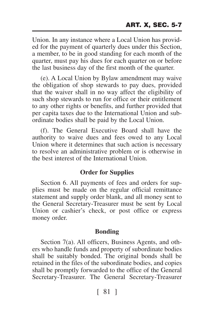Union. In any instance where a Local Union has provided for the payment of quarterly dues under this Section, a member, to be in good standing for each month of the quarter, must pay his dues for each quarter on or before the last business day of the first month of the quarter.

(e). A Local Union by Bylaw amendment may waive the obligation of shop stewards to pay dues, provided that the waiver shall in no way affect the eligibility of such shop stewards to run for office or their entitlement to any other rights or benefits, and further provided that per capita taxes due to the International Union and subordinate bodies shall be paid by the Local Union.

(f). The General Executive Board shall have the authority to waive dues and fees owed to any Local Union where it determines that such action is necessary to resolve an administrative problem or is otherwise in the best interest of the International Union.

#### **Order for Supplies**

Section 6. All payments of fees and orders for supplies must be made on the regular official remittance statement and supply order blank, and all money sent to the General Secretary-Treasurer must be sent by Local Union or cashier's check, or post office or express money order.

#### **Bonding**

Section 7(a). All officers, Business Agents, and others who handle funds and property of subordinate bodies shall be suitably bonded. The original bonds shall be retained in the files of the subordinate bodies, and copies shall be promptly forwarded to the office of the General Secretary-Treasurer. The General Secretary-Treasurer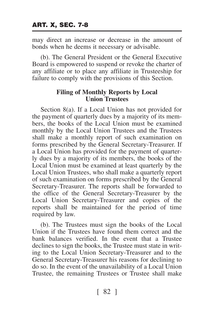may direct an increase or decrease in the amount of bonds when he deems it necessary or advisable.

(b). The General President or the General Executive Board is empowered to suspend or revoke the charter of any affiliate or to place any affiliate in Trusteeship for failure to comply with the provisions of this Section.

#### **Filing of Monthly Reports by Local Union Trustees**

Section 8(a). If a Local Union has not provided for the payment of quarterly dues by a majority of its members, the books of the Local Union must be examined monthly by the Local Union Trustees and the Trustees shall make a monthly report of such examination on forms prescribed by the General Secretary-Treasurer. If a Local Union has provided for the payment of quarterly dues by a majority of its members, the books of the Local Union must be examined at least quarterly by the Local Union Trustees, who shall make a quarterly report of such examination on forms prescribed by the General Secretary-Treasurer. The reports shall be forwarded to the office of the General Secretary-Treasurer by the Local Union Secretary-Treasurer and copies of the reports shall be maintained for the period of time required by law.

(b). The Trustees must sign the books of the Local Union if the Trustees have found them correct and the bank balances verified. In the event that a Trustee declines to sign the books, the Trustee must state in writing to the Local Union Secretary-Treasurer and to the General Secretary-Treasurer his reasons for declining to do so. In the event of the unavailability of a Local Union Trustee, the remaining Trustees or Trustee shall make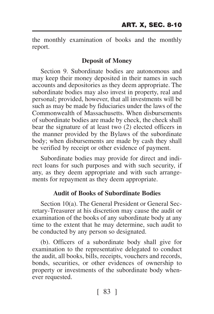the monthly examination of books and the monthly report.

# **Deposit of Money**

Section 9. Subordinate bodies are autonomous and may keep their money deposited in their names in such accounts and depositories as they deem appropriate. The subordinate bodies may also invest in property, real and personal; provided, however, that all investments will be such as may be made by fiduciaries under the laws of the Commonwealth of Massachusetts. When disbursements of subordinate bodies are made by check, the check shall bear the signature of at least two (2) elected officers in the manner provided by the Bylaws of the subordinate body; when disbursements are made by cash they shall be verified by receipt or other evidence of payment.

Subordinate bodies may provide for direct and indirect loans for such purposes and with such security, if any, as they deem appropriate and with such arrangements for repayment as they deem appropriate.

# **Audit of Books of Subordinate Bodies**

Section 10(a). The General President or General Secretary-Treasurer at his discretion may cause the audit or examination of the books of any subordinate body at any time to the extent that he may determine, such audit to be conducted by any person so designated.

(b). Officers of a subordinate body shall give for examination to the representative delegated to conduct the audit, all books, bills, receipts, vouchers and records, bonds, securities, or other evidences of ownership to property or investments of the subordinate body whenever requested.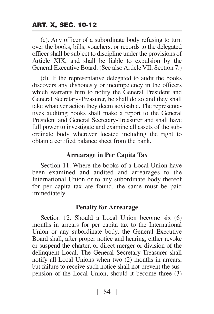(c). Any officer of a subordinate body refusing to turn over the books, bills, vouchers, or records to the delegated officer shall be subject to discipline under the provisions of Article XIX, and shall be liable to expulsion by the General Executive Board. (See also Article VII, Section 7.)

(d). If the representative delegated to audit the books discovers any dishonesty or incompetency in the officers which warrants him to notify the General President and General Secretary-Treasurer, he shall do so and they shall take whatever action they deem advisable. The representatives auditing books shall make a report to the General President and General Secretary-Treasurer and shall have full power to investigate and examine all assets of the subordinate body wherever located including the right to obtain a certified balance sheet from the bank.

# **Arrearage in Per Capita Tax**

Section 11. Where the books of a Local Union have been examined and audited and arrearages to the International Union or to any subordinate body thereof for per capita tax are found, the same must be paid immediately.

#### **Penalty for Arrearage**

Section 12. Should a Local Union become six (6) months in arrears for per capita tax to the International Union or any subordinate body, the General Executive Board shall, after proper notice and hearing, either revoke or suspend the charter, or direct merger or division of the delinquent Local. The General Secretary-Treasurer shall notify all Local Unions when two (2) months in arrears, but failure to receive such notice shall not prevent the suspension of the Local Union, should it become three (3)

[ 84 ]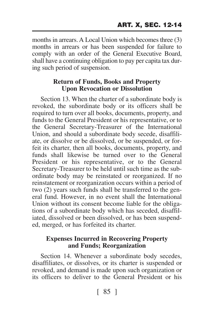months in arrears. A Local Union which becomes three (3) months in arrears or has been suspended for failure to comply with an order of the General Executive Board, shall have a continuing obligation to pay per capita tax during such period of suspension.

# **Return of Funds, Books and Property Upon Revocation or Dissolution**

Section 13. When the charter of a subordinate body is revoked, the subordinate body or its officers shall be required to turn over all books, documents, property, and funds to the General President or his representative, or to the General Secretary-Treasurer of the International Union, and should a subordinate body secede, disaffiliate, or dissolve or be dissolved, or be suspended, or forfeit its charter, then all books, documents, property, and funds shall likewise be turned over to the General President or his representative, or to the General Secretary-Treasurer to be held until such time as the subordinate body may be reinstated or reorganized. If no reinstatement or reorganization occurs within a period of two (2) years such funds shall be transferred to the general fund. However, in no event shall the International Union without its consent become liable for the obligations of a subordinate body which has seceded, disaffiliated, dissolved or been dissolved, or has been suspended, merged, or has forfeited its charter.

### **Expenses Incurred in Recovering Property and Funds; Reorganization**

Section 14. Whenever a subordinate body secedes, disaffiliates, or dissolves, or its charter is suspended or revoked, and demand is made upon such organization or its officers to deliver to the General President or his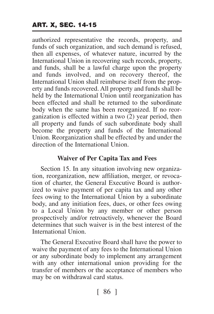authorized representative the records, property, and funds of such organization, and such demand is refused, then all expenses, of whatever nature, incurred by the International Union in recovering such records, property, and funds, shall be a lawful charge upon the property and funds involved, and on recovery thereof, the International Union shall reimburse itself from the property and funds recovered. All property and funds shall be held by the International Union until reorganization has been effected and shall be returned to the subordinate body when the same has been reorganized. If no reorganization is effected within a two  $(2)$  year period, then all property and funds of such subordinate body shall become the property and funds of the International Union. Reorganization shall be effected by and under the direction of the International Union.

# **Waiver of Per Capita Tax and Fees**

Section 15. In any situation involving new organization, reorganization, new affiliation, merger, or revocation of charter, the General Executive Board is authorized to waive payment of per capita tax and any other fees owing to the International Union by a subordinate body, and any initiation fees, dues, or other fees owing to a Local Union by any member or other person prospectively and/or retroactively, whenever the Board determines that such waiver is in the best interest of the International Union.

The General Executive Board shall have the power to waive the payment of any fees to the International Union or any subordinate body to implement any arrangement with any other international union providing for the transfer of members or the acceptance of members who may be on withdrawal card status.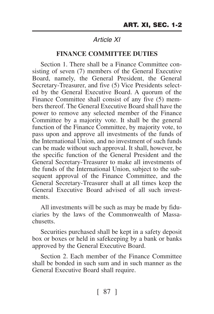### *Article XI*

## **FINANCE COMMITTEE DUTIES**

Section 1. There shall be a Finance Committee consisting of seven (7) members of the General Executive Board, namely, the General President, the General Secretary-Treasurer, and five (5) Vice Presidents selected by the General Executive Board. A quorum of the Finance Committee shall consist of any five (5) members thereof. The General Executive Board shall have the power to remove any selected member of the Finance Committee by a majority vote. It shall be the general function of the Finance Committee, by majority vote, to pass upon and approve all investments of the funds of the International Union, and no investment of such funds can be made without such approval. It shall, however, be the specific function of the General President and the General Secretary-Treasurer to make all investments of the funds of the International Union, subject to the subsequent approval of the Finance Committee, and the General Secretary-Treasurer shall at all times keep the General Executive Board advised of all such investments.

All investments will be such as may be made by fiduciaries by the laws of the Commonwealth of Massachusetts.

Securities purchased shall be kept in a safety deposit box or boxes or held in safekeeping by a bank or banks approved by the General Executive Board.

Section 2. Each member of the Finance Committee shall be bonded in such sum and in such manner as the General Executive Board shall require.

# [ 87 ]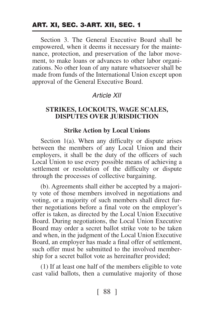Section 3. The General Executive Board shall be empowered, when it deems it necessary for the maintenance, protection, and preservation of the labor movement, to make loans or advances to other labor organizations. No other loan of any nature whatsoever shall be made from funds of the International Union except upon approval of the General Executive Board.

# *Article XII*

# **STRIKES, LOCKOUTS, WAGE SCALES, DISPUTES OVER JURISDICTION**

### **Strike Action by Local Unions**

Section 1(a). When any difficulty or dispute arises between the members of any Local Union and their employers, it shall be the duty of the officers of such Local Union to use every possible means of achieving a settlement or resolution of the difficulty or dispute through the processes of collective bargaining.

(b). Agreements shall either be accepted by a majority vote of those members involved in negotiations and voting, or a majority of such members shall direct further negotiations before a final vote on the employer's offer is taken, as directed by the Local Union Executive Board. During negotiations, the Local Union Executive Board may order a secret ballot strike vote to be taken and when, in the judgment of the Local Union Executive Board, an employer has made a final offer of settlement, such offer must be submitted to the involved membership for a secret ballot vote as hereinafter provided;

(1) If at least one half of the members eligible to vote cast valid ballots, then a cumulative majority of those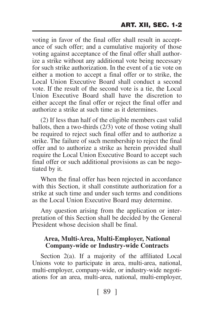voting in favor of the final offer shall result in acceptance of such offer; and a cumulative majority of those voting against acceptance of the final offer shall authorize a strike without any additional vote being necessary for such strike authorization. In the event of a tie vote on either a motion to accept a final offer or to strike, the Local Union Executive Board shall conduct a second vote. If the result of the second vote is a tie, the Local Union Executive Board shall have the discretion to either accept the final offer or reject the final offer and authorize a strike at such time as it determines.

(2) If less than half of the eligible members cast valid ballots, then a two-thirds (2/3) vote of those voting shall be required to reject such final offer and to authorize a strike. The failure of such membership to reject the final offer and to authorize a strike as herein provided shall require the Local Union Executive Board to accept such final offer or such additional provisions as can be negotiated by it.

When the final offer has been rejected in accordance with this Section, it shall constitute authorization for a strike at such time and under such terms and conditions as the Local Union Executive Board may determine.

Any question arising from the application or interpretation of this Section shall be decided by the General President whose decision shall be final.

### **Area, Multi-Area, Multi-Employer, National Company-wide or Industry-wide Contracts**

Section 2(a). If a majority of the affiliated Local Unions vote to participate in area, multi-area, national, multi-employer, company-wide, or industry-wide negotiations for an area, multi-area, national, multi-employer,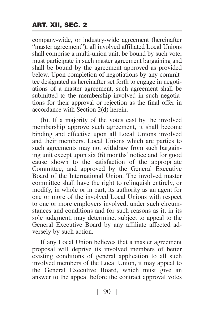company-wide, or industry-wide agreement (hereinafter "master agreement"), all involved affiliated Local Unions shall comprise a multi-union unit, be bound by such vote, must participate in such master agreement bargaining and shall be bound by the agreement approved as provided below. Upon completion of negotiations by any committee designated as hereinafter set forth to engage in negotiations of a master agreement, such agreement shall be submitted to the membership involved in such negotiations for their approval or rejection as the final offer in accordance with Section 2(d) herein.

(b). If a majority of the votes cast by the involved membership approve such agreement, it shall become binding and effective upon all Local Unions involved and their members. Local Unions which are parties to such agreements may not withdraw from such bargaining unit except upon six (6) months' notice and for good cause shown to the satisfaction of the appropriate Committee, and approved by the General Executive Board of the International Union. The involved master committee shall have the right to relinquish entirely, or modify, in whole or in part, its authority as an agent for one or more of the involved Local Unions with respect to one or more employers involved, under such circumstances and conditions and for such reasons as it, in its sole judgment, may determine, subject to appeal to the General Executive Board by any affiliate affected adversely by such action.

If any Local Union believes that a master agreement proposal will deprive its involved members of better existing conditions of general application to all such involved members of the Local Union, it may appeal to the General Executive Board, which must give an answer to the appeal before the contract approval votes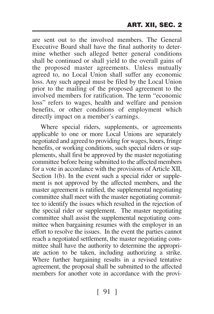are sent out to the involved members. The General Executive Board shall have the final authority to determine whether such alleged better general conditions shall be continued or shall yield to the overall gains of the proposed master agreements. Unless mutually agreed to, no Local Union shall suffer any economic loss. Any such appeal must be filed by the Local Union prior to the mailing of the proposed agreement to the involved members for ratification. The term "economic loss" refers to wages, health and welfare and pension benefits, or other conditions of employment which directly impact on a member's earnings.

Where special riders, supplements, or agreements applicable to one or more Local Unions are separately negotiated and agreed to providing for wages, hours, fringe benefits, or working conditions, such special riders or supplements, shall first be approved by the master negotiating committee before being submitted to the affected members for a vote in accordance with the provisions of Article XII, Section 1(b). In the event such a special rider or supplement is not approved by the affected members, and the master agreement is ratified, the supplemental negotiating committee shall meet with the master negotiating committee to identify the issues which resulted in the rejection of the special rider or supplement. The master negotiating committee shall assist the supplemental negotiating committee when bargaining resumes with the employer in an effort to resolve the issues. In the event the parties cannot reach a negotiated settlement, the master negotiating committee shall have the authority to determine the appropriate action to be taken, including authorizing a strike. Where further bargaining results in a revised tentative agreement, the proposal shall be submitted to the affected members for another vote in accordance with the provi-

[ 91 ]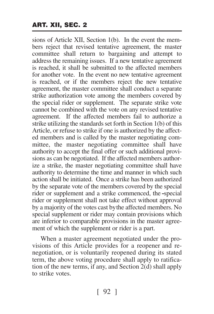sions of Article XII, Section 1(b). In the event the members reject that revised tentative agreement, the master committee shall return to bargaining and attempt to address the remaining issues. If a new tentative agreement is reached, it shall be submitted to the affected members for another vote. In the event no new tentative agreement is reached, or if the members reject the new tentative agreement, the master committee shall conduct a separate strike authorization vote among the members covered by the special rider or supplement. The separate strike vote cannot be combined with the vote on any revised tentative agreement. If the affected members fail to authorize a strike utilizing the standards set forth in Section 1(b) of this Article, or refuse to strike if one is authorized by the affected members and is called by the master negotiating committee, the master negotiating committee shall have authority to accept the final offer or such additional provisions as can be negotiated. If the affected members authorize a strike, the master negotiating committee shall have authority to determine the time and manner in which such action shall be initiated. Once a strike has been authorized by the separate vote of the members covered by the special rider or supplement and a strike commenced, the special rider or supplement shall not take effect without approval by a majority of the votes cast bythe affected members. No special supplement or rider may contain provisions which are inferior to comparable provisions in the master agreement of which the supplement or rider is a part.

When a master agreement negotiated under the provisions of this Article provides for a reopener and renegotiation, or is voluntarily reopened during its stated term, the above voting procedure shall apply to ratification of the new terms, if any, and Section  $2(d)$  shall apply to strike votes.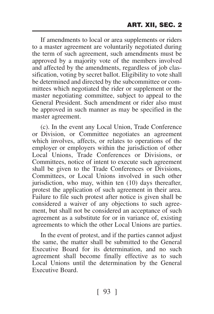If amendments to local or area supplements or riders to a master agreement are voluntarily negotiated during the term of such agreement, such amendments must be approved by a majority vote of the members involved and affected by the amendments, regardless of job classification, voting by secret ballot. Eligibility to vote shall be determined and directed by the subcommittee or committees which negotiated the rider or supplement or the master negotiating committee, subject to appeal to the General President. Such amendment or rider also must be approved in such manner as may be specified in the master agreement.

(c). In the event any Local Union, Trade Conference or Division, or Committee negotiates an agreement which involves, affects, or relates to operations of the employer or employers within the jurisdiction of other Local Unions, Trade Conferences or Divisions, or Committees, notice of intent to execute such agreement shall be given to the Trade Conferences or Divisions, Committees, or Local Unions involved in such other jurisdiction, who may, within ten (10) days thereafter, protest the application of such agreement in their area. Failure to file such protest after notice is given shall be considered a waiver of any objections to such agreement, but shall not be considered an acceptance of such agreement as a substitute for or in variance of, existing agreements to which the other Local Unions are parties.

In the event of protest, and if the parties cannot adjust the same, the matter shall be submitted to the General Executive Board for its determination, and no such agreement shall become finally effective as to such Local Unions until the determination by the General Executive Board.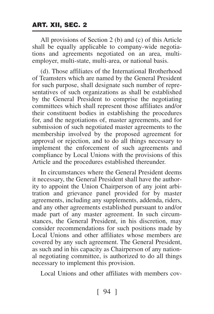All provisions of Section 2 (b) and (c) of this Article shall be equally applicable to company-wide negotiations and agreements negotiated on an area, multiemployer, multi-state, multi-area, or national basis.

(d). Those affiliates of the International Brotherhood of Teamsters which are named by the General President for such purpose, shall designate such number of representatives of such organizations as shall be established by the General President to comprise the negotiating committees which shall represent those affiliates and/or their constituent bodies in establishing the procedures for, and the negotiations of, master agreements, and for submission of such negotiated master agreements to the membership involved by the proposed agreement for approval or rejection, and to do all things necessary to implement the enforcement of such agreements and compliance by Local Unions with the provisions of this Article and the procedures established thereunder.

In circumstances where the General President deems it necessary, the General President shall have the authority to appoint the Union Chairperson of any joint arbitration and grievance panel provided for by master agreements, including any supplements, addenda, riders, and any other agreements established pursuant to and/or made part of any master agreement. In such circumstances, the General President, in his discretion, may consider recommendations for such positions made by Local Unions and other affiliates whose members are covered by any such agreement. The General President, as such and in his capacity as Chairperson of any national negotiating committee, is authorized to do all things necessary to implement this provision.

Local Unions and other affiliates with members cov-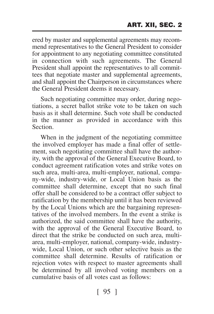ered by master and supplemental agreements may recommend representatives to the General President to consider for appointment to any negotiating committee constituted in connection with such agreements. The General President shall appoint the representatives to all committees that negotiate master and supplemental agreements, and shall appoint the Chairperson in circumstances where the General President deems it necessary.

Such negotiating committee may order, during negotiations, a secret ballot strike vote to be taken on such basis as it shall determine. Such vote shall be conducted in the manner as provided in accordance with this Section.

When in the judgment of the negotiating committee the involved employer has made a final offer of settlement, such negotiating committee shall have the authority, with the approval of the General Executive Board, to conduct agreement ratification votes and strike votes on such area, multi-area, multi-employer, national, company-wide, industry-wide, or Local Union basis as the committee shall determine, except that no such final offer shall be considered to be a contract offer subject to ratification by the membership until it has been reviewed by the Local Unions which are the bargaining representatives of the involved members. In the event a strike is authorized, the said committee shall have the authority, with the approval of the General Executive Board, to direct that the strike be conducted on such area, multiarea, multi-employer, national, company-wide, industrywide, Local Union, or such other selective basis as the committee shall determine. Results of ratification or rejection votes with respect to master agreements shall be determined by all involved voting members on a cumulative basis of all votes cast as follows:

[ 95 ]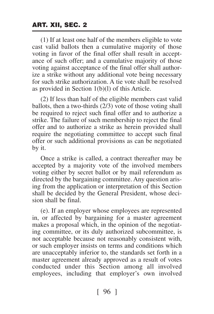(1) If at least one half of the members eligible to vote cast valid ballots then a cumulative majority of those voting in favor of the final offer shall result in acceptance of such offer; and a cumulative majority of those voting against acceptance of the final offer shall authorize a strike without any additional vote being necessary for such strike authorization. A tie vote shall be resolved as provided in Section 1(b)(l) of this Article.

(2) If less than half of the eligible members cast valid ballots, then a two-thirds (2/3) vote of those voting shall be required to reject such final offer and to authorize a strike. The failure of such membership to reject the final offer and to authorize a strike as herein provided shall require the negotiating committee to accept such final offer or such additional provisions as can be negotiated by it.

Once a strike is called, a contract thereafter may be accepted by a majority vote of the involved members voting either by secret ballot or by mail referendum as directed by the bargaining committee. Any question arising from the application or interpretation of this Section shall be decided by the General President, whose decision shall be final.

(e). If an employer whose employees are represented in, or affected by bargaining for a master agreement makes a proposal which, in the opinion of the negotiating committee, or its duly authorized subcommittee, is not acceptable because not reasonably consistent with, or such employer insists on terms and conditions which are unacceptably inferior to, the standards set forth in a master agreement already approved as a result of votes conducted under this Section among all involved employees, including that employer's own involved

[ 96 ]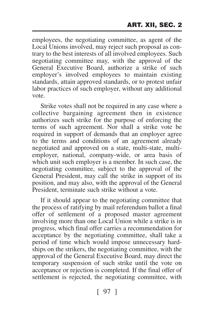employees, the negotiating committee, as agent of the Local Unions involved, may reject such proposal as contrary to the best interests of all involved employees. Such negotiating committee may, with the approval of the General Executive Board, authorize a strike of such employer's involved employees to maintain existing standards, attain approved standards, or to protest unfair labor practices of such employer, without any additional vote.

Strike votes shall not be required in any case where a collective bargaining agreement then in existence authorizes such strike for the purpose of enforcing the terms of such agreement. Nor shall a strike vote be required in support of demands that an employer agree to the terms and conditions of an agreement already negotiated and approved on a state, multi-state, multiemployer, national, company-wide, or area basis of which unit such employer is a member. In such case, the negotiating committee, subject to the approval of the General President, may call the strike in support of its position, and may also, with the approval of the General President, terminate such strike without a vote.

If it should appear to the negotiating committee that the process of ratifying by mail referendum ballot a final offer of settlement of a proposed master agreement involving more than one Local Union while a strike is in progress, which final offer carries a recommendation for acceptance by the negotiating committee, shall take a period of time which would impose unnecessary hardships on the strikers, the negotiating committee, with the approval of the General Executive Board, may direct the temporary suspension of such strike until the vote on acceptance or rejection is completed. If the final offer of settlement is rejected, the negotiating committee, with

[ 97 ]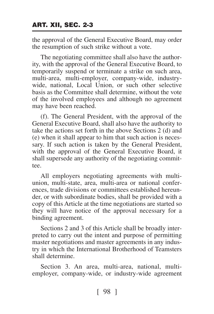the approval of the General Executive Board, may order the resumption of such strike without a vote.

The negotiating committee shall also have the authority, with the approval of the General Executive Board, to temporarily suspend or terminate a strike on such area, multi-area, multi-employer, company-wide, industrywide, national, Local Union, or such other selective basis as the Committee shall determine, without the vote of the involved employees and although no agreement may have been reached.

(f). The General President, with the approval of the General Executive Board, shall also have the authority to take the actions set forth in the above Sections 2 (d) and (e) when it shall appear to him that such action is necessary. If such action is taken by the General President, with the approval of the General Executive Board, it shall supersede any authority of the negotiating committee.

All employers negotiating agreements with multiunion, multi-state, area, multi-area or national conferences, trade divisions or committees established hereunder, or with subordinate bodies, shall be provided with a copy of this Article at the time negotiations are started so they will have notice of the approval necessary for a binding agreement.

Sections 2 and 3 of this Article shall be broadly interpreted to carry out the intent and purpose of permitting master negotiations and master agreements in any industry in which the International Brotherhood of Teamsters shall determine.

Section 3. An area, multi-area, national, multiemployer, company-wide, or industry-wide agreement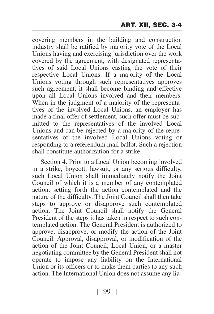covering members in the building and construction industry shall be ratified by majority vote of the Local Unions having and exercising jurisdiction over the work covered by the agreement, with designated representatives of said Local Unions casting the vote of their respective Local Unions. If a majority of the Local Unions voting through such representatives approves such agreement, it shall become binding and effective upon all Local Unions involved and their members. When in the judgment of a majority of the representatives of the involved Local Unions, an employer has made a final offer of settlement, such offer must be submitted to the representatives of the involved Local Unions and can be rejected by a majority of the representatives of the involved Local Unions voting or responding to a referendum mail ballot. Such a rejection shall constitute authorization for a strike.

Section 4. Prior to a Local Union becoming involved in a strike, boycott, lawsuit, or any serious difficulty, such Local Union shall immediately notify the Joint Council of which it is a member of any contemplated action, setting forth the action contemplated and the nature of the difficulty. The Joint Council shall then take steps to approve or disapprove such contemplated action. The Joint Council shall notify the General President of the steps it has taken in respect to such contemplated action. The General President is authorized to approve, disapprove, or modify the action of the Joint Council. Approval, disapproval, or modification of the action of the Joint Council, Local Union, or a master negotiating committee by the General President shall not operate to impose any liability on the International Union or its officers or to make them parties to any such action. The International Union does not assume any lia-

[ 99 ]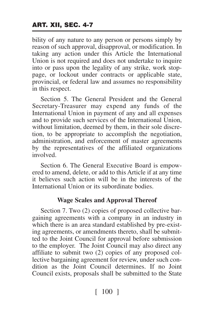bility of any nature to any person or persons simply by reason of such approval, disapproval, or modification. In taking any action under this Article the International Union is not required and does not undertake to inquire into or pass upon the legality of any strike, work stoppage, or lockout under contracts or applicable state, provincial, or federal law and assumes no responsibility in this respect.

Section 5. The General President and the General Secretary-Treasurer may expend any funds of the International Union in payment of any and all expenses and to provide such services of the International Union, without limitation, deemed by them, in their sole discretion, to be appropriate to accomplish the negotiation, administration, and enforcement of master agreements by the representatives of the affiliated organizations involved.

Section 6. The General Executive Board is empowered to amend, delete, or add to this Article if at any time it believes such action will be in the interests of the International Union or its subordinate bodies.

#### **Wage Scales and Approval Thereof**

Section 7. Two (2) copies of proposed collective bargaining agreements with a company in an industry in which there is an area standard established by pre-existing agreements, or amendments thereto, shall be submitted to the Joint Council for approval before submission to the employer. The Joint Council may also direct any affiliate to submit two (2) copies of any proposed collective bargaining agreement for review, under such condition as the Joint Council determines. If no Joint Council exists, proposals shall be submitted to the State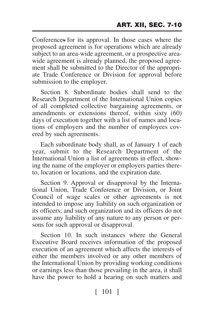Conferences for its approval. In those cases where the proposed agreement is for operations which are already subject to an area-wide agreement, or a prospective areawide agreement is already planned, the proposed agreement shall be submitted to the Director of the appropriate Trade Conference or Division for approval before submission to the employer.

Section 8. Subordinate bodies shall send to the Research Department of the International Union copies of all completed collective bargaining agreements, or amendments or extensions thereof, within sixty (60) days of execution together with a list of names and locations of employers and the number of employees covered by such agreements.

Each subordinate body shall, as of January 1 of each year, submit to the Research Department of the International Union a list of agreements in effect, showing the name of the employer or employers parties thereto, location or locations, and the expiration date.

Section 9. Approval or disapproval by the International Union, Trade Conference or Division, or Joint Council of wage scales or other agreements is not intended to impose any liability on such organization or its officers; and such organization and its officers do not assume any liability of any nature to any person or persons for such approval or disapproval.

Section 10. In such instances where the General Executive Board receives information of the proposed execution of an agreement which affects the interests of either the members involved or any other members of the International Union by providing working conditions or earnings less than those prevailing in the area, it shall have the power to hold a hearing on such matters and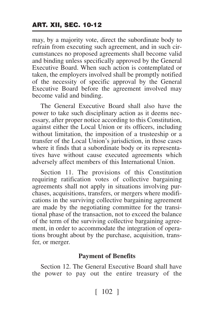may, by a majority vote, direct the subordinate body to refrain from executing such agreement, and in such circumstances no proposed agreements shall become valid and binding unless specifically approved by the General Executive Board. When such action is contemplated or taken, the employers involved shall be promptly notified of the necessity of specific approval by the General Executive Board before the agreement involved may become valid and binding.

The General Executive Board shall also have the power to take such disciplinary action as it deems necessary, after proper notice according to this Constitution, against either the Local Union or its officers, including without limitation, the imposition of a trusteeship or a transfer of the Local Union's jurisdiction, in those cases where it finds that a subordinate body or its representatives have without cause executed agreements which adversely affect members of this International Union.

Section 11. The provisions of this Constitution requiring ratification votes of collective bargaining agreements shall not apply in situations involving purchases, acquisitions, transfers, or mergers where modifications in the surviving collective bargaining agreement are made by the negotiating committee for the transitional phase of the transaction, not to exceed the balance of the term of the surviving collective bargaining agreement, in order to accommodate the integration of operations brought about by the purchase, acquisition, transfer, or merger.

# **Payment of Benefits**

Section 12. The General Executive Board shall have the power to pay out the entire treasury of the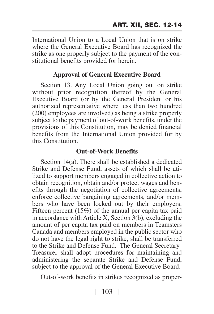International Union to a Local Union that is on strike where the General Executive Board has recognized the strike as one properly subject to the payment of the constitutional benefits provided for herein.

## **Approval of General Executive Board**

Section 13. Any Local Union going out on strike without prior recognition thereof by the General Executive Board (or by the General President or his authorized representative where less than two hundred (200) employees are involved) as being a strike properly subject to the payment of out-of-work benefits, under the provisions of this Constitution, may be denied financial benefits from the International Union provided for by this Constitution.

### **Out-of-Work Benefits**

Section 14(a). There shall be established a dedicated Strike and Defense Fund, assets of which shall be utilized to support members engaged in collective action to obtain recognition, obtain and/or protect wages and benefits through the negotiation of collective agreements, enforce collective bargaining agreements, and/or members who have been locked out by their employers. Fifteen percent (15%) of the annual per capita tax paid in accordance with Article X, Section 3(b), excluding the amount of per capita tax paid on members in Teamsters Canada and members employed in the public sector who do not have the legal right to strike, shall be transferred to the Strike and Defense Fund. The General Secretary-Treasurer shall adopt procedures for maintaining and administering the separate Strike and Defense Fund, subject to the approval of the General Executive Board.

Out-of-work benefits in strikes recognized as proper-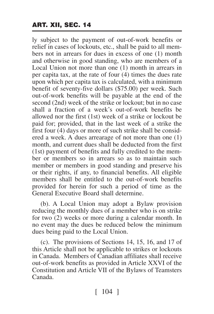ly subject to the payment of out-of-work benefits or relief in cases of lockouts, etc., shall be paid to all members not in arrears for dues in excess of one (1) month and otherwise in good standing, who are members of a Local Union not more than one (1) month in arrears in per capita tax, at the rate of four (4) times the dues rate upon which per capita tax is calculated, with a minimum benefit of seventy-five dollars (\$75.00) per week. Such out-of-work benefits will be payable at the end of the second (2nd) week of the strike or lockout; but in no case shall a fraction of a week's out-of-work benefits be allowed nor the first (1st) week of a strike or lockout be paid for; provided, that in the last week of a strike the first four (4) days or more of such strike shall be considered a week. A dues arrearage of not more than one (1) month, and current dues shall be deducted from the first (1st) payment of benefits and fully credited to the member or members so in arrears so as to maintain such member or members in good standing and preserve his or their rights, if any, to financial benefits. All eligible members shall be entitled to the out-of-work benefits provided for herein for such a period of time as the General Executive Board shall determine.

(b). A Local Union may adopt a Bylaw provision reducing the monthly dues of a member who is on strike for two (2) weeks or more during a calendar month. In no event may the dues be reduced below the minimum dues being paid to the Local Union.

(c). The provisions of Sections 14, 15, 16, and 17 of this Article shall not be applicable to strikes or lockouts in Canada. Members of  $\hat{C}$ anadian affiliates shall receive out-of-work benefits as provided in Article XXVI of the Constitution and Article VII of the Bylaws of Teamsters Canada.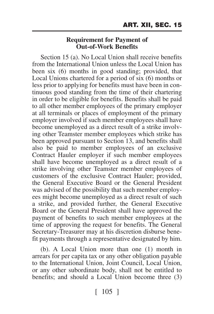#### **Requirement for Payment of Out-of-Work Benefits**

Section 15 (a). No Local Union shall receive benefits from the International Union unless the Local Union has been six (6) months in good standing; provided, that Local Unions chartered for a period of six (6) months or less prior to applying for benefits must have been in continuous good standing from the time of their chartering in order to be eligible for benefits. Benefits shall be paid to all other member employees of the primary employer at all terminals or places of employment of the primary employer involved if such member employees shall have become unemployed as a direct result of a strike involving other Teamster member employees which strike has been approved pursuant to Section 13, and benefits shall also be paid to member employees of an exclusive Contract Hauler employer if such member employees shall have become unemployed as a direct result of a strike involving other Teamster member employees of customers of the exclusive Contract Hauler; provided, the General Executive Board or the General President was advised of the possibility that such member employees might become unemployed as a direct result of such a strike, and provided further, the General Executive Board or the General President shall have approved the payment of benefits to such member employees at the time of approving the request for benefits. The General Secretary-Treasurer may at his discretion disburse benefit payments through a representative designated by him.

(b). A Local Union more than one (1) month in arrears for per capita tax or any other obligation payable to the International Union, Joint Council, Local Union, or any other subordinate body, shall not be entitled to benefits; and should a Local Union become three (3)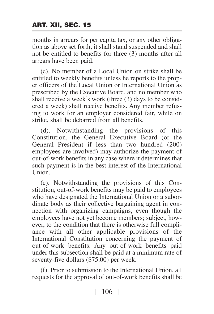months in arrears for per capita tax, or any other obligation as above set forth, it shall stand suspended and shall not be entitled to benefits for three (3) months after all arrears have been paid.

(c). No member of a Local Union on strike shall be entitled to weekly benefits unless he reports to the proper officers of the Local Union or International Union as prescribed by the Executive Board, and no member who shall receive a week's work (three (3) days to be considered a week) shall receive benefits. Any member refusing to work for an employer considered fair, while on strike, shall be debarred from all benefits.

(d). Notwithstanding the provisions of this Constitution, the General Executive Board (or the General President if less than two hundred (200) employees are involved) may authorize the payment of out-of-work benefits in any case where it determines that such payment is in the best interest of the International Union.

(e). Notwithstanding the provisions of this Constitution, out-of-work benefits may be paid to employees who have designated the International Union or a subordinate body as their collective bargaining agent in connection with organizing campaigns, even though the employees have not yet become members; subject, however, to the condition that there is otherwise full compliance with all other applicable provisions of the International Constitution concerning the payment of out-of-work benefits. Any out-of-work benefits paid under this subsection shall be paid at a minimum rate of seventy-five dollars (\$75.00) per week.

(f). Prior to submission to the International Union, all requests for the approval of out-of-work benefits shall be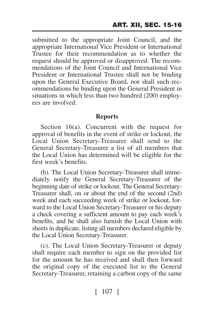submitted to the appropriate Joint Council, and the appropriate International Vice President or International Trustee for their recommendation as to whether the request should be approved or disapproved. The recommendations of the Joint Council and International Vice President or International Trustee shall not be binding upon the General Executive Board, nor shall such recommendations be binding upon the General President in situations in which less than two hundred (200) employees are involved.

#### **Reports**

Section 16(a). Concurrent with the request for approval of benefits in the event of strike or lockout, the Local Union Secretary-Treasurer shall send to the General Secretary-Treasurer a list of all members that the Local Union has determined will be eligible for the first week's benefits.

(b). The Local Union Secretary-Treasurer shall immediately notify the General Secretary-Treasurer of the beginning date of strike or lockout. The General Secretary-Treasurer shall, on or about the end of the second (2nd) week and each succeeding week of strike or lockout, forward to the Local Union Secretary-Treasurer or his deputy a check covering a sufficient amount to pay each week's benefits, and he shall also furnish the Local Union with sheets in duplicate, listing all members declared eligible by the Local Union Secretary-Treasurer.

(c). The Local Union Secretary-Treasurer or deputy shall require each member to sign on the provided list for the amount he has received and shall then forward the original copy of the executed list to the General Secretary-Treasurer, retaining a carbon copy of the same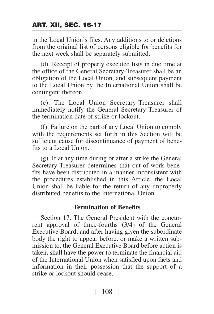in the Local Union's files. Any additions to or deletions from the original list of persons eligible for benefits for the next week shall be separately submitted.

(d). Receipt of properly executed lists in due time at the office of the General Secretary-Treasurer shall be an obligation of the Local Union, and subsequent payment to the Local Union by the International Union shall be contingent thereon.

(e). The Local Union Secretary-Treasurer shall immediately notify the General Secretary-Treasurer of the termination date of strike or lockout.

(f). Failure on the part of any Local Union to comply with the requirements set forth in this Section will be sufficient cause for discontinuance of payment of benefits to a Local Union.

(g). If at any time during or after a strike the General Secretary-Treasurer determines that out-of-work benefits have been distributed in a manner inconsistent with the procedures established in this Article, the Local Union shall be liable for the return of any improperly distributed benefits to the International Union.

## **Termination of Benefits**

Section 17. The General President with the concurrent approval of three-fourths (3/4) of the General Executive Board, and after having given the subordinate body the right to appear before, or make a written submission to, the General Executive Board before action is taken, shall have the power to terminate the financial aid of the International Union when satisfied upon facts and information in their possession that the support of a strike or lockout should cease.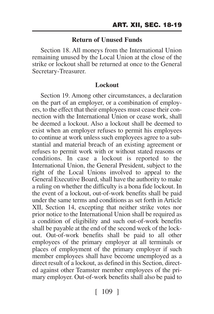#### **Return of Unused Funds**

Section 18. All moneys from the International Union remaining unused by the Local Union at the close of the strike or lockout shall be returned at once to the General Secretary-Treasurer.

### **Lockout**

Section 19. Among other circumstances, a declaration on the part of an employer, or a combination of employers, to the effect that their employees must cease their connection with the International Union or cease work, shall be deemed a lockout. Also a lockout shall be deemed to exist when an employer refuses to permit his employees to continue at work unless such employees agree to a substantial and material breach of an existing agreement or refuses to permit work with or without stated reasons or conditions. In case a lockout is reported to the International Union, the General President, subject to the right of the Local Unions involved to appeal to the General Executive Board, shall have the authority to make a ruling on whether the difficulty is a bona fide lockout. In the event of a lockout, out-of-work benefits shall be paid under the same terms and conditions as set forth in Article XII, Section 14, excepting that neither strike votes nor prior notice to the International Union shall be required as a condition of eligibility and such out-of-work benefits shall be payable at the end of the second week of the lockout. Out-of-work benefits shall be paid to all other employees of the primary employer at all terminals or places of employment of the primary employer if such member employees shall have become unemployed as a direct result of a lockout, as defined in this Section, directed against other Teamster member employees of the primary employer. Out-of-work benefits shall also be paid to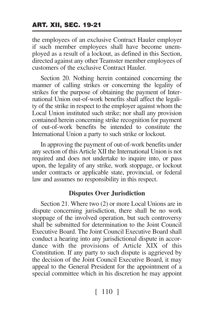the employees of an exclusive Contract Hauler employer if such member employees shall have become unemployed as a result of a lockout, as defined in this Section, directed against any other Teamster member employees of customers of the exclusive Contract Hauler.

Section 20. Nothing herein contained concerning the manner of calling strikes or concerning the legality of strikes for the purpose of obtaining the payment of International Union out-of-work benefits shall affect the legality of the strike in respect to the employer against whom the Local Union instituted such strike; nor shall any provision contained herein concerning strike recognition for payment of out-of-work benefits be intended to constitute the International Union a party to such strike or lockout.

In approving the payment of out-of-work benefits under any section of this Article XII the International Union is not required and does not undertake to inquire into, or pass upon, the legality of any strike, work stoppage, or lockout under contracts or applicable state, provincial, or federal law and assumes no responsibility in this respect.

## **Disputes Over Jurisdiction**

Section 21. Where two (2) or more Local Unions are in dispute concerning jurisdiction, there shall be no work stoppage of the involved operation, but such controversy shall be submitted for determination to the Joint Council Executive Board. The Joint Council Executive Board shall conduct a hearing into any jurisdictional dispute in accordance with the provisions of Article XIX of this Constitution. If any party to such dispute is aggrieved by the decision of the Joint Council Executive Board, it may appeal to the General President for the appointment of a special committee which in his discretion he may appoint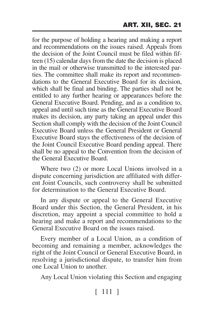for the purpose of holding a hearing and making a report and recommendations on the issues raised. Appeals from the decision of the Joint Council must be filed within fifteen (15) calendar days from the date the decision is placed in the mail or otherwise transmitted to the interested parties. The committee shall make its report and recommendations to the General Executive Board for its decision, which shall be final and binding. The parties shall not be entitled to any further hearing or appearances before the General Executive Board. Pending, and as a condition to, appeal and until such time as the General Executive Board makes its decision, any party taking an appeal under this Section shall comply with the decision of the Joint Council Executive Board unless the General President or General Executive Board stays the effectiveness of the decision of the Joint Council Executive Board pending appeal. There shall be no appeal to the Convention from the decision of the General Executive Board.

Where two (2) or more Local Unions involved in a dispute concerning jurisdiction are affiliated with different Joint Councils, such controversy shall be submitted for determination to the General Executive Board.

In any dispute or appeal to the General Executive Board under this Section, the General President, in his discretion, may appoint a special committee to hold a hearing and make a report and recommendations to the General Executive Board on the issues raised.

Every member of a Local Union, as a condition of becoming and remaining a member, acknowledges the right of the Joint Council or General Executive Board, in resolving a jurisdictional dispute, to transfer him from one Local Union to another.

Any Local Union violating this Section and engaging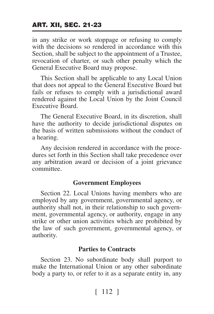in any strike or work stoppage or refusing to comply with the decisions so rendered in accordance with this Section, shall be subject to the appointment of a Trustee, revocation of charter, or such other penalty which the General Executive Board may propose.

This Section shall be applicable to any Local Union that does not appeal to the General Executive Board but fails or refuses to comply with a jurisdictional award rendered against the Local Union by the Joint Council Executive Board.

The General Executive Board, in its discretion, shall have the authority to decide jurisdictional disputes on the basis of written submissions without the conduct of a hearing.

Any decision rendered in accordance with the procedures set forth in this Section shall take precedence over any arbitration award or decision of a joint grievance committee.

### **Government Employees**

Section 22. Local Unions having members who are employed by any government, governmental agency, or authority shall not, in their relationship to such government, governmental agency, or authority, engage in any strike or other union activities which are prohibited by the law of such government, governmental agency, or authority.

#### **Parties to Contracts**

Section 23. No subordinate body shall purport to make the International Union or any other subordinate body a party to, or refer to it as a separate entity in, any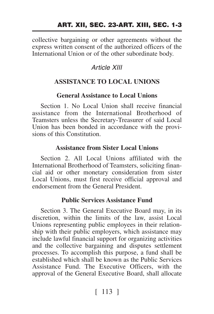collective bargaining or other agreements without the express written consent of the authorized officers of the International Union or of the other subordinate body.

## *Article XIII*

## **ASSISTANCE TO LOCAL UNIONS**

### **General Assistance to Local Unions**

Section 1. No Local Union shall receive financial assistance from the International Brotherhood of Teamsters unless the Secretary-Treasurer of said Local Union has been bonded in accordance with the provisions of this Constitution.

## **Assistance from Sister Local Unions**

Section 2. All Local Unions affiliated with the International Brotherhood of Teamsters, soliciting financial aid or other monetary consideration from sister Local Unions, must first receive official approval and endorsement from the General President.

## **Public Services Assistance Fund**

Section 3. The General Executive Board may, in its discretion, within the limits of the law, assist Local Unions representing public employees in their relationship with their public employers, which assistance may include lawful financial support for organizing activities and the collective bargaining and disputes settlement processes. To accomplish this purpose, a fund shall be established which shall be known as the Public Services Assistance Fund. The Executive Officers, with the approval of the General Executive Board, shall allocate

# [ 113 ]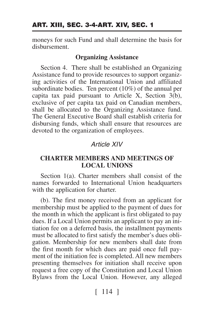moneys for such Fund and shall determine the basis for disbursement.

## **Organizing Assistance**

Section 4. There shall be established an Organizing Assistance fund to provide resources to support organizing activities of the International Union and affiliated subordinate bodies. Ten percent (10%) of the annual per capita tax paid pursuant to Article X, Section 3(b), exclusive of per capita tax paid on Canadian members, shall be allocated to the Organizing Assistance fund. The General Executive Board shall establish criteria for disbursing funds, which shall ensure that resources are devoted to the organization of employees.

## *Article XIV*

## **CHARTER MEMBERS AND MEETINGS OF LOCAL UNIONS**

Section 1(a). Charter members shall consist of the names forwarded to International Union headquarters with the application for charter.

(b). The first money received from an applicant for membership must be applied to the payment of dues for the month in which the applicant is first obligated to pay dues. If a Local Union permits an applicant to pay an initiation fee on a deferred basis, the installment payments must be allocated to first satisfy the member's dues obligation. Membership for new members shall date from the first month for which dues are paid once full payment of the initiation fee is completed. All new members presenting themselves for initiation shall receive upon request a free copy of the Constitution and Local Union Bylaws from the Local Union. However, any alleged

[ 114 ]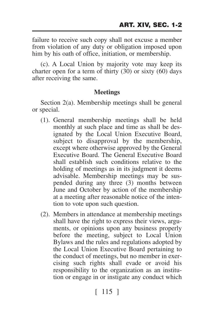failure to receive such copy shall not excuse a member from violation of any duty or obligation imposed upon him by his oath of office, initiation, or membership.

(c). A Local Union by majority vote may keep its charter open for a term of thirty  $(30)$  or sixty  $(60)$  days after receiving the same.

## **Meetings**

Section 2(a). Membership meetings shall be general or special.

- (1). General membership meetings shall be held monthly at such place and time as shall be designated by the Local Union Executive Board, subject to disapproval by the membership, except where otherwise approved by the General Executive Board. The General Executive Board shall establish such conditions relative to the holding of meetings as in its judgment it deems advisable. Membership meetings may be suspended during any three (3) months between June and October by action of the membership at a meeting after reasonable notice of the intention to vote upon such question.
- (2). Members in attendance at membership meetings shall have the right to express their views, arguments, or opinions upon any business properly before the meeting, subject to Local Union Bylaws and the rules and regulations adopted by the Local Union Executive Board pertaining to the conduct of meetings, but no member in exercising such rights shall evade or avoid his responsibility to the organization as an institution or engage in or instigate any conduct which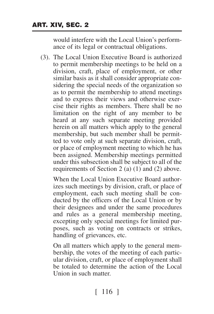would interfere with the Local Union's performance of its legal or contractual obligations.

(3). The Local Union Executive Board is authorized to permit membership meetings to be held on a division, craft, place of employment, or other similar basis as it shall consider appropriate considering the special needs of the organization so as to permit the membership to attend meetings and to express their views and otherwise exercise their rights as members. There shall be no limitation on the right of any member to be heard at any such separate meeting provided herein on all matters which apply to the general membership, but such member shall be permitted to vote only at such separate division, craft, or place of employment meeting to which he has been assigned. Membership meetings permitted under this subsection shall be subject to all of the requirements of Section 2 (a) (1) and (2) above.

When the Local Union Executive Board authorizes such meetings by division, craft, or place of employment, each such meeting shall be conducted by the officers of the Local Union or by their designees and under the same procedures and rules as a general membership meeting, excepting only special meetings for limited purposes, such as voting on contracts or strikes, handling of grievances, etc.

(3). On all matters which apply to the general membership, the votes of the meeting of each particular division, craft, or place of employment shall be totaled to determine the action of the Local Union in such matter.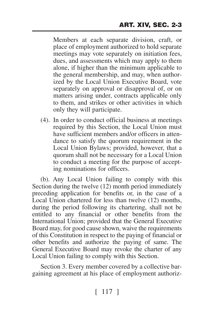Members at each separate division, craft, or place of employment authorized to hold separate meetings may vote separately on initiation fees, dues, and assessments which may apply to them alone, if higher than the minimum applicable to the general membership, and may, when authorized by the Local Union Executive Board, vote separately on approval or disapproval of, or on matters arising under, contracts applicable only to them, and strikes or other activities in which only they will participate.

(4). In order to conduct official business at meetings required by this Section, the Local Union must have sufficient members and/or officers in attendance to satisfy the quorum requirement in the Local Union Bylaws; provided, however, that a quorum shall not be necessary for a Local Union to conduct a meeting for the purpose of accepting nominations for officers.

(b). Any Local Union failing to comply with this Section during the twelve (12) month period immediately preceding application for benefits or, in the case of a Local Union chartered for less than twelve (12) months, during the period following its chartering, shall not be entitled to any financial or other benefits from the International Union; provided that the General Executive Board may, for good cause shown, waive the requirements of this Constitution in respect to the paying of financial or other benefits and authorize the paying of same. The General Executive Board may revoke the charter of any Local Union failing to comply with this Section.

Section 3. Every member covered by a collective bargaining agreement at his place of employment authoriz-

# [ 117 ]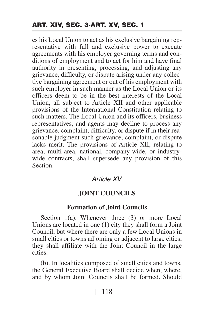es his Local Union to act as his exclusive bargaining representative with full and exclusive power to execute agreements with his employer governing terms and conditions of employment and to act for him and have final authority in presenting, processing, and adjusting any grievance, difficulty, or dispute arising under any collective bargaining agreement or out of his employment with such employer in such manner as the Local Union or its officers deem to be in the best interests of the Local Union, all subject to Article XII and other applicable provisions of the International Constitution relating to such matters. The Local Union and its officers, business representatives, and agents may decline to process any grievance, complaint, difficulty, or dispute if in their reasonable judgment such grievance, complaint, or dispute lacks merit. The provisions of Article XII, relating to area, multi-area, national, company-wide, or industrywide contracts, shall supersede any provision of this Section.

## *Article XV*

## **JOINT COUNCILS**

## **Formation of Joint Councils**

Section 1(a). Whenever three (3) or more Local Unions are located in one (1) city they shall form a Joint Council, but where there are only a few Local Unions in small cities or towns adjoining or adjacent to large cities, they shall affiliate with the Joint Council in the large cities.

(b). In localities composed of small cities and towns, the General Executive Board shall decide when, where, and by whom Joint Councils shall be formed. Should

# [ 118 ]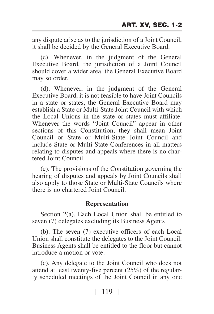any dispute arise as to the jurisdiction of a Joint Council, it shall be decided by the General Executive Board.

(c). Whenever, in the judgment of the General Executive Board, the jurisdiction of a Joint Council should cover a wider area, the General Executive Board may so order.

(d). Whenever, in the judgment of the General Executive Board, it is not feasible to have Joint Councils in a state or states, the General Executive Board may establish a State or Multi-State Joint Council with which the Local Unions in the state or states must affiliate. Whenever the words "Joint Council" appear in other sections of this Constitution, they shall mean Joint Council or State or Multi-State Joint Council and include State or Multi-State Conferences in all matters relating to disputes and appeals where there is no chartered Joint Council.

(e). The provisions of the Constitution governing the hearing of disputes and appeals by Joint Councils shall also apply to those State or Multi-State Councils where there is no chartered Joint Council.

### **Representation**

Section 2(a). Each Local Union shall be entitled to seven (7) delegates excluding its Business Agents

(b). The seven (7) executive officers of each Local Union shall constitute the delegates to the Joint Council. Business Agents shall be entitled to the floor but cannot introduce a motion or vote.

(c). Any delegate to the Joint Council who does not attend at least twenty-five percent (25%) of the regularly scheduled meetings of the Joint Council in any one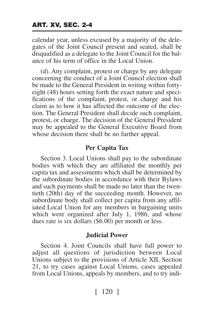calendar year, unless excused by a majority of the delegates of the Joint Council present and seated, shall be disqualified as a delegate to the Joint Council for the balance of his term of office in the Local Union.

(d). Any complaint, protest or charge by any delegate concerning the conduct of a Joint Council election shall be made to the General President in writing within fortyeight (48) hours setting forth the exact nature and specifications of the complaint, protest, or charge and his claim as to how it has affected the outcome of the election. The General President shall decide such complaint, protest, or charge. The decision of the General President may be appealed to the General Executive Board from whose decision there shall be no further appeal.

## **Per Capita Tax**

Section 3. Local Unions shall pay to the subordinate bodies with which they are affiliated the monthly per capita tax and assessments which shall be determined by the subordinate bodies in accordance with their Bylaws and such payments shall be made no later than the twentieth (20th) day of the succeeding month. However, no subordinate body shall collect per capita from any affiliated Local Union for any members in bargaining units which were organized after July 1, 1986, and whose dues rate is six dollars (\$6.00) per month or less.

#### **Judicial Power**

Section 4. Joint Councils shall have full power to adjust all questions of jurisdiction between Local Unions subject to the provisions of Article XII, Section 21, to try cases against Local Unions, cases appealed from Local Unions, appeals by members, and to try indi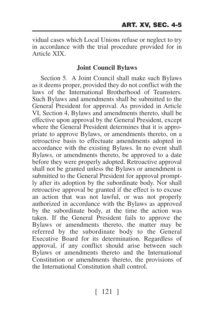vidual cases which Local Unions refuse or neglect to try in accordance with the trial procedure provided for in Article XIX.

## **Joint Council Bylaws**

Section 5. A Joint Council shall make such Bylaws as it deems proper, provided they do not conflict with the laws of the International Brotherhood of Teamsters. Such Bylaws and amendments shall be submitted to the General President for approval. As provided in Article VI, Section 4, Bylaws and amendments thereto, shall be effective upon approval by the General President, except where the General President determines that it is appropriate to approve Bylaws, or amendments thereto, on a retroactive basis to effectuate amendments adopted in accordance with the existing Bylaws. In no event shall Bylaws, or amendments thereto, be approved to a date before they were properly adopted. Retroactive approval shall not be granted unless the Bylaws or amendment is submitted to the General President for approval promptly after its adoption by the subordinate body. Nor shall retroactive approval be granted if the effect is to excuse an action that was not lawful, or was not properly authorized in accordance with the Bylaws as approved by the subordinate body, at the time the action was taken. If the General President fails to approve the Bylaws or amendments thereto, the matter may be referred by the subordinate body to the General Executive Board for its determination. Regardless of approval, if any conflict should arise between such Bylaws or amendments thereto and the International Constitution or amendments thereto, the provisions of the International Constitution shall control.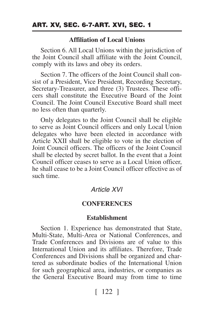### **Affiliation of Local Unions**

Section 6. All Local Unions within the jurisdiction of the Joint Council shall affiliate with the Joint Council, comply with its laws and obey its orders.

Section 7. The officers of the Joint Council shall consist of a President, Vice President, Recording Secretary, Secretary-Treasurer, and three (3) Trustees. These officers shall constitute the Executive Board of the Joint Council. The Joint Council Executive Board shall meet no less often than quarterly.

Only delegates to the Joint Council shall be eligible to serve as Joint Council officers and only Local Union delegates who have been elected in accordance with Article XXII shall be eligible to vote in the election of Joint Council officers. The officers of the Joint Council shall be elected by secret ballot. In the event that a Joint Council officer ceases to serve as a Local Union officer, he shall cease to be a Joint Council officer effective as of such time.

## *Article XVI*

### **CONFERENCES**

### **Establishment**

Section 1. Experience has demonstrated that State, Multi-State, Multi-Area or National Conferences, and Trade Conferences and Divisions are of value to this International Union and its affiliates. Therefore, Trade Conferences and Divisions shall be organized and chartered as subordinate bodies of the International Union for such geographical area, industries, or companies as the General Executive Board may from time to time

[ 122 ]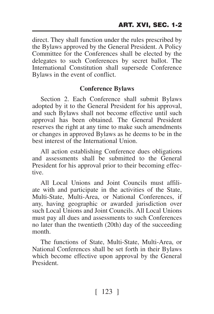direct. They shall function under the rules prescribed by the Bylaws approved by the General President. A Policy Committee for the Conferences shall be elected by the delegates to such Conferences by secret ballot. The International Constitution shall supersede Conference Bylaws in the event of conflict.

### **Conference Bylaws**

Section 2. Each Conference shall submit Bylaws adopted by it to the General President for his approval, and such Bylaws shall not become effective until such approval has been obtained. The General President reserves the right at any time to make such amendments or changes in approved Bylaws as he deems to be in the best interest of the International Union.

All action establishing Conference dues obligations and assessments shall be submitted to the General President for his approval prior to their becoming effective.

All Local Unions and Joint Councils must affiliate with and participate in the activities of the State, Multi-State, Multi-Area, or National Conferences, if any, having geographic or awarded jurisdiction over such Local Unions and Joint Councils. All Local Unions must pay all dues and assessments to such Conferences no later than the twentieth (20th) day of the succeeding month.

The functions of State, Multi-State, Multi-Area, or National Conferences shall be set forth in their Bylaws which become effective upon approval by the General President.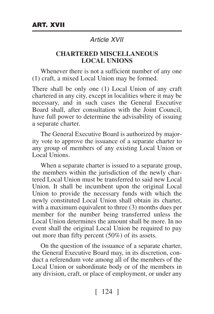### *Article XVII*

### **CHARTERED MISCELLANEOUS LOCAL UNIONS**

Whenever there is not a sufficient number of any one (1) craft, a mixed Local Union may be formed.

There shall be only one (1) Local Union of any craft chartered in any city, except in localities where it may be necessary, and in such cases the General Executive Board shall, after consultation with the Joint Council, have full power to determine the advisability of issuing a separate charter.

The General Executive Board is authorized by majority vote to approve the issuance of a separate charter to any group of members of any existing Local Union or Local Unions.

When a separate charter is issued to a separate group, the members within the jurisdiction of the newly chartered Local Union must be transferred to said new Local Union. It shall be incumbent upon the original Local Union to provide the necessary funds with which the newly constituted Local Union shall obtain its charter, with a maximum equivalent to three (3) months dues per member for the number being transferred unless the Local Union determines the amount shall be more. In no event shall the original Local Union be required to pay out more than fifty percent (50%) of its assets.

On the question of the issuance of a separate charter, the General Executive Board may, in its discretion, conduct a referendum vote among all of the members of the Local Union or subordinate body or of the members in any division, craft, or place of employment, or under any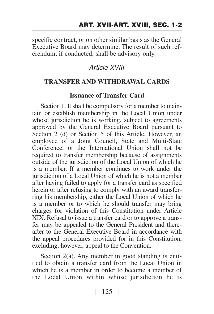specific contract, or on other similar basis as the General Executive Board may determine. The result of such referendum, if conducted, shall be advisory only.

## *Article XVIII*

## **TRANSFER AND WITHDRAWAL CARDS**

## **Issuance of Transfer Card**

Section 1. It shall be compulsory for a member to maintain or establish membership in the Local Union under whose jurisdiction he is working, subject to agreements approved by the General Executive Board pursuant to Section 2 (d) or Section 5 of this Article. However, an employee of a Joint Council, State and Multi-State Conference, or the International Union shall not be required to transfer membership because of assignments outside of the jurisdiction of the Local Union of which he is a member. If a member continues to work under the jurisdiction of a Local Union of which he is not a member after having failed to apply for a transfer card as specified herein or after refusing to comply with an award transferring his membership, either the Local Union of which he is a member or to which he should transfer may bring charges for violation of this Constitution under Article XIX. Refusal to issue a transfer card or to approve a transfer may be appealed to the General President and thereafter to the General Executive Board in accordance with the appeal procedures provided for in this Constitution, excluding, however, appeal to the Convention.

Section 2(a). Any member in good standing is entitled to obtain a transfer card from the Local Union in which he is a member in order to become a member of the Local Union within whose jurisdiction he is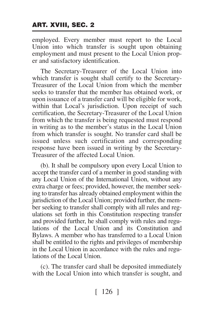employed. Every member must report to the Local Union into which transfer is sought upon obtaining employment and must present to the Local Union proper and satisfactory identification.

The Secretary-Treasurer of the Local Union into which transfer is sought shall certify to the Secretary-Treasurer of the Local Union from which the member seeks to transfer that the member has obtained work, or upon issuance of a transfer card will be eligible for work, within that Local's jurisdiction. Upon receipt of such certification, the Secretary-Treasurer of the Local Union from which the transfer is being requested must respond in writing as to the member's status in the Local Union from which transfer is sought. No transfer card shall be issued unless such certification and corresponding response have been issued in writing by the Secretary-Treasurer of the affected Local Union.

(b). It shall be compulsory upon every Local Union to accept the transfer card of a member in good standing with any Local Union of the International Union, without any extra charge or fees; provided, however, the member seeking to transfer has already obtained employment within the jurisdiction of the Local Union; provided further, the member seeking to transfer shall comply with all rules and regulations set forth in this Constitution respecting transfer and provided further, he shall comply with rules and regulations of the Local Union and its Constitution and Bylaws. A member who has transferred to a Local Union shall be entitled to the rights and privileges of membership in the Local Union in accordance with the rules and regulations of the Local Union.

(c). The transfer card shall be deposited immediately with the Local Union into which transfer is sought, and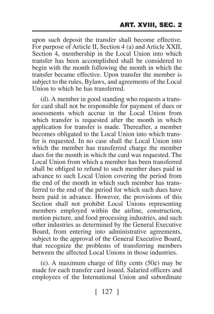upon such deposit the transfer shall become effective. For purpose of Article II, Section 4 (a) and Article XXII, Section 4, membership in the Local Union into which transfer has been accomplished shall be considered to begin with the month following the month in which the transfer became effective. Upon transfer the member is subject to the rules, Bylaws, and agreements of the Local Union to which he has transferred.

(d). A member in good standing who requests a transfer card shall not be responsible for payment of dues or assessments which accrue in the Local Union from which transfer is requested after the month in which application for transfer is made. Thereafter, a member becomes obligated to the Local Union into which transfer is requested. In no case shall the Local Union into which the member has transferred charge the member dues for the month in which the card was requested. The Local Union from which a member has been transferred shall be obliged to refund to such member dues paid in advance to such Local Union covering the period from the end of the month in which such member has transferred to the end of the period for which such dues have been paid in advance. However, the provisions of this Section shall not prohibit Local Unions representing members employed within the airline, construction, motion picture, and food processing industries, and such other industries as determined by the General Executive Board, from entering into administrative agreements, subject to the approval of the General Executive Board, that recognize the problems of transferring members between the affected Local Unions in those industries.

(e). A maximum charge of fifty cents  $(50¢)$  may be made for each transfer card issued. Salaried officers and employees of the International Union and subordinate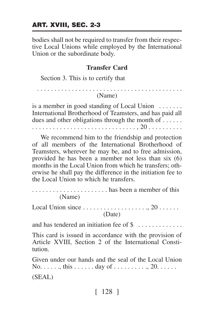bodies shall not be required to transfer from their respective Local Unions while employed by the International Union or the subordinate body.

#### **Transfer Card**

Section 3. This is to certify that

| (Name) |  |  |  |  |  |  |  |  |  |  |  |  |  |  |  |  |  |  |  |  |  |  |  |  |  |  |  |  |  |  |  |  |  |  |  |  |  |  |  |  |  |  |
|--------|--|--|--|--|--|--|--|--|--|--|--|--|--|--|--|--|--|--|--|--|--|--|--|--|--|--|--|--|--|--|--|--|--|--|--|--|--|--|--|--|--|--|

is a member in good standing of Local Union . . . . . . . International Brotherhood of Teamsters, and has paid all dues and other obligations through the month of  $\ldots$ .

. . . . . . . . . . . . . . . . . . . . . . . . . . . . . . , 20 . . . . . . . . . .

We recommend him to the friendship and protection of all members of the International Brotherhood of Teamsters, wherever he may be, and to free admission, provided he has been a member not less than six (6) months in the Local Union from which he transfers; otherwise he shall pay the difference in the initiation fee to the Local Union to which he transfers.

. . . . . . . . . . . . . . . . . . . . . . has been a member of this (Name)

Local Union since . . . . . . . . . . . . . . . . . . ., 20 . . . . . . (Date)

and has tendered an initiation fee of  $\$\dots,\dots,\dots$ 

This card is issued in accordance with the provision of Article XVIII, Section 2 of the International Constitution.

Given under our hands and the seal of the Local Union No. . . . . ., this . . . . . . day of . . . . . . . . . , 20. . . . . . . (SEAL)

# [ 128 ]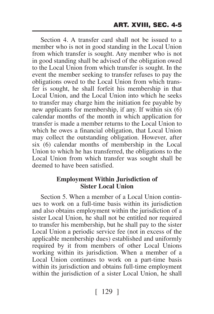Section 4. A transfer card shall not be issued to a member who is not in good standing in the Local Union from which transfer is sought. Any member who is not in good standing shall be advised of the obligation owed to the Local Union from which transfer is sought. In the event the member seeking to transfer refuses to pay the obligations owed to the Local Union from which transfer is sought, he shall forfeit his membership in that Local Union, and the Local Union into which he seeks to transfer may charge him the initiation fee payable by new applicants for membership, if any. If within six (6) calendar months of the month in which application for transfer is made a member returns to the Local Union to which he owes a financial obligation, that Local Union may collect the outstanding obligation. However, after six (6) calendar months of membership in the Local Union to which he has transferred, the obligations to the Local Union from which transfer was sought shall be deemed to have been satisfied.

### **Employment Within Jurisdiction of Sister Local Union**

Section 5. When a member of a Local Union continues to work on a full-time basis within its jurisdiction and also obtains employment within the jurisdiction of a sister Local Union, he shall not be entitled nor required to transfer his membership, but he shall pay to the sister Local Union a periodic service fee (not in excess of the applicable membership dues) established and uniformly required by it from members of other Local Unions working within its jurisdiction. When a member of a Local Union continues to work on a part-time basis within its jurisdiction and obtains full-time employment within the jurisdiction of a sister Local Union, he shall

[ 129 ]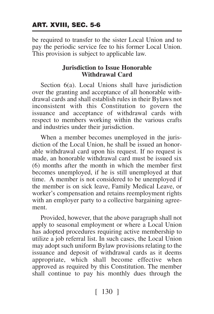be required to transfer to the sister Local Union and to pay the periodic service fee to his former Local Union. This provision is subject to applicable law.

## **Jurisdiction to Issue Honorable Withdrawal Card**

Section 6(a). Local Unions shall have jurisdiction over the granting and acceptance of all honorable withdrawal cards and shall establish rules in their Bylaws not inconsistent with this Constitution to govern the issuance and acceptance of withdrawal cards with respect to members working within the various crafts and industries under their jurisdiction.

When a member becomes unemployed in the jurisdiction of the Local Union, he shall be issued an honorable withdrawal card upon his request. If no request is made, an honorable withdrawal card must be issued six (6) months after the month in which the member first becomes unemployed, if he is still unemployed at that time. A member is not considered to be unemployed if the member is on sick leave, Family Medical Leave, or worker's compensation and retains reemployment rights with an employer party to a collective bargaining agreement.

Provided, however, that the above paragraph shall not apply to seasonal employment or where a Local Union has adopted procedures requiring active membership to utilize a job referral list. In such cases, the Local Union may adopt such uniform Bylaw provisions relating to the issuance and deposit of withdrawal cards as it deems appropriate, which shall become effective when approved as required by this Constitution. The member shall continue to pay his monthly dues through the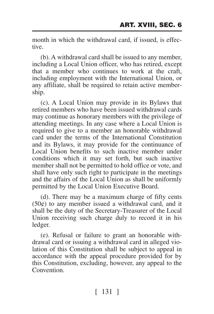month in which the withdrawal card, if issued, is effective.

(b). A withdrawal card shall be issued to any member, including a Local Union officer, who has retired, except that a member who continues to work at the craft, including employment with the International Union, or any affiliate, shall be required to retain active membership.

(c). A Local Union may provide in its Bylaws that retired members who have been issued withdrawal cards may continue as honorary members with the privilege of attending meetings. In any case where a Local Union is required to give to a member an honorable withdrawal card under the terms of the International Constitution and its Bylaws, it may provide for the continuance of Local Union benefits to such inactive member under conditions which it may set forth, but such inactive member shall not be permitted to hold office or vote, and shall have only such right to participate in the meetings and the affairs of the Local Union as shall be uniformly permitted by the Local Union Executive Board.

(d). There may be a maximum charge of fifty cents  $(50¢)$  to any member issued a withdrawal card, and it shall be the duty of the Secretary-Treasurer of the Local Union receiving such charge duly to record it in his ledger.

(e). Refusal or failure to grant an honorable withdrawal card or issuing a withdrawal card in alleged violation of this Constitution shall be subject to appeal in accordance with the appeal procedure provided for by this Constitution, excluding, however, any appeal to the Convention.

# [ 131 ]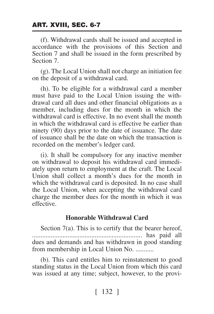(f). Withdrawal cards shall be issued and accepted in accordance with the provisions of this Section and Section 7 and shall be issued in the form prescribed by Section 7.

(g). The Local Union shall not charge an initiation fee on the deposit of a withdrawal card.

(h). To be eligible for a withdrawal card a member must have paid to the Local Union issuing the withdrawal card all dues and other financial obligations as a member, including dues for the month in which the withdrawal card is effective. In no event shall the month in which the withdrawal card is effective be earlier than ninety (90) days prior to the date of issuance. The date of issuance shall be the date on which the transaction is recorded on the member's ledger card.

(i). It shall be compulsory for any inactive member on withdrawal to deposit his withdrawal card immediately upon return to employment at the craft. The Local Union shall collect a month's dues for the month in which the withdrawal card is deposited. In no case shall the Local Union, when accepting the withdrawal card charge the member dues for the month in which it was effective.

## **Honorable Withdrawal Card**

Section 7(a). This is to certify that the bearer hereof, ................................................................. has paid all dues and demands and has withdrawn in good standing from membership in Local Union No. ...........

(b). This card entitles him to reinstatement to good standing status in the Local Union from which this card was issued at any time; subject, however, to the provi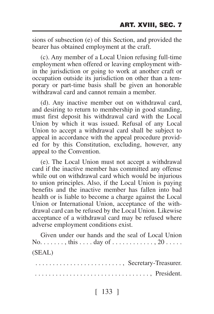sions of subsection (e) of this Section, and provided the bearer has obtained employment at the craft.

(c). Any member of a Local Union refusing full-time employment when offered or leaving employment within the jurisdiction or going to work at another craft or occupation outside its jurisdiction on other than a temporary or part-time basis shall be given an honorable withdrawal card and cannot remain a member.

(d). Any inactive member out on withdrawal card, and desiring to return to membership in good standing, must first deposit his withdrawal card with the Local Union by which it was issued. Refusal of any Local Union to accept a withdrawal card shall be subject to appeal in accordance with the appeal procedure provided for by this Constitution, excluding, however, any appeal to the Convention.

(e). The Local Union must not accept a withdrawal card if the inactive member has committed any offense while out on withdrawal card which would be injurious to union principles. Also, if the Local Union is paying benefits and the inactive member has fallen into bad health or is liable to become a charge against the Local Union or International Union, acceptance of the withdrawal card can be refused by the Local Union. Likewise acceptance of a withdrawal card may be refused where adverse employment conditions exist.

Given under our hands and the seal of Local Union No. . . . . . . , this . . . . day of . . . . . . . . . . . . , 20 . . . . . (SEAL) . . . . . . . . . . . . . . . . . . . . . . . . . , Secretary-Treasurer. . . . . . . . . . . . . . . . . . . . . . . . . . . . . . . . . . , President.

[ 133 ]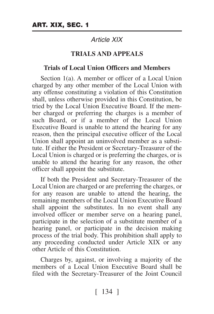## *Article XIX*

### **TRIALS AND APPEALS**

#### **Trials of Local Union Officers and Members**

Section 1(a). A member or officer of a Local Union charged by any other member of the Local Union with any offense constituting a violation of this Constitution shall, unless otherwise provided in this Constitution, be tried by the Local Union Executive Board. If the member charged or preferring the charges is a member of such Board, or if a member of the Local Union Executive Board is unable to attend the hearing for any reason, then the principal executive officer of the Local Union shall appoint an uninvolved member as a substitute. If either the President or Secretary-Treasurer of the Local Union is charged or is preferring the charges, or is unable to attend the hearing for any reason, the other officer shall appoint the substitute.

If both the President and Secretary-Treasurer of the Local Union are charged or are preferring the charges, or for any reason are unable to attend the hearing, the remaining members of the Local Union Executive Board shall appoint the substitutes. In no event shall any involved officer or member serve on a hearing panel, participate in the selection of a substitute member of a hearing panel, or participate in the decision making process of the trial body. This prohibition shall apply to any proceeding conducted under Article XIX or any other Article of this Constitution.

Charges by, against, or involving a majority of the members of a Local Union Executive Board shall be filed with the Secretary-Treasurer of the Joint Council

## [ 134 ]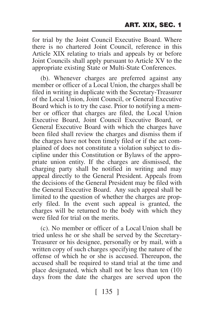for trial by the Joint Council Executive Board. Where there is no chartered Joint Council, reference in this Article XIX relating to trials and appeals by or before Joint Councils shall apply pursuant to Article XV to the appropriate existing State or Multi-State Conferences.

(b). Whenever charges are preferred against any member or officer of a Local Union, the charges shall be filed in writing in duplicate with the Secretary-Treasurer of the Local Union, Joint Council, or General Executive Board which is to try the case. Prior to notifying a member or officer that charges are filed, the Local Union Executive Board, Joint Council Executive Board, or General Executive Board with which the charges have been filed shall review the charges and dismiss them if the charges have not been timely filed or if the act complained of does not constitute a violation subject to discipline under this Constitution or Bylaws of the appropriate union entity. If the charges are dismissed, the charging party shall be notified in writing and may appeal directly to the General President. Appeals from the decisions of the General President may be filed with the General Executive Board. Any such appeal shall be limited to the question of whether the charges are properly filed. In the event such appeal is granted, the charges will be returned to the body with which they were filed for trial on the merits.

(c). No member or officer of a Local Union shall be tried unless he or she shall be served by the Secretary-Treasurer or his designee, personally or by mail, with a written copy of such charges specifying the nature of the offense of which he or she is accused. Thereupon, the accused shall be required to stand trial at the time and place designated, which shall not be less than ten (10) days from the date the charges are served upon the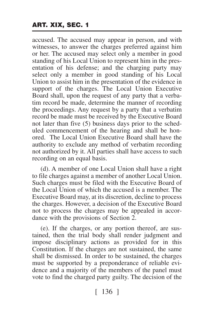accused. The accused may appear in person, and with witnesses, to answer the charges preferred against him or her. The accused may select only a member in good standing of his Local Union to represent him in the presentation of his defense; and the charging party may select only a member in good standing of his Local Union to assist him in the presentation of the evidence in support of the charges. The Local Union Executive Board shall, upon the request of any party that a verbatim record be made, determine the manner of recording the proceedings. Any request by a party that a verbatim record be made must be received by the Executive Board not later than five (5) business days prior to the scheduled commencement of the hearing and shall be honored. The Local Union Executive Board shall have the authority to exclude any method of verbatim recording not authorized by it. All parties shall have access to such recording on an equal basis.

(d). A member of one Local Union shall have a right to file charges against a member of another Local Union. Such charges must be filed with the Executive Board of the Local Union of which the accused is a member. The Executive Board may, at its discretion, decline to process the charges. However, a decision of the Executive Board not to process the charges may be appealed in accordance with the provisions of Section 2.

(e). If the charges, or any portion thereof, are sustained, then the trial body shall render judgment and impose disciplinary actions as provided for in this Constitution. If the charges are not sustained, the same shall be dismissed. In order to be sustained, the charges must be supported by a preponderance of reliable evidence and a majority of the members of the panel must vote to find the charged party guilty. The decision of the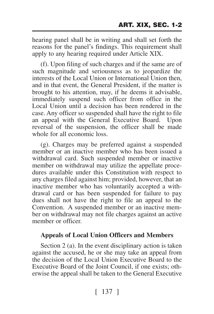hearing panel shall be in writing and shall set forth the reasons for the panel's findings. This requirement shall apply to any hearing required under Article XIX.

(f). Upon filing of such charges and if the same are of such magnitude and seriousness as to jeopardize the interests of the Local Union or International Union then, and in that event, the General President, if the matter is brought to his attention, may, if he deems it advisable, immediately suspend such officer from office in the Local Union until a decision has been rendered in the case. Any officer so suspended shall have the right to file an appeal with the General Executive Board. Upon reversal of the suspension, the officer shall be made whole for all economic loss.

(g). Charges may be preferred against a suspended member or an inactive member who has been issued a withdrawal card. Such suspended member or inactive member on withdrawal may utilize the appellate procedures available under this Constitution with respect to any charges filed against him; provided, however, that an inactive member who has voluntarily accepted a withdrawal card or has been suspended for failure to pay dues shall not have the right to file an appeal to the Convention. A suspended member or an inactive member on withdrawal may not file charges against an active member or officer.

## **Appeals of Local Union Officers and Members**

Section 2 (a). In the event disciplinary action is taken against the accused, he or she may take an appeal from the decision of the Local Union Executive Board to the Executive Board of the Joint Council, if one exists; otherwise the appeal shall be taken to the General Executive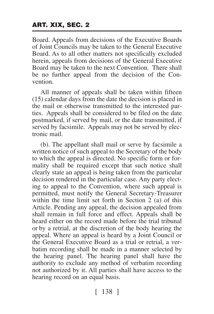Board. Appeals from decisions of the Executive Boards of Joint Councils may be taken to the General Executive Board. As to all other matters not specifically excluded herein, appeals from decisions of the General Executive Board may be taken to the next Convention. There shall be no further appeal from the decision of the Convention.

All manner of appeals shall be taken within fifteen (15) calendar days from the date the decision is placed in the mail or otherwise transmitted to the interested parties. Appeals shall be considered to be filed on the date postmarked, if served by mail, or the date transmitted, if served by facsimile. Appeals may not be served by electronic mail.

(b). The appellant shall mail or serve by facsimile a written notice of such appeal to the Secretary of the body to which the appeal is directed. No specific form or formality shall be required except that such notice shall clearly state an appeal is being taken from the particular decision rendered in the particular case. Any party electing to appeal to the Convention, where such appeal is permitted, must notify the General Secretary-Treasurer within the time limit set forth in Section 2 (a) of this Article. Pending any appeal, the decision appealed from shall remain in full force and effect. Appeals shall be heard either on the record made before the trial tribunal or by a retrial, at the discretion of the body hearing the appeal. Where an appeal is heard by a Joint Council or the General Executive Board as a trial or retrial, a verbatim recording shall be made in a manner selected by the hearing panel. The hearing panel shall have the authority to exclude any method of verbatim recording not authorized by it. All parties shall have access to the hearing record on an equal basis.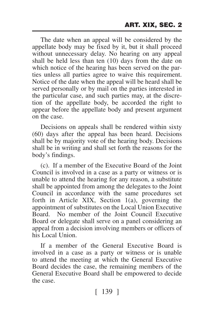The date when an appeal will be considered by the appellate body may be fixed by it, but it shall proceed without unnecessary delay. No hearing on any appeal shall be held less than ten (10) days from the date on which notice of the hearing has been served on the parties unless all parties agree to waive this requirement. Notice of the date when the appeal will be heard shall be served personally or by mail on the parties interested in the particular case, and such parties may, at the discretion of the appellate body, be accorded the right to appear before the appellate body and present argument on the case.

Decisions on appeals shall be rendered within sixty (60) days after the appeal has been heard. Decisions shall be by majority vote of the hearing body. Decisions shall be in writing and shall set forth the reasons for the body's findings.

(c). If a member of the Executive Board of the Joint Council is involved in a case as a party or witness or is unable to attend the hearing for any reason, a substitute shall be appointed from among the delegates to the Joint Council in accordance with the same procedures set forth in Article XIX, Section 1(a), governing the appointment of substitutes on the Local Union Executive Board. No member of the Joint Council Executive Board or delegate shall serve on a panel considering an appeal from a decision involving members or officers of his Local Union.

If a member of the General Executive Board is involved in a case as a party or witness or is unable to attend the meeting at which the General Executive Board decides the case, the remaining members of the General Executive Board shall be empowered to decide the case.

# [ 139 ]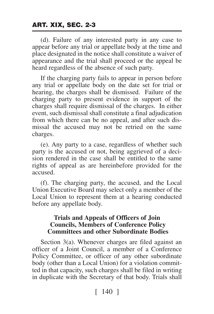(d). Failure of any interested party in any case to appear before any trial or appellate body at the time and place designated in the notice shall constitute a waiver of appearance and the trial shall proceed or the appeal be heard regardless of the absence of such party.

If the charging party fails to appear in person before any trial or appellate body on the date set for trial or hearing, the charges shall be dismissed. Failure of the charging party to present evidence in support of the charges shall require dismissal of the charges. In either event, such dismissal shall constitute a final adjudication from which there can be no appeal, and after such dismissal the accused may not be retried on the same charges.

(e). Any party to a case, regardless of whether such party is the accused or not, being aggrieved of a decision rendered in the case shall be entitled to the same rights of appeal as are hereinbefore provided for the accused.

(f). The charging party, the accused, and the Local Union Executive Board may select only a member of the Local Union to represent them at a hearing conducted before any appellate body.

### **Trials and Appeals of Officers of Join Councils, Members of Conference Policy Committees and other Subordinate Bodies**

Section 3(a). Whenever charges are filed against an officer of a Joint Council, a member of a Conference Policy Committee, or officer of any other subordinate body (other than a Local Union) for a violation committed in that capacity, such charges shall be filed in writing in duplicate with the Secretary of that body. Trials shall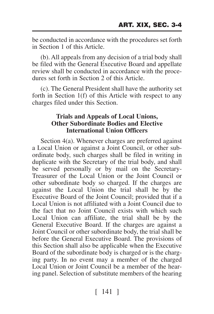be conducted in accordance with the procedures set forth in Section 1 of this Article.

(b). All appeals from any decision of a trial body shall be filed with the General Executive Board and appellate review shall be conducted in accordance with the procedures set forth in Section 2 of this Article.

(c). The General President shall have the authority set forth in Section 1(f) of this Article with respect to any charges filed under this Section.

### **Trials and Appeals of Local Unions, Other Subordinate Bodies and Elective International Union Officers**

Section 4(a). Whenever charges are preferred against a Local Union or against a Joint Council, or other subordinate body, such charges shall be filed in writing in duplicate with the Secretary of the trial body, and shall be served personally or by mail on the Secretary-Treasurer of the Local Union or the Joint Council or other subordinate body so charged. If the charges are against the Local Union the trial shall be by the Executive Board of the Joint Council; provided that if a Local Union is not affiliated with a Joint Council due to the fact that no Joint Council exists with which such Local Union can affiliate, the trial shall be by the General Executive Board. If the charges are against a Joint Council or other subordinate body, the trial shall be before the General Executive Board. The provisions of this Section shall also be applicable when the Executive Board of the subordinate body is charged or is the charging party. In no event may a member of the charged Local Union or Joint Council be a member of the hearing panel. Selection of substitute members of the hearing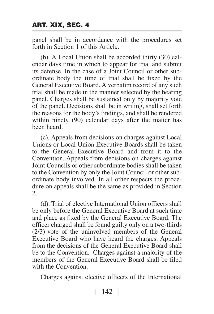panel shall be in accordance with the procedures set forth in Section 1 of this Article.

(b). A Local Union shall be accorded thirty (30) calendar days time in which to appear for trial and submit its defense. In the case of a Joint Council or other subordinate body the time of trial shall be fixed by the General Executive Board. A verbatim record of any such trial shall be made in the manner selected by the hearing panel. Charges shall be sustained only by majority vote of the panel. Decisions shall be in writing, shall set forth the reasons for the body's findings, and shall be rendered within ninety (90) calendar days after the matter has been heard.

(c). Appeals from decisions on charges against Local Unions or Local Union Executive Boards shall be taken to the General Executive Board and from it to the Convention. Appeals from decisions on charges against Joint Councils or other subordinate bodies shall be taken to the Convention by only the Joint Council or other subordinate body involved. In all other respects the procedure on appeals shall be the same as provided in Section  $2<sup>2</sup>$ 

(d). Trial of elective International Union officers shall be only before the General Executive Board at such time and place as fixed by the General Executive Board. The officer charged shall be found guilty only on a two-thirds (2/3) vote of the uninvolved members of the General Executive Board who have heard the charges. Appeals from the decisions of the General Executive Board shall be to the Convention. Charges against a majority of the members of the General Executive Board shall be filed with the Convention.

Charges against elective officers of the International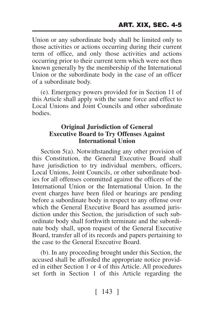Union or any subordinate body shall be limited only to those activities or actions occurring during their current term of office, and only those activities and actions occurring prior to their current term which were not then known generally by the membership of the International Union or the subordinate body in the case of an officer of a subordinate body.

(e). Emergency powers provided for in Section 11 of this Article shall apply with the same force and effect to Local Unions and Joint Councils and other subordinate bodies.

### **Original Jurisdiction of General Executive Board to Try Offenses Against International Union**

Section 5(a). Notwithstanding any other provision of this Constitution, the General Executive Board shall have jurisdiction to try individual members, officers, Local Unions, Joint Councils, or other subordinate bodies for all offenses committed against the officers of the International Union or the International Union. In the event charges have been filed or hearings are pending before a subordinate body in respect to any offense over which the General Executive Board has assumed jurisdiction under this Section, the jurisdiction of such subordinate body shall forthwith terminate and the subordinate body shall, upon request of the General Executive Board, transfer all of its records and papers pertaining to the case to the General Executive Board.

(b). In any proceeding brought under this Section, the accused shall be afforded the appropriate notice provided in either Section 1 or 4 of this Article. All procedures set forth in Section 1 of this Article regarding the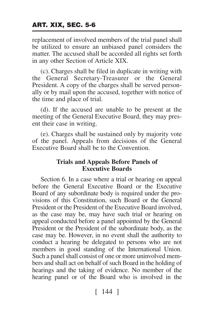replacement of involved members of the trial panel shall be utilized to ensure an unbiased panel considers the matter. The accused shall be accorded all rights set forth in any other Section of Article XIX.

(c). Charges shall be filed in duplicate in writing with the General Secretary-Treasurer or the General President. A copy of the charges shall be served personally or by mail upon the accused, together with notice of the time and place of trial.

(d). If the accused are unable to be present at the meeting of the General Executive Board, they may present their case in writing.

(e). Charges shall be sustained only by majority vote of the panel. Appeals from decisions of the General Executive Board shall be to the Convention.

### **Trials and Appeals Before Panels of Executive Boards**

Section 6. In a case where a trial or hearing on appeal before the General Executive Board or the Executive Board of any subordinate body is required under the provisions of this Constitution, such Board or the General President or the President of the Executive Board involved, as the case may be, may have such trial or hearing on appeal conducted before a panel appointed by the General President or the President of the subordinate body, as the case may be. However, in no event shall the authority to conduct a hearing be delegated to persons who are not members in good standing of the International Union. Such a panel shall consist of one or more uninvolved members and shall act on behalf of such Board in the holding of hearings and the taking of evidence. No member of the hearing panel or of the Board who is involved in the

[ 144 ]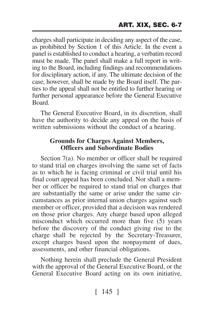charges shall participate in deciding any aspect of the case, as prohibited by Section 1 of this Article. In the event a panel is established to conduct a hearing, a verbatim record must be made. The panel shall make a full report in writing to the Board, including findings and recommendations for disciplinary action, if any. The ultimate decision of the case, however, shall be made by the Board itself. The parties to the appeal shall not be entitled to further hearing or further personal appearance before the General Executive Board.

The General Executive Board, in its discretion, shall have the authority to decide any appeal on the basis of written submissions without the conduct of a hearing.

# **Grounds for Charges Against Members, Officers and Subordinate Bodies**

Section 7(a). No member or officer shall be required to stand trial on charges involving the same set of facts as to which he is facing criminal or civil trial until his final court appeal has been concluded. Nor shall a member or officer be required to stand trial on charges that are substantially the same or arise under the same circumstances as prior internal union charges against such member or officer, provided that a decision was rendered on those prior charges. Any charge based upon alleged misconduct which occurred more than five (5) years before the discovery of the conduct giving rise to the charge shall be rejected by the Secretary-Treasurer, except charges based upon the nonpayment of dues, assessments, and other financial obligations.

Nothing herein shall preclude the General President with the approval of the General Executive Board, or the General Executive Board acting on its own initiative,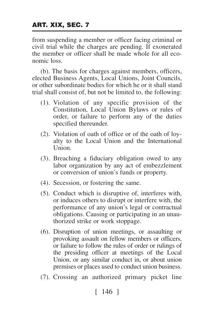from suspending a member or officer facing criminal or civil trial while the charges are pending. If exonerated the member or officer shall be made whole for all economic loss.

(b). The basis for charges against members, officers, elected Business Agents, Local Unions, Joint Councils, or other subordinate bodies for which he or it shall stand trial shall consist of, but not be limited to, the following:

- (1). Violation of any specific provision of the Constitution, Local Union Bylaws or rules of order, or failure to perform any of the duties specified thereunder.
- (2). Violation of oath of office or of the oath of loyalty to the Local Union and the International Union.
- (3). Breaching a fiduciary obligation owed to any labor organization by any act of embezzlement or conversion of union's funds or property.
- (4). Secession, or fostering the same.
- (5). Conduct which is disruptive of, interferes with, or induces others to disrupt or interfere with, the performance of any union's legal or contractual obligations. Causing or participating in an unauthorized strike or work stoppage.
- (6). Disruption of union meetings, or assaulting or provoking assault on fellow members or officers, or failure to follow the rules of order or rulings of the presiding officer at meetings of the Local Union, or any similar conduct in, or about union premises or places used to conduct union business.
- (7). Crossing an authorized primary picket line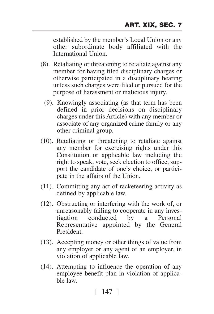established by the member's Local Union or any other subordinate body affiliated with the International Union.

- (8). Retaliating or threatening to retaliate against any member for having filed disciplinary charges or otherwise participated in a disciplinary hearing unless such charges were filed or pursued for the purpose of harassment or malicious injury.
	- (9). Knowingly associating (as that term has been defined in prior decisions on disciplinary charges under this Article) with any member or associate of any organized crime family or any other criminal group.
- (10). Retaliating or threatening to retaliate against any member for exercising rights under this Constitution or applicable law including the right to speak, vote, seek election to office, support the candidate of one's choice, or participate in the affairs of the Union.
- (11). Committing any act of racketeering activity as defined by applicable law.
- (12). Obstructing or interfering with the work of, or unreasonably failing to cooperate in any investigation conducted by a Personal Representative appointed by the General President.
- (13). Accepting money or other things of value from any employer or any agent of an employer, in violation of applicable law.
- (14). Attempting to influence the operation of any employee benefit plan in violation of applicable law.

# [ 147 ]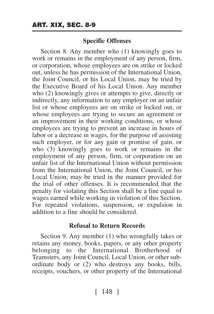# **Specific Offenses**

Section 8. Any member who (1) knowingly goes to work or remains in the employment of any person, firm, or corporation, whose employees are on strike or locked out, unless he has permission of the International Union, the Joint Council, or his Local Union, may be tried by the Executive Board of his Local Union. Any member who (2) knowingly gives or attempts to give, directly or indirectly, any information to any employer on an unfair list or whose employees are on strike or locked out, or whose employees are trying to secure an agreement or an improvement in their working conditions, or whose employees are trying to prevent an increase in hours of labor or a decrease in wages, for the purpose of assisting such employer, or for any gain or promise of gain, or who (3) knowingly goes to work or remains in the employment of any person, firm, or corporation on an unfair list of the International Union without permission from the International Union, the Joint Council, or his Local Union, may be tried in the manner provided for the trial of other offenses. It is recommended that the penalty for violating this Section shall be a fine equal to wages earned while working in violation of this Section. For repeated violations, suspension, or expulsion in addition to a fine should be considered.

#### **Refusal to Return Records**

Section 9. Any member (1) who wrongfully takes or retains any money, books, papers, or any other property belonging to the International Brotherhood of Teamsters, any Joint Council, Local Union, or other subordinate body or (2) who destroys any books, bills, receipts, vouchers, or other property of the International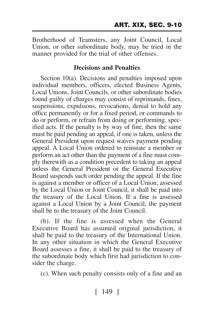Brotherhood of Teamsters, any Joint Council, Local Union, or other subordinate body, may be tried in the manner provided for the trial of other offenses.

## **Decisions and Penalties**

Section 10(a). Decisions and penalties imposed upon individual members, officers, elected Business Agents, Local Unions, Joint Councils, or other subordinate bodies found guilty of charges may consist of reprimands, fines, suspensions, expulsions, revocations, denial to hold any office permanently or for a fixed period, or commands to do or perform, or refrain from doing or performing, specified acts. If the penalty is by way of fine, then the same must be paid pending an appeal, if one is taken, unless the General President upon request waives payment pending appeal. A Local Union ordered to reinstate a member or perform an act other than the payment of a fine must comply therewith as a condition precedent to taking an appeal unless the General President or the General Executive Board suspends such order pending the appeal. If the fine is against a member or officer of a Local Union, assessed by the Local Union or Joint Council, it shall be paid into the treasury of the Local Union. If a fine is assessed against a Local Union by a Joint Council, the payment shall be to the treasury of the Joint Council.

(b). If the fine is assessed when the General Executive Board has assumed original jurisdiction, it shall be paid to the treasury of the International Union. In any other situation in which the General Executive Board assesses a fine, it shall be paid to the treasury of the subordinate body which first had jurisdiction to consider the charge.

(c). When such penalty consists only of a fine and an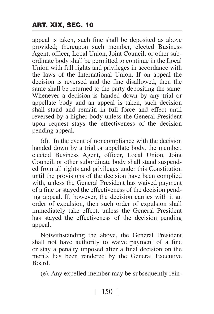appeal is taken, such fine shall be deposited as above provided; thereupon such member, elected Business Agent, officer, Local Union, Joint Council, or other subordinate body shall be permitted to continue in the Local Union with full rights and privileges in accordance with the laws of the International Union. If on appeal the decision is reversed and the fine disallowed, then the same shall be returned to the party depositing the same. Whenever a decision is handed down by any trial or appellate body and an appeal is taken, such decision shall stand and remain in full force and effect until reversed by a higher body unless the General President upon request stays the effectiveness of the decision pending appeal.

(d). In the event of noncompliance with the decision handed down by a trial or appellate body, the member, elected Business Agent, officer, Local Union, Joint Council, or other subordinate body shall stand suspended from all rights and privileges under this Constitution until the provisions of the decision have been complied with, unless the General President has waived payment of a fine or stayed the effectiveness of the decision pending appeal. If, however, the decision carries with it an order of expulsion, then such order of expulsion shall immediately take effect, unless the General President has stayed the effectiveness of the decision pending appeal.

Notwithstanding the above, the General President shall not have authority to waive payment of a fine or stay a penalty imposed after a final decision on the merits has been rendered by the General Executive Board.

(e). Any expelled member may be subsequently rein-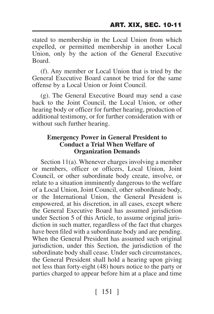stated to membership in the Local Union from which expelled, or permitted membership in another Local Union, only by the action of the General Executive Board.

(f). Any member or Local Union that is tried by the General Executive Board cannot be tried for the same offense by a Local Union or Joint Council.

(g). The General Executive Board may send a case back to the Joint Council, the Local Union, or other hearing body or officer for further hearing, production of additional testimony, or for further consideration with or without such further hearing.

### **Emergency Power in General President to Conduct a Trial When Welfare of Organization Demands**

Section 11(a). Whenever charges involving a member or members, officer or officers, Local Union, Joint Council, or other subordinate body create, involve, or relate to a situation imminently dangerous to the welfare of a Local Union, Joint Council, other subordinate body, or the International Union, the General President is empowered, at his discretion, in all cases, except where the General Executive Board has assumed jurisdiction under Section 5 of this Article, to assume original jurisdiction in such matter, regardless of the fact that charges have been filed with a subordinate body and are pending. When the General President has assumed such original jurisdiction, under this Section, the jurisdiction of the subordinate body shall cease. Under such circumstances, the General President shall hold a hearing upon giving not less than forty-eight (48) hours notice to the party or parties charged to appear before him at a place and time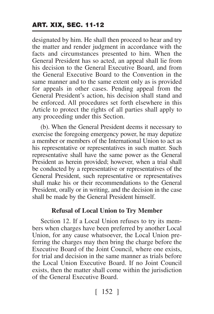designated by him. He shall then proceed to hear and try the matter and render judgment in accordance with the facts and circumstances presented to him. When the General President has so acted, an appeal shall lie from his decision to the General Executive Board, and from the General Executive Board to the Convention in the same manner and to the same extent only as is provided for appeals in other cases. Pending appeal from the General President's action, his decision shall stand and be enforced. All procedures set forth elsewhere in this Article to protect the rights of all parties shall apply to any proceeding under this Section.

(b). When the General President deems it necessary to exercise the foregoing emergency power, he may deputize a member or members of the International Union to act as his representative or representatives in such matter. Such representative shall have the same power as the General President as herein provided; however, when a trial shall be conducted by a representative or representatives of the General President, such representative or representatives shall make his or their recommendations to the General President, orally or in writing, and the decision in the case shall be made by the General President himself.

### **Refusal of Local Union to Try Member**

Section 12. If a Local Union refuses to try its members when charges have been preferred by another Local Union, for any cause whatsoever, the Local Union preferring the charges may then bring the charge before the Executive Board of the Joint Council, where one exists, for trial and decision in the same manner as trials before the Local Union Executive Board. If no Joint Council exists, then the matter shall come within the jurisdiction of the General Executive Board.

[ 152 ]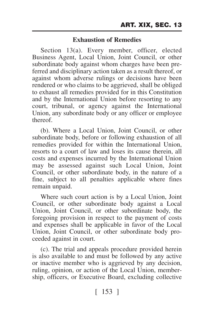### **Exhaustion of Remedies**

Section 13(a). Every member, officer, elected Business Agent, Local Union, Joint Council, or other subordinate body against whom charges have been preferred and disciplinary action taken as a result thereof, or against whom adverse rulings or decisions have been rendered or who claims to be aggrieved, shall be obliged to exhaust all remedies provided for in this Constitution and by the International Union before resorting to any court, tribunal, or agency against the International Union, any subordinate body or any officer or employee thereof.

(b). Where a Local Union, Joint Council, or other subordinate body, before or following exhaustion of all remedies provided for within the International Union, resorts to a court of law and loses its cause therein, all costs and expenses incurred by the International Union may be assessed against such Local Union, Joint Council, or other subordinate body, in the nature of a fine, subject to all penalties applicable where fines remain unpaid.

Where such court action is by a Local Union, Joint Council, or other subordinate body against a Local Union, Joint Council, or other subordinate body, the foregoing provision in respect to the payment of costs and expenses shall be applicable in favor of the Local Union, Joint Council, or other subordinate body proceeded against in court.

(c). The trial and appeals procedure provided herein is also available to and must be followed by any active or inactive member who is aggrieved by any decision, ruling, opinion, or action of the Local Union, membership, officers, or Executive Board, excluding collective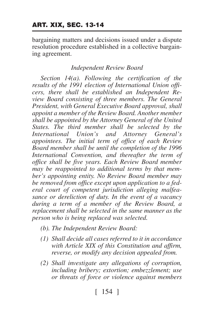bargaining matters and decisions issued under a dispute resolution procedure established in a collective bargaining agreement.

### *Independent Review Board*

*Section 14(a). Following the certification of the results of the 1991 election of International Union officers, there shall be established an Independent Review Board consisting of three members. The General President, with General Executive Board approval, shall appoint a member of the Review Board. Another member shall be appointed by the Attorney General of the United States. The third member shall be selected by the International Union's and Attorney General's appointees. The initial term of office of each Review Board member shall be until the completion of the 1996 International Convention, and thereafter the term of office shall be five years. Each Review Board member may be reappointed to additional terms by that member's appointing entity. No Review Board member may be removed from office except upon application to a federal court of competent jurisdiction alleging malfeasance or dereliction of duty. In the event of a vacancy during a term of a member of the Review Board, a replacement shall be selected in the same manner as the person who is being replaced was selected.*

- *(b). The Independent Review Board:*
- *(1) Shall decide all cases referred to it in accordance with Article XIX of this Constitution and affirm, reverse, or modify any decision appealed from.*
- *(2) Shall investigate any allegations of corruption, including bribery; extortion; embezzlement; use or threats of force or violence against members*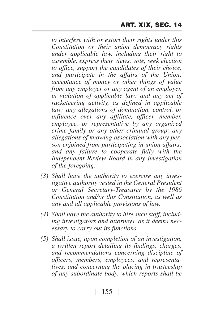*to interfere with or extort their rights under this Constitution or their union democracy rights under applicable law, including their right to assemble, express their views, vote, seek election to office, support the candidates of their choice, and participate in the affairs of the Union; acceptance of money or other things of value from any employer or any agent of an employer, in violation of applicable law; and any act of racketeering activity, as defined in applicable law; any allegations of domination, control, or influence over any affiliate, officer, member, employee, or representative by any organized crime family or any other criminal group; any allegations of knowing association with any person enjoined from participating in union affairs; and any failure to cooperate fully with the Independent Review Board in any investigation of the foregoing.*

- *(3) Shall have the authority to exercise any investigative authority vested in the General President or General Secretary-Treasurer by the 1986 Constitution and/or this Constitution, as well as any and all applicable provisions of law.*
- *(4) Shall have the authority to hire such staff, including investigators and attorneys, as it deems necessary to carry out its functions.*
- *(5) Shall issue, upon completion of an investigation, a written report detailing its findings, charges, and recommendations concerning discipline of officers, members, employees, and representatives, and concerning the placing in trusteeship of any subordinate body, which reports shall be*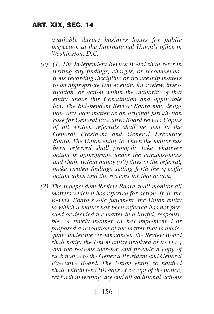*available during business hours for public inspection at the International Union's office in Washington, D.C.*

- *(c). (1) The Independent Review Board shall refer in writing any findings, charges, or recommendations regarding discipline or trusteeship matters to an appropriate Union entity for review, investigation, or action within the authority of that entity under this Constitution and applicable law. The Independent Review Board may designate any such matter as an original jurisdiction case for General Executive Board review. Copies of all written referrals shall be sent to the General President and General Executive Board. The Union entity to which the matter has been referred shall promptly take whatever action is appropriate under the circumstances and shall, within ninety (90) days of the referral, make written findings setting forth the specific action taken and the reasons for that action.*
- *(2) The Independent Review Board shall monitor all matters which it has referred for action. If, in the Review Board's sole judgment, the Union entity to which a matter has been referred has not pursued or decided the matter in a lawful, responsible, or timely manner, or has implemented or proposed a resolution of the matter that is inadequate under the circumstances, the Review Board shall notify the Union entity involved of its view, and the reasons therefor, and provide a copy of such notice to the General President and General Executive Board. The Union entity so notified shall, within ten (10) days of receipt of the notice, set forth in writing any and all additional actions*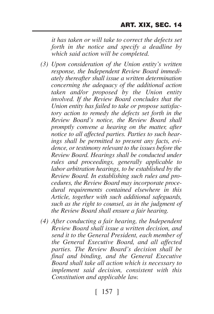*it has taken or will take to correct the defects set forth in the notice and specify a deadline by which said action will be completed.*

- *(3) Upon consideration of the Union entity's written response, the Independent Review Board immediately thereafter shall issue a written determination concerning the adequacy of the additional action taken and/or proposed by the Union entity involved. If the Review Board concludes that the Union entity has failed to take or propose satisfactory action to remedy the defects set forth in the Review Board's notice, the Review Board shall promptly convene a hearing on the matter, after notice to all affected parties. Parties to such hearings shall be permitted to present any facts, evidence, or testimony relevant to the issues before the Review Board. Hearings shall be conducted under rules and proceedings, generally applicable to labor arbitration hearings, to be established by the Review Board. In establishing such rules and procedures, the Review Board may incorporate procedural requirements contained elsewhere in this Article, together with such additional safeguards, such as the right to counsel, as in the judgment of the Review Board shall ensure a fair hearing.*
- *(4) After conducting a fair hearing, the Independent Review Board shall issue a written decision, and send it to the General President, each member of the General Executive Board, and all affected parties. The Review Board's decision shall be final and binding, and the General Executive Board shall take all action which is necessary to implement said decision, consistent with this Constitution and applicable law.*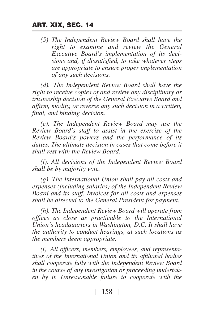*(5) The Independent Review Board shall have the right to examine and review the General Executive Board's implementation of its decisions and, if dissatisfied, to take whatever steps are appropriate to ensure proper implementation of any such decisions.*

*(d). The Independent Review Board shall have the right to receive copies of and review any disciplinary or trusteeship decision of the General Executive Board and affirm, modify, or reverse any such decision in a written, final, and binding decision.*

*(e). The Independent Review Board may use the Review Board's staff to assist in the exercise of the Review Board's powers and the performance of its duties. The ultimate decision in cases that come before it shall rest with the Review Board.*

*(f). All decisions of the Independent Review Board shall be by majority vote.*

*(g). The International Union shall pay all costs and expenses (including salaries) of the Independent Review Board and its staff. Invoices for all costs and expenses shall be directed to the General President for payment.*

*(h). The Independent Review Board will operate from offices as close as practicable to the International Union's headquarters in Washington, D.C. It shall have the authority to conduct hearings, at such locations as the members deem appropriate.*

*(i). All officers, members, employees, and representatives of the International Union and its affiliated bodies shall cooperate fully with the Independent Review Board in the course of any investigation or proceeding undertaken by it. Unreasonable failure to cooperate with the*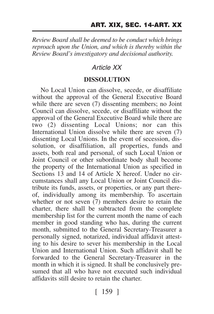*Review Board shall be deemed to be conduct which brings reproach upon the Union, and which is thereby within the Review Board's investigatory and decisional authority.*

# *Article XX*

## **DISSOLUTION**

No Local Union can dissolve, secede, or disaffiliate without the approval of the General Executive Board while there are seven (7) dissenting members; no Joint Council can dissolve, secede, or disaffiliate without the approval of the General Executive Board while there are two (2) dissenting Local Unions; nor can this International Union dissolve while there are seven (7) dissenting Local Unions. In the event of secession, dissolution, or disaffiliation, all properties, funds and assets, both real and personal, of such Local Union or Joint Council or other subordinate body shall become the property of the International Union as specified in Sections 13 and 14 of Article X hereof. Under no circumstances shall any Local Union or Joint Council distribute its funds, assets, or properties, or any part thereof, individually among its membership. To ascertain whether or not seven (7) members desire to retain the charter, there shall be subtracted from the complete membership list for the current month the name of each member in good standing who has, during the current month, submitted to the General Secretary-Treasurer a personally signed, notarized, individual affidavit attesting to his desire to sever his membership in the Local Union and International Union. Such affidavit shall be forwarded to the General Secretary-Treasurer in the month in which it is signed. It shall be conclusively presumed that all who have not executed such individual affidavits still desire to retain the charter.

[ 159 ]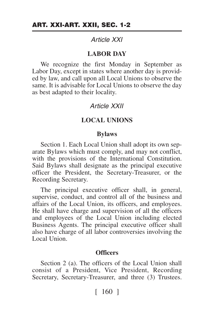### *Article XXI*

#### **LABOR DAY**

We recognize the first Monday in September as Labor Day, except in states where another day is provided by law, and call upon all Local Unions to observe the same. It is advisable for Local Unions to observe the day as best adapted to their locality.

### *Article XXII*

# **LOCAL UNIONS**

### **Bylaws**

Section 1. Each Local Union shall adopt its own separate Bylaws which must comply, and may not conflict, with the provisions of the International Constitution. Said Bylaws shall designate as the principal executive officer the President, the Secretary-Treasurer, or the Recording Secretary.

The principal executive officer shall, in general, supervise, conduct, and control all of the business and affairs of the Local Union, its officers, and employees. He shall have charge and supervision of all the officers and employees of the Local Union including elected Business Agents. The principal executive officer shall also have charge of all labor controversies involving the Local Union.

#### **Officers**

Section 2 (a). The officers of the Local Union shall consist of a President, Vice President, Recording Secretary, Secretary-Treasurer, and three (3) Trustees.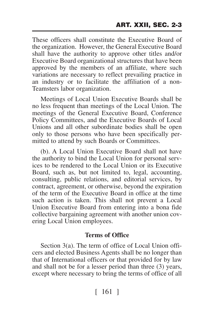These officers shall constitute the Executive Board of the organization. However, the General Executive Board shall have the authority to approve other titles and/or Executive Board organizational structures that have been approved by the members of an affiliate, where such variations are necessary to reflect prevailing practice in an industry or to facilitate the affiliation of a non-Teamsters labor organization.

Meetings of Local Union Executive Boards shall be no less frequent than meetings of the Local Union. The meetings of the General Executive Board, Conference Policy Committees, and the Executive Boards of Local Unions and all other subordinate bodies shall be open only to those persons who have been specifically permitted to attend by such Boards or Committees.

(b). A Local Union Executive Board shall not have the authority to bind the Local Union for personal services to be rendered to the Local Union or its Executive Board, such as, but not limited to, legal, accounting, consulting, public relations, and editorial services, by contract, agreement, or otherwise, beyond the expiration of the term of the Executive Board in office at the time such action is taken. This shall not prevent a Local Union Executive Board from entering into a bona fide collective bargaining agreement with another union covering Local Union employees.

## **Terms of Office**

Section 3(a). The term of office of Local Union officers and elected Business Agents shall be no longer than that of International officers or that provided for by law and shall not be for a lesser period than three (3) years, except where necessary to bring the terms of office of all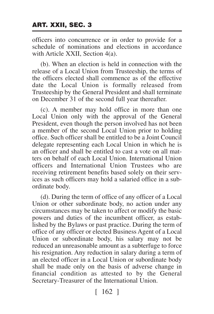officers into concurrence or in order to provide for a schedule of nominations and elections in accordance with Article XXII, Section 4(a).

(b). When an election is held in connection with the release of a Local Union from Trusteeship, the terms of the officers elected shall commence as of the effective date the Local Union is formally released from Trusteeship by the General President and shall terminate on December 31 of the second full year thereafter.

(c). A member may hold office in more than one Local Union only with the approval of the General President, even though the person involved has not been a member of the second Local Union prior to holding office. Such officer shall be entitled to be a Joint Council delegate representing each Local Union in which he is an officer and shall be entitled to cast a vote on all matters on behalf of each Local Union. International Union officers and International Union Trustees who are receiving retirement benefits based solely on their services as such officers may hold a salaried office in a subordinate body.

(d). During the term of office of any officer of a Local Union or other subordinate body, no action under any circumstances may be taken to affect or modify the basic powers and duties of the incumbent officer, as established by the Bylaws or past practice. During the term of office of any officer or elected Business Agent of a Local Union or subordinate body, his salary may not be reduced an unreasonable amount as a subterfuge to force his resignation. Any reduction in salary during a term of an elected officer in a Local Union or subordinate body shall be made only on the basis of adverse change in financial condition as attested to by the General Secretary-Treasurer of the International Union.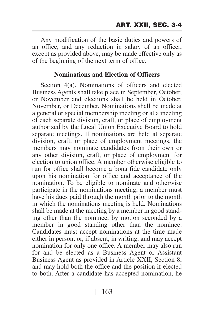Any modification of the basic duties and powers of an office, and any reduction in salary of an officer, except as provided above, may be made effective only as of the beginning of the next term of office.

### **Nominations and Election of Officers**

Section 4(a). Nominations of officers and elected Business Agents shall take place in September, October, or November and elections shall be held in October, November, or December. Nominations shall be made at a general or special membership meeting or at a meeting of each separate division, craft, or place of employment authorized by the Local Union Executive Board to hold separate meetings. If nominations are held at separate division, craft, or place of employment meetings, the members may nominate candidates from their own or any other division, craft, or place of employment for election to union office. A member otherwise eligible to run for office shall become a bona fide candidate only upon his nomination for office and acceptance of the nomination. To be eligible to nominate and otherwise participate in the nominations meeting, a member must have his dues paid through the month prior to the month in which the nominations meeting is held. Nominations shall be made at the meeting by a member in good standing other than the nominee, by motion seconded by a member in good standing other than the nominee. Candidates must accept nominations at the time made either in person, or, if absent, in writing, and may accept nomination for only one office. A member may also run for and be elected as a Business Agent or Assistant Business Agent as provided in Article XXII, Section 8, and may hold both the office and the position if elected to both. After a candidate has accepted nomination, he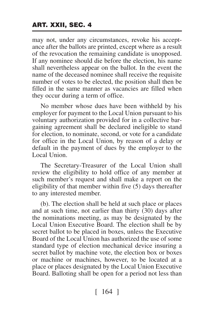may not, under any circumstances, revoke his acceptance after the ballots are printed, except where as a result of the revocation the remaining candidate is unopposed. If any nominee should die before the election, his name shall nevertheless appear on the ballot. In the event the name of the deceased nominee shall receive the requisite number of votes to be elected, the position shall then be filled in the same manner as vacancies are filled when they occur during a term of office.

No member whose dues have been withheld by his employer for payment to the Local Union pursuant to his voluntary authorization provided for in a collective bargaining agreement shall be declared ineligible to stand for election, to nominate, second, or vote for a candidate for office in the Local Union, by reason of a delay or default in the payment of dues by the employer to the Local Union.

The Secretary-Treasurer of the Local Union shall review the eligibility to hold office of any member at such member's request and shall make a report on the eligibility of that member within five (5) days thereafter to any interested member.

(b). The election shall be held at such place or places and at such time, not earlier than thirty (30) days after the nominations meeting, as may be designated by the Local Union Executive Board. The election shall be by secret ballot to be placed in boxes, unless the Executive Board of the Local Union has authorized the use of some standard type of election mechanical device insuring a secret ballot by machine vote, the election box or boxes or machine or machines, however, to be located at a place or places designated by the Local Union Executive Board. Balloting shall be open for a period not less than

[ 164 ]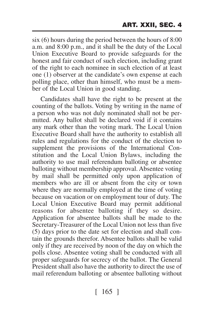six (6) hours during the period between the hours of 8:00 a.m. and 8:00 p.m., and it shall be the duty of the Local Union Executive Board to provide safeguards for the honest and fair conduct of such election, including grant of the right to each nominee in such election of at least one (1) observer at the candidate's own expense at each polling place, other than himself, who must be a member of the Local Union in good standing.

Candidates shall have the right to be present at the counting of the ballots. Voting by writing in the name of a person who was not duly nominated shall not be permitted. Any ballot shall be declared void if it contains any mark other than the voting mark. The Local Union Executive Board shall have the authority to establish all rules and regulations for the conduct of the election to supplement the provisions of the International Constitution and the Local Union Bylaws, including the authority to use mail referendum balloting or absentee balloting without membership approval. Absentee voting by mail shall be permitted only upon application of members who are ill or absent from the city or town where they are normally employed at the time of voting because on vacation or on employment tour of duty. The Local Union Executive Board may permit additional reasons for absentee balloting if they so desire. Application for absentee ballots shall be made to the Secretary-Treasurer of the Local Union not less than five (5) days prior to the date set for election and shall contain the grounds therefor. Absentee ballots shall be valid only if they are received by noon of the day on which the polls close. Absentee voting shall be conducted with all proper safeguards for secrecy of the ballot. The General President shall also have the authority to direct the use of mail referendum balloting or absentee balloting without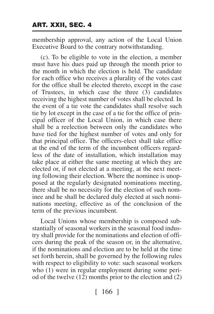membership approval, any action of the Local Union Executive Board to the contrary notwithstanding.

(c). To be eligible to vote in the election, a member must have his dues paid up through the month prior to the month in which the election is held. The candidate for each office who receives a plurality of the votes cast for the office shall be elected thereto, except in the case of Trustees, in which case the three  $(3)$  candidates receiving the highest number of votes shall be elected. In the event of a tie vote the candidates shall resolve such tie by lot except in the case of a tie for the office of principal officer of the Local Union, in which case there shall be a reelection between only the candidates who have tied for the highest number of votes and only for that principal office. The officers-elect shall take office at the end of the term of the incumbent officers regardless of the date of installation, which installation may take place at either the same meeting at which they are elected or, if not elected at a meeting, at the next meeting following their election. Where the nominee is unopposed at the regularly designated nominations meeting, there shall be no necessity for the election of such nominee and he shall be declared duly elected at such nominations meeting, effective as of the conclusion of the term of the previous incumbent.

Local Unions whose membership is composed substantially of seasonal workers in the seasonal food industry shall provide for the nominations and election of officers during the peak of the season or, in the alternative, if the nominations and election are to be held at the time set forth herein, shall be governed by the following rules with respect to eligibility to vote: such seasonal workers who (1) were in regular employment during some period of the twelve (12) months prior to the election and (2)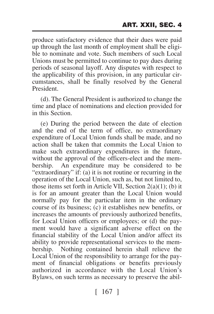produce satisfactory evidence that their dues were paid up through the last month of employment shall be eligible to nominate and vote. Such members of such Local Unions must be permitted to continue to pay dues during periods of seasonal layoff. Any disputes with respect to the applicability of this provision, in any particular circumstances, shall be finally resolved by the General President.

(d). The General President is authorized to change the time and place of nominations and election provided for in this Section.

(e) During the period between the date of election and the end of the term of office, no extraordinary expenditure of Local Union funds shall be made, and no action shall be taken that commits the Local Union to make such extraordinary expenditures in the future, without the approval of the officers-elect and the membership. An expenditure may be considered to be "extraordinary" if: (a) it is not routine or recurring in the operation of the Local Union, such as, but not limited to, those items set forth in Article VII, Section 2(a)(1); (b) it is for an amount greater than the Local Union would normally pay for the particular item in the ordinary course of its business; (c) it establishes new benefits, or increases the amounts of previously authorized benefits, for Local Union officers or employees; or (d) the payment would have a significant adverse effect on the financial stability of the Local Union and/or affect its ability to provide representational services to the membership. Nothing contained herein shall relieve the Local Union of the responsibility to arrange for the payment of financial obligations or benefits previously authorized in accordance with the Local Union's Bylaws, on such terms as necessary to preserve the abil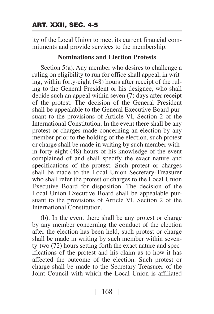ity of the Local Union to meet its current financial commitments and provide services to the membership.

## **Nominations and Election Protests**

Section 5(a). Any member who desires to challenge a ruling on eligibility to run for office shall appeal, in writing, within forty-eight (48) hours after receipt of the ruling to the General President or his designee, who shall decide such an appeal within seven (7) days after receipt of the protest. The decision of the General President shall be appealable to the General Executive Board pursuant to the provisions of Article VI, Section 2 of the International Constitution. In the event there shall be any protest or charges made concerning an election by any member prior to the holding of the election, such protest or charge shall be made in writing by such member within forty-eight (48) hours of his knowledge of the event complained of and shall specify the exact nature and specifications of the protest. Such protest or charges shall be made to the Local Union Secretary-Treasurer who shall refer the protest or charges to the Local Union Executive Board for disposition. The decision of the Local Union Executive Board shall be appealable pursuant to the provisions of Article VI, Section 2 of the International Constitution.

(b). In the event there shall be any protest or charge by any member concerning the conduct of the election after the election has been held, such protest or charge shall be made in writing by such member within seventy-two (72) hours setting forth the exact nature and specifications of the protest and his claim as to how it has affected the outcome of the election. Such protest or charge shall be made to the Secretary-Treasurer of the Joint Council with which the Local Union is affiliated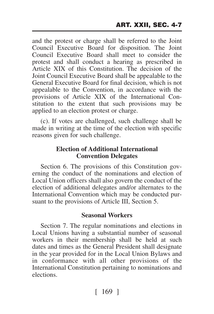and the protest or charge shall be referred to the Joint Council Executive Board for disposition. The Joint Council Executive Board shall meet to consider the protest and shall conduct a hearing as prescribed in Article XIX of this Constitution. The decision of the Joint Council Executive Board shall be appealable to the General Executive Board for final decision, which is not appealable to the Convention, in accordance with the provisions of Article XIX of the International Constitution to the extent that such provisions may be applied to an election protest or charge.

(c). If votes are challenged, such challenge shall be made in writing at the time of the election with specific reasons given for such challenge.

### **Election of Additional International Convention Delegates**

Section 6. The provisions of this Constitution governing the conduct of the nominations and election of Local Union officers shall also govern the conduct of the election of additional delegates and/or alternates to the International Convention which may be conducted pursuant to the provisions of Article III, Section 5.

# **Seasonal Workers**

Section 7. The regular nominations and elections in Local Unions having a substantial number of seasonal workers in their membership shall be held at such dates and times as the General President shall designate in the year provided for in the Local Union Bylaws and in conformance with all other provisions of the International Constitution pertaining to nominations and elections.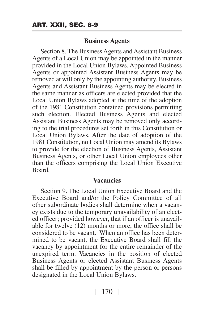## **Business Agents**

Section 8. The Business Agents and Assistant Business Agents of a Local Union may be appointed in the manner provided in the Local Union Bylaws. Appointed Business Agents or appointed Assistant Business Agents may be removed at will only by the appointing authority. Business Agents and Assistant Business Agents may be elected in the same manner as officers are elected provided that the Local Union Bylaws adopted at the time of the adoption of the 1981 Constitution contained provisions permitting such election. Elected Business Agents and elected Assistant Business Agents may be removed only according to the trial procedures set forth in this Constitution or Local Union Bylaws. After the date of adoption of the 1981 Constitution, no Local Union may amend its Bylaws to provide for the election of Business Agents, Assistant Business Agents, or other Local Union employees other than the officers comprising the Local Union Executive Board.

#### **Vacancies**

Section 9. The Local Union Executive Board and the Executive Board and/or the Policy Committee of all other subordinate bodies shall determine when a vacancy exists due to the temporary unavailability of an elected officer; provided however, that if an officer is unavailable for twelve (12) months or more, the office shall be considered to be vacant. When an office has been determined to be vacant, the Executive Board shall fill the vacancy by appointment for the entire remainder of the unexpired term. Vacancies in the position of elected Business Agents or elected Assistant Business Agents shall be filled by appointment by the person or persons designated in the Local Union Bylaws.

# [ 170 ]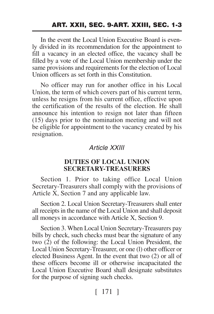In the event the Local Union Executive Board is evenly divided in its recommendation for the appointment to fill a vacancy in an elected office, the vacancy shall be filled by a vote of the Local Union membership under the same provisions and requirements for the election of Local Union officers as set forth in this Constitution.

No officer may run for another office in his Local Union, the term of which covers part of his current term, unless he resigns from his current office, effective upon the certification of the results of the election. He shall announce his intention to resign not later than fifteen (15) days prior to the nomination meeting and will not be eligible for appointment to the vacancy created by his resignation.

# *Article XXIII*

# **DUTIES OF LOCAL UNION SECRETARY-TREASURERS**

Section 1. Prior to taking office Local Union Secretary-Treasurers shall comply with the provisions of Article X, Section 7 and any applicable law.

Section 2. Local Union Secretary-Treasurers shall enter all receipts in the name of the Local Union and shall deposit all moneys in accordance with Article X, Section 9.

Section 3. When Local Union Secretary-Treasurers pay bills by check, such checks must bear the signature of any two (2) of the following: the Local Union President, the Local Union Secretary-Treasurer, or one (l) other officer or elected Business Agent. In the event that two (2) or all of these officers become ill or otherwise incapacitated the Local Union Executive Board shall designate substitutes for the purpose of signing such checks.

# [ 171 ]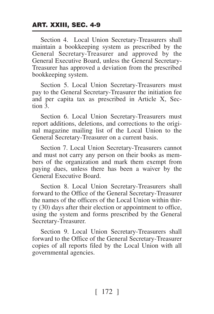Section 4. Local Union Secretary-Treasurers shall maintain a bookkeeping system as prescribed by the General Secretary-Treasurer and approved by the General Executive Board, unless the General Secretary-Treasurer has approved a deviation from the prescribed bookkeeping system.

Section 5. Local Union Secretary-Treasurers must pay to the General Secretary-Treasurer the initiation fee and per capita tax as prescribed in Article X, Section 3.

Section 6. Local Union Secretary-Treasurers must report additions, deletions, and corrections to the original magazine mailing list of the Local Union to the General Secretary-Treasurer on a current basis.

Section 7. Local Union Secretary-Treasurers cannot and must not carry any person on their books as members of the organization and mark them exempt from paying dues, unless there has been a waiver by the General Executive Board.

Section 8. Local Union Secretary-Treasurers shall forward to the Office of the General Secretary-Treasurer the names of the officers of the Local Union within thirty (30) days after their election or appointment to office, using the system and forms prescribed by the General Secretary-Treasurer.

Section 9. Local Union Secretary-Treasurers shall forward to the Office of the General Secretary-Treasurer copies of all reports filed by the Local Union with all governmental agencies.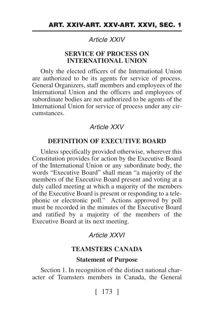*Article XXIV*

### **SERVICE OF PROCESS ON INTERNATIONAL UNION**

Only the elected officers of the International Union are authorized to be its agents for service of process. General Organizers, staff members and employees of the International Union and the officers and employees of subordinate bodies are not authorized to be agents of the International Union for service of process under any circumstances.

# *Article XXV*

# **DEFINITION OF EXECUTIVE BOARD**

Unless specifically provided otherwise, wherever this Constitution provides for action by the Executive Board of the International Union or any subordinate body, the words "Executive Board" shall mean "a majority of the members of the Executive Board present and voting at a duly called meeting at which a majority of the members of the Executive Board is present or responding to a telephonic or electronic poll." Actions approved by poll must be recorded in the minutes of the Executive Board and ratified by a majority of the members of the Executive Board at its next meeting.

# *Article XXVI*

## **TEAMSTERS CANADA**

## **Statement of Purpose**

Section 1. In recognition of the distinct national character of Teamsters members in Canada, the General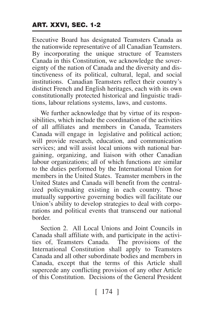Executive Board has designated Teamsters Canada as the nationwide representative of all Canadian Teamsters. By incorporating the unique structure of Teamsters Canada in this Constitution, we acknowledge the sovereignty of the nation of Canada and the diversity and distinctiveness of its political, cultural, legal, and social institutions. Canadian Teamsters reflect their country's distinct French and English heritages, each with its own constitutionally protected historical and linguistic traditions, labour relations systems, laws, and customs.

We further acknowledge that by virtue of its responsibilities, which include the coordination of the activities of all affiliates and members in Canada, Teamsters Canada will engage in legislative and political action; will provide research, education, and communication services; and will assist local unions with national bargaining, organizing, and liaison with other Canadian labour organizations; all of which functions are similar to the duties performed by the International Union for members in the United States. Teamster members in the United States and Canada will benefit from the centralized policymaking existing in each country. Those mutually supportive governing bodies will facilitate our Union's ability to develop strategies to deal with corporations and political events that transcend our national border.

Section 2. All Local Unions and Joint Councils in Canada shall affiliate with, and participate in the activities of, Teamsters Canada. The provisions of the International Constitution shall apply to Teamsters Canada and all other subordinate bodies and members in Canada, except that the terms of this Article shall supercede any conflicting provision of any other Article of this Constitution. Decisions of the General President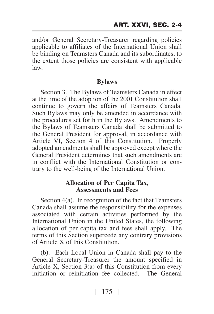and/or General Secretary-Treasurer regarding policies applicable to affiliates of the International Union shall be binding on Teamsters Canada and its subordinates, to the extent those policies are consistent with applicable law.

### **Bylaws**

Section 3. The Bylaws of Teamsters Canada in effect at the time of the adoption of the 2001 Constitution shall continue to govern the affairs of Teamsters Canada. Such Bylaws may only be amended in accordance with the procedures set forth in the Bylaws. Amendments to the Bylaws of Teamsters Canada shall be submitted to the General President for approval, in accordance with Article VI, Section 4 of this Constitution. Properly adopted amendments shall be approved except where the General President determines that such amendments are in conflict with the International Constitution or contrary to the well-being of the International Union.

### **Allocation of Per Capita Tax, Assessments and Fees**

Section 4(a). In recognition of the fact that Teamsters Canada shall assume the responsibility for the expenses associated with certain activities performed by the International Union in the United States, the following allocation of per capita tax and fees shall apply. The terms of this Section supercede any contrary provisions of Article X of this Constitution.

(b). Each Local Union in Canada shall pay to the General Secretary-Treasurer the amount specified in Article X, Section 3(a) of this Constitution from every initiation or reinitiation fee collected. The General

## [ 175 ]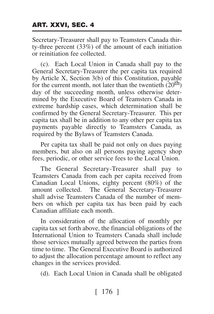Secretary-Treasurer shall pay to Teamsters Canada thirty-three percent (33%) of the amount of each initiation or reinitiation fee collected.

(c). Each Local Union in Canada shall pay to the General Secretary-Treasurer the per capita tax required by Article X, Section 3(b) of this Constitution, payable for the current month, not later than the twentieth  $(20^{th})$ day of the succeeding month, unless otherwise determined by the Executive Board of Teamsters Canada in extreme hardship cases, which determination shall be confirmed by the General Secretary-Treasurer. This per capita tax shall be in addition to any other per capita tax payments payable directly to Teamsters Canada, as required by the Bylaws of Teamsters Canada.

Per capita tax shall be paid not only on dues paying members, but also on all persons paying agency shop fees, periodic, or other service fees to the Local Union.

The General Secretary-Treasurer shall pay to Teamsters Canada from each per capita received from Canadian Local Unions, eighty percent (80%) of the amount collected. The General Secretary-Treasurer shall advise Teamsters Canada of the number of members on which per capita tax has been paid by each Canadian affiliate each month.

In consideration of the allocation of monthly per capita tax set forth above, the financial obligations of the International Union to Teamsters Canada shall include those services mutually agreed between the parties from time to time. The General Executive Board is authorized to adjust the allocation percentage amount to reflect any changes in the services provided.

(d). Each Local Union in Canada shall be obligated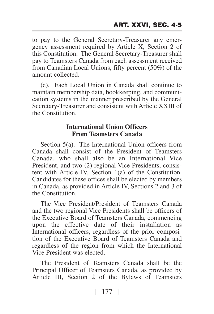to pay to the General Secretary-Treasurer any emergency assessment required by Article X, Section 2 of this Constitution. The General Secretary-Treasurer shall pay to Teamsters Canada from each assessment received from Canadian Local Unions, fifty percent (50%) of the amount collected.

(e). Each Local Union in Canada shall continue to maintain membership data, bookkeeping, and communication systems in the manner prescribed by the General Secretary-Treasurer and consistent with Article XXIII of the Constitution.

#### **International Union Officers From Teamsters Canada**

Section 5(a). The International Union officers from Canada shall consist of the President of Teamsters Canada, who shall also be an International Vice President, and two (2) regional Vice Presidents, consistent with Article IV, Section 1(a) of the Constitution. Candidates for these offices shall be elected by members in Canada, as provided in Article IV, Sections 2 and 3 of the Constitution

The Vice President/President of Teamsters Canada and the two regional Vice Presidents shall be officers of the Executive Board of Teamsters Canada, commencing upon the effective date of their installation as International officers, regardless of the prior composition of the Executive Board of Teamsters Canada and regardless of the region from which the International Vice President was elected.

The President of Teamsters Canada shall be the Principal Officer of Teamsters Canada, as provided by Article III, Section 2 of the Bylaws of Teamsters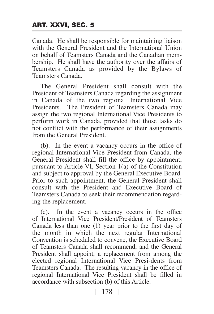Canada. He shall be responsible for maintaining liaison with the General President and the International Union on behalf of Teamsters Canada and the Canadian membership. He shall have the authority over the affairs of Teamsters Canada as provided by the Bylaws of Teamsters Canada.

The General President shall consult with the President of Teamsters Canada regarding the assignment in Canada of the two regional International Vice Presidents. The President of Teamsters Canada may assign the two regional International Vice Presidents to perform work in Canada, provided that those tasks do not conflict with the performance of their assignments from the General President.

(b). In the event a vacancy occurs in the office of regional International Vice President from Canada, the General President shall fill the office by appointment, pursuant to Article VI, Section 1(a) of the Constitution and subject to approval by the General Executive Board. Prior to such appointment, the General President shall consult with the President and Executive Board of Teamsters Canada to seek their recommendation regarding the replacement.

(c). In the event a vacancy occurs in the office of International Vice President/President of Teamsters Canada less than one (1) year prior to the first day of the month in which the next regular International Convention is scheduled to convene, the Executive Board of Teamsters Canada shall recommend, and the General President shall appoint, a replacement from among the elected regional International Vice Presi-dents from Teamsters Canada. The resulting vacancy in the office of regional International Vice President shall be filled in accordance with subsection (b) of this Article.

[ 178 ]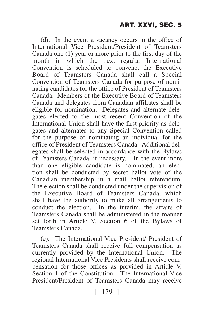(d). In the event a vacancy occurs in the office of International Vice President/President of Teamsters Canada one (1) year or more prior to the first day of the month in which the next regular International Convention is scheduled to convene, the Executive Board of Teamsters Canada shall call a Special Convention of Teamsters Canada for purpose of nominating candidates for the office of President of Teamsters Canada. Members of the Executive Board of Teamsters Canada and delegates from Canadian affiliates shall be eligible for nomination. Delegates and alternate delegates elected to the most recent Convention of the International Union shall have the first priority as delegates and alternates to any Special Convention called for the purpose of nominating an individual for the office of President of Teamsters Canada. Additional delegates shall be selected in accordance with the Bylaws of Teamsters Canada, if necessary. In the event more than one eligible candidate is nominated, an election shall be conducted by secret ballot vote of the Canadian membership in a mail ballot referendum. The election shall be conducted under the supervision of the Executive Board of Teamsters Canada, which shall have the authority to make all arrangements to conduct the election. In the interim, the affairs of Teamsters Canada shall be administered in the manner set forth in Article V, Section 6 of the Bylaws of Teamsters Canada.

(e). The International Vice President/ President of Teamsters Canada shall receive full compensation as currently provided by the International Union. The regional International Vice Presidents shall receive compensation for those offices as provided in Article V, Section 1 of the Constitution. The International Vice President/President of Teamsters Canada may receive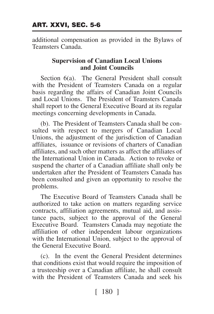additional compensation as provided in the Bylaws of Teamsters Canada.

### **Supervision of Canadian Local Unions and Joint Councils**

Section 6(a). The General President shall consult with the President of Teamsters Canada on a regular basis regarding the affairs of Canadian Joint Councils and Local Unions. The President of Teamsters Canada shall report to the General Executive Board at its regular meetings concerning developments in Canada.

(b). The President of Teamsters Canada shall be consulted with respect to mergers of Canadian Local Unions, the adjustment of the jurisdiction of Canadian affiliates, issuance or revisions of charters of Canadian affiliates, and such other matters as affect the affiliates of the International Union in Canada. Action to revoke or suspend the charter of a Canadian affiliate shall only be undertaken after the President of Teamsters Canada has been consulted and given an opportunity to resolve the problems.

The Executive Board of Teamsters Canada shall be authorized to take action on matters regarding service contracts, affiliation agreements, mutual aid, and assistance pacts, subject to the approval of the General Executive Board. Teamsters Canada may negotiate the affiliation of other independent labour organizations with the International Union, subject to the approval of the General Executive Board.

(c). In the event the General President determines that conditions exist that would require the imposition of a trusteeship over a Canadian affiliate, he shall consult with the President of Teamsters Canada and seek his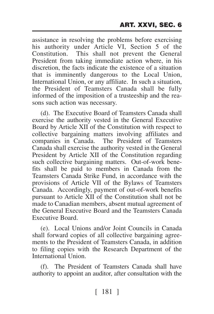assistance in resolving the problems before exercising his authority under Article VI, Section 5 of the Constitution. This shall not prevent the General President from taking immediate action where, in his discretion, the facts indicate the existence of a situation that is imminently dangerous to the Local Union, International Union, or any affiliate. In such a situation, the President of Teamsters Canada shall be fully informed of the imposition of a trusteeship and the reasons such action was necessary.

(d). The Executive Board of Teamsters Canada shall exercise the authority vested in the General Executive Board by Article XII of the Constitution with respect to collective bargaining matters involving affiliates and companies in Canada. The President of Teamsters Canada shall exercise the authority vested in the General President by Article XII of the Constitution regarding such collective bargaining matters. Out-of-work benefits shall be paid to members in Canada from the Teamsters Canada Strike Fund, in accordance with the provisions of Article VII of the Bylaws of Teamsters Canada. Accordingly, payment of out-of-work benefits pursuant to Article XII of the Constitution shall not be made to Canadian members, absent mutual agreement of the General Executive Board and the Teamsters Canada Executive Board.

(e). Local Unions and/or Joint Councils in Canada shall forward copies of all collective bargaining agreements to the President of Teamsters Canada, in addition to filing copies with the Research Department of the International Union.

(f). The President of Teamsters Canada shall have authority to appoint an auditor, after consultation with the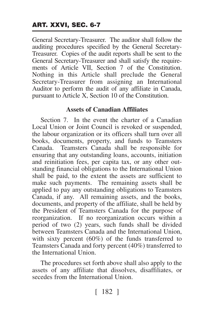General Secretary-Treasurer. The auditor shall follow the auditing procedures specified by the General Secretary-Treasurer. Copies of the audit reports shall be sent to the General Secretary-Treasurer and shall satisfy the requirements of Article VII, Section 7 of the Constitution. Nothing in this Article shall preclude the General Secretary-Treasurer from assigning an International Auditor to perform the audit of any affiliate in Canada, pursuant to Article X, Section 10 of the Constitution.

### **Assets of Canadian Affiliates**

Section 7. In the event the charter of a Canadian Local Union or Joint Council is revoked or suspended, the labour organization or its officers shall turn over all books, documents, property, and funds to Teamsters Canada. Teamsters Canada shall be responsible for ensuring that any outstanding loans, accounts, initiation and reinitiation fees, per capita tax, or any other outstanding financial obligations to the International Union shall be paid, to the extent the assets are sufficient to make such payments. The remaining assets shall be applied to pay any outstanding obligations to Teamsters Canada, if any. All remaining assets, and the books, documents, and property of the affiliate, shall be held by the President of Teamsters Canada for the purpose of reorganization. If no reorganization occurs within a period of two (2) years, such funds shall be divided between Teamsters Canada and the International Union, with sixty percent (60%) of the funds transferred to Teamsters Canada and forty percent (40%) transferred to the International Union.

The procedures set forth above shall also apply to the assets of any affiliate that dissolves, disaffiliates, or secedes from the International Union.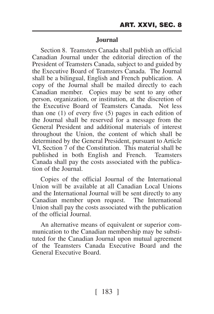#### **Journal**

Section 8. Teamsters Canada shall publish an official Canadian Journal under the editorial direction of the President of Teamsters Canada, subject to and guided by the Executive Board of Teamsters Canada. The Journal shall be a bilingual, English and French publication. A copy of the Journal shall be mailed directly to each Canadian member. Copies may be sent to any other person, organization, or institution, at the discretion of the Executive Board of Teamsters Canada. Not less than one (1) of every five (5) pages in each edition of the Journal shall be reserved for a message from the General President and additional materials of interest throughout the Union, the content of which shall be determined by the General President, pursuant to Article VI, Section 7 of the Constitution. This material shall be published in both English and French. Teamsters Canada shall pay the costs associated with the publication of the Journal.

Copies of the official Journal of the International Union will be available at all Canadian Local Unions and the International Journal will be sent directly to any Canadian member upon request. The International Union shall pay the costs associated with the publication of the official Journal.

An alternative means of equivalent or superior communication to the Canadian membership may be substituted for the Canadian Journal upon mutual agreement of the Teamsters Canada Executive Board and the General Executive Board.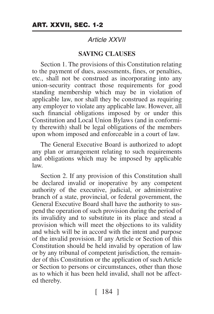#### *Article XXVII*

### **SAVING CLAUSES**

Section 1. The provisions of this Constitution relating to the payment of dues, assessments, fines, or penalties, etc., shall not be construed as incorporating into any union-security contract those requirements for good standing membership which may be in violation of applicable law, nor shall they be construed as requiring any employer to violate any applicable law. However, all such financial obligations imposed by or under this Constitution and Local Union Bylaws (and in conformity therewith) shall be legal obligations of the members upon whom imposed and enforceable in a court of law.

The General Executive Board is authorized to adopt any plan or arrangement relating to such requirements and obligations which may be imposed by applicable law.

Section 2. If any provision of this Constitution shall be declared invalid or inoperative by any competent authority of the executive, judicial, or administrative branch of a state, provincial, or federal government, the General Executive Board shall have the authority to suspend the operation of such provision during the period of its invalidity and to substitute in its place and stead a provision which will meet the objections to its validity and which will be in accord with the intent and purpose of the invalid provision. If any Article or Section of this Constitution should be held invalid by operation of law or by any tribunal of competent jurisdiction, the remainder of this Constitution or the application of such Article or Section to persons or circumstances, other than those as to which it has been held invalid, shall not be affected thereby.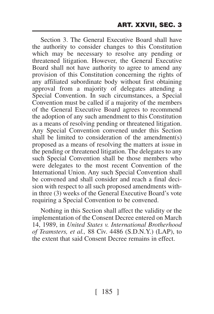Section 3. The General Executive Board shall have the authority to consider changes to this Constitution which may be necessary to resolve any pending or threatened litigation. However, the General Executive Board shall not have authority to agree to amend any provision of this Constitution concerning the rights of any affiliated subordinate body without first obtaining approval from a majority of delegates attending a Special Convention. In such circumstances, a Special Convention must be called if a majority of the members of the General Executive Board agrees to recommend the adoption of any such amendment to this Constitution as a means of resolving pending or threatened litigation. Any Special Convention convened under this Section shall be limited to consideration of the amendment(s) proposed as a means of resolving the matters at issue in the pending or threatened litigation. The delegates to any such Special Convention shall be those members who were delegates to the most recent Convention of the International Union. Any such Special Convention shall be convened and shall consider and reach a final decision with respect to all such proposed amendments within three (3) weeks of the General Executive Board's vote requiring a Special Convention to be convened.

Nothing in this Section shall affect the validity or the implementation of the Consent Decree entered on March 14, 1989, in *United States v. International Brotherhood of Teamsters, et al.,* 88 Civ. 4486 (S.D.N.Y.) (LAP), to the extent that said Consent Decree remains in effect.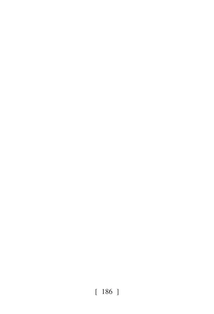[ 186 ]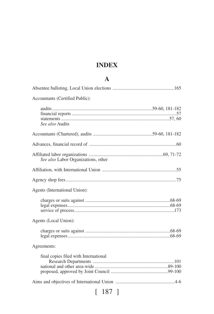## **INDEX**

## **A**

| Accountants (Certified Public):       |
|---------------------------------------|
| See also Audits                       |
|                                       |
|                                       |
| See also Labor Organizations, other   |
|                                       |
|                                       |
| Agents (International Union):         |
|                                       |
| Agents (Local Union):                 |
|                                       |
| Agreements:                           |
| final copies filed with International |
|                                       |
| $[187]$                               |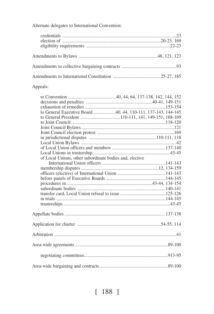Alternate delegates to International Convention:

#### Appeals:

| to General Executive Board 40, 44, 110-111, 137-143, 144-145 |  |  |  |
|--------------------------------------------------------------|--|--|--|
|                                                              |  |  |  |
|                                                              |  |  |  |
|                                                              |  |  |  |
|                                                              |  |  |  |
|                                                              |  |  |  |
|                                                              |  |  |  |
|                                                              |  |  |  |
|                                                              |  |  |  |
| of Local Unions, other subordinate bodies and, elective      |  |  |  |
|                                                              |  |  |  |
|                                                              |  |  |  |
|                                                              |  |  |  |
|                                                              |  |  |  |
|                                                              |  |  |  |
|                                                              |  |  |  |
|                                                              |  |  |  |
|                                                              |  |  |  |
|                                                              |  |  |  |
|                                                              |  |  |  |
|                                                              |  |  |  |
|                                                              |  |  |  |
|                                                              |  |  |  |
|                                                              |  |  |  |
| Arbitration …………………………………………………………………………………………41             |  |  |  |
|                                                              |  |  |  |
|                                                              |  |  |  |
|                                                              |  |  |  |
|                                                              |  |  |  |
|                                                              |  |  |  |
|                                                              |  |  |  |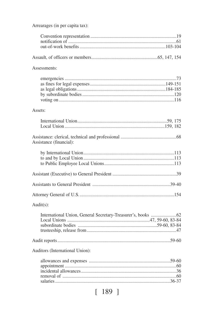Arrearages (in per capita tax):

| Assessments:                    |
|---------------------------------|
|                                 |
|                                 |
|                                 |
|                                 |
|                                 |
| Assets:                         |
|                                 |
|                                 |
|                                 |
|                                 |
| Assistance (financial):         |
|                                 |
|                                 |
|                                 |
|                                 |
|                                 |
|                                 |
| $Audio(s)$ :                    |
|                                 |
|                                 |
|                                 |
|                                 |
|                                 |
|                                 |
| Auditors (International Union): |
|                                 |
|                                 |
|                                 |
|                                 |
| $\frac{1}{26-37}$               |

# $[ 189 ]$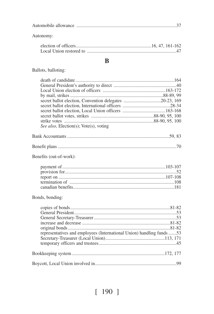| Autonomy:                                                             |
|-----------------------------------------------------------------------|
|                                                                       |
| B                                                                     |
| Ballots, balloting:                                                   |
| See also, Election(s); Vote(s), voting                                |
|                                                                       |
|                                                                       |
| Benefits (out-of-work):                                               |
|                                                                       |
| Bonds, bonding:                                                       |
| representatives and employees (International Union) handling funds 53 |
|                                                                       |
|                                                                       |

# $[190]$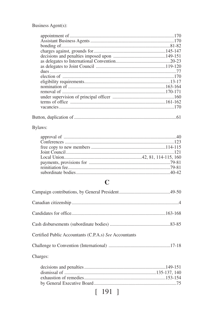### Bylaws:

## $\overline{C}$

| Certified Public Accountants (C.P.A.s) See Accountants |  |
|--------------------------------------------------------|--|
|                                                        |  |

#### Charges:

## $[191]$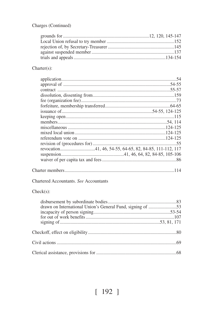Charges (Continued)

#### Charter(s):

Chartered Accountants, See Accountants

#### $Check(s):$

| drawn on International Union's General Fund, signing of 53 |  |
|------------------------------------------------------------|--|
|                                                            |  |
|                                                            |  |
|                                                            |  |
|                                                            |  |
|                                                            |  |
|                                                            |  |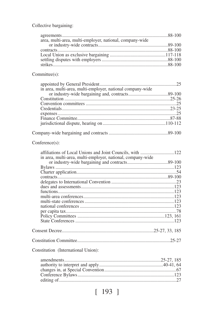Collective bargaining:

| area, multi-area, multi-employer, national, company-wide    |  |
|-------------------------------------------------------------|--|
|                                                             |  |
|                                                             |  |
|                                                             |  |
|                                                             |  |
|                                                             |  |
|                                                             |  |
| Committee(s):                                               |  |
|                                                             |  |
|                                                             |  |
| in area, multi-area, multi-employer, national company-wide  |  |
|                                                             |  |
|                                                             |  |
|                                                             |  |
|                                                             |  |
|                                                             |  |
|                                                             |  |
|                                                             |  |
|                                                             |  |
| Conference(s):                                              |  |
|                                                             |  |
| affiliations of Local Unions and Joint Councils, with 122   |  |
| in area, multi-area, multi-employer, national, company-wide |  |
|                                                             |  |
|                                                             |  |
|                                                             |  |
|                                                             |  |
|                                                             |  |
|                                                             |  |
|                                                             |  |
|                                                             |  |
|                                                             |  |
|                                                             |  |
|                                                             |  |
|                                                             |  |
|                                                             |  |
|                                                             |  |
|                                                             |  |
|                                                             |  |
|                                                             |  |
|                                                             |  |
|                                                             |  |
| Constitution (International Union):                         |  |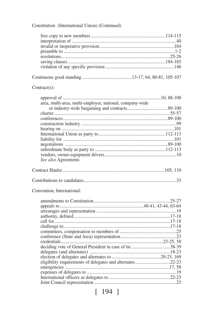Constitution (International Union) (Continued)

#### $Contract(s)$ :

| area, multi-area, multi-employer, national, company-wide  |  |
|-----------------------------------------------------------|--|
|                                                           |  |
|                                                           |  |
|                                                           |  |
|                                                           |  |
|                                                           |  |
|                                                           |  |
|                                                           |  |
|                                                           |  |
|                                                           |  |
|                                                           |  |
| See also Agreements                                       |  |
|                                                           |  |
|                                                           |  |
|                                                           |  |
|                                                           |  |
|                                                           |  |
| Convention, International:                                |  |
|                                                           |  |
|                                                           |  |
|                                                           |  |
|                                                           |  |
|                                                           |  |
|                                                           |  |
|                                                           |  |
|                                                           |  |
|                                                           |  |
|                                                           |  |
|                                                           |  |
|                                                           |  |
|                                                           |  |
| eligibility requirements of delegates and alternates22-23 |  |
|                                                           |  |
|                                                           |  |
|                                                           |  |
|                                                           |  |
|                                                           |  |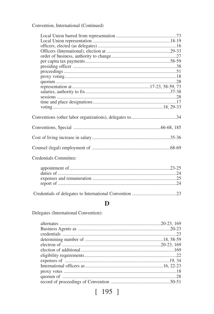Convention, International (Continued)

| Credentials Committee: |  |
|------------------------|--|

## $\mathbf{D}$

Delegates (International Convention):

 $[195]$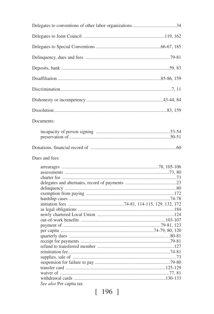| Documents:              |  |
|-------------------------|--|
|                         |  |
|                         |  |
|                         |  |
| Dues and fees:          |  |
|                         |  |
|                         |  |
|                         |  |
|                         |  |
|                         |  |
|                         |  |
|                         |  |
|                         |  |
|                         |  |
|                         |  |
|                         |  |
|                         |  |
|                         |  |
|                         |  |
|                         |  |
|                         |  |
|                         |  |
|                         |  |
|                         |  |
|                         |  |
|                         |  |
|                         |  |
| See also Per capita tax |  |

# $[196]$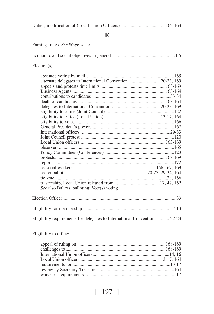## $\mathbf{E}$

Earnings rates. See Wage scales

Election(s):

| alternate delegates to International Convention20-23, 169                |  |
|--------------------------------------------------------------------------|--|
|                                                                          |  |
|                                                                          |  |
|                                                                          |  |
|                                                                          |  |
|                                                                          |  |
|                                                                          |  |
|                                                                          |  |
|                                                                          |  |
|                                                                          |  |
|                                                                          |  |
|                                                                          |  |
|                                                                          |  |
|                                                                          |  |
|                                                                          |  |
|                                                                          |  |
|                                                                          |  |
|                                                                          |  |
|                                                                          |  |
|                                                                          |  |
|                                                                          |  |
| See also Ballots, balloting: Vote(s) voting                              |  |
|                                                                          |  |
|                                                                          |  |
|                                                                          |  |
| Eligibility requirements for delegates to International Convention 22-23 |  |

Eligibility to office: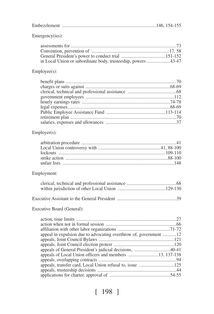|--|--|--|--|--|

#### Emergency(ies):

#### Employee(s):

#### Employer(s):

#### Employment:

#### Executive Board (General):

## [ 198 ]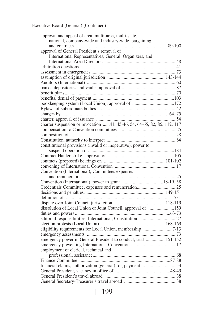| approval and appeal of area, multi-area, multi-state,                   |  |
|-------------------------------------------------------------------------|--|
| national, company-wide and industry-wide, bargaining                    |  |
|                                                                         |  |
| approval of General President's removal of                              |  |
| International Representatives, General, Organizers, and                 |  |
|                                                                         |  |
|                                                                         |  |
|                                                                         |  |
|                                                                         |  |
|                                                                         |  |
|                                                                         |  |
|                                                                         |  |
|                                                                         |  |
|                                                                         |  |
|                                                                         |  |
|                                                                         |  |
|                                                                         |  |
| charter suspension or revocation 41, 45-46, 54, 64-65, 82, 85, 112, 117 |  |
|                                                                         |  |
|                                                                         |  |
|                                                                         |  |
| constitutional provisions (invalid or inoperative), power to            |  |
|                                                                         |  |
|                                                                         |  |
|                                                                         |  |
|                                                                         |  |
| Convention (International), Committees expenses                         |  |
|                                                                         |  |
|                                                                         |  |
|                                                                         |  |
|                                                                         |  |
|                                                                         |  |
|                                                                         |  |
| dissolution of Local Union or Joint Council, approval of 159            |  |
|                                                                         |  |
|                                                                         |  |
|                                                                         |  |
| eligibility requirements for Local Union, membership 7-13               |  |
|                                                                         |  |
| emergency power in General President to conduct, trial 151-152          |  |
|                                                                         |  |
| employment of clerical, technical and                                   |  |
|                                                                         |  |
|                                                                         |  |
|                                                                         |  |
|                                                                         |  |
|                                                                         |  |
|                                                                         |  |

## [ 199 ]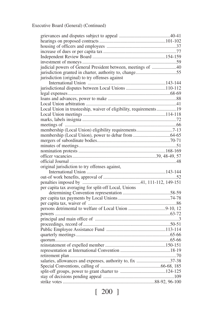| judicial powers of General President between, meetings of 40      |  |
|-------------------------------------------------------------------|--|
|                                                                   |  |
| jurisdiction (original) to try offenses against                   |  |
|                                                                   |  |
|                                                                   |  |
|                                                                   |  |
|                                                                   |  |
|                                                                   |  |
| Local Union in trusteeship, waiver of eligibility, requirements19 |  |
|                                                                   |  |
|                                                                   |  |
|                                                                   |  |
| membership (Local Union) eligibility requirements7-13             |  |
|                                                                   |  |
|                                                                   |  |
|                                                                   |  |
|                                                                   |  |
|                                                                   |  |
|                                                                   |  |
| original jurisdiction to try offenses against,                    |  |
|                                                                   |  |
|                                                                   |  |
|                                                                   |  |
| per capita tax averaging for split-off Local, Unions              |  |
|                                                                   |  |
|                                                                   |  |
|                                                                   |  |
|                                                                   |  |
|                                                                   |  |
|                                                                   |  |
|                                                                   |  |
|                                                                   |  |
|                                                                   |  |
|                                                                   |  |
|                                                                   |  |
|                                                                   |  |
|                                                                   |  |
| salaries, allowances and expenses, authority to, fix 37-38        |  |
|                                                                   |  |
|                                                                   |  |
|                                                                   |  |
|                                                                   |  |
|                                                                   |  |

[ 200 ]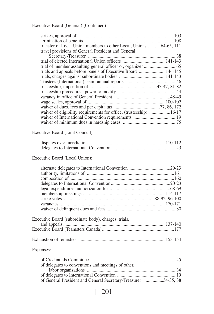| transfer of Local Union members to other Local, Unions  64-65, 111 |  |
|--------------------------------------------------------------------|--|
| travel provisions of General President and General                 |  |
|                                                                    |  |
|                                                                    |  |
| trials and appeals before panels of Executive Board 144-145        |  |
|                                                                    |  |
|                                                                    |  |
|                                                                    |  |
|                                                                    |  |
|                                                                    |  |
|                                                                    |  |
|                                                                    |  |
| waiver of eligibility requirements for office, (trusteeship) 16-17 |  |
|                                                                    |  |
|                                                                    |  |
| Executive Board (Joint Council):                                   |  |
|                                                                    |  |
|                                                                    |  |
|                                                                    |  |
| Executive Board (Local Union):                                     |  |
|                                                                    |  |
|                                                                    |  |
|                                                                    |  |
|                                                                    |  |
|                                                                    |  |
|                                                                    |  |
|                                                                    |  |
|                                                                    |  |
|                                                                    |  |
| Executive Board (subordinate body), charges, trials,               |  |
|                                                                    |  |
|                                                                    |  |
|                                                                    |  |
|                                                                    |  |
| Expenses:                                                          |  |
|                                                                    |  |
| of delegates to conventions and meetings of other,                 |  |
|                                                                    |  |
|                                                                    |  |
|                                                                    |  |

## [ 201 ]

of General President and General Secretary-Treasurer .................34-35, 38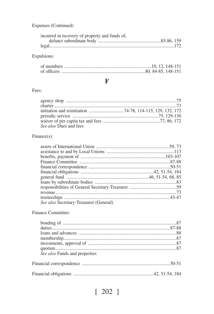Expenses (Continued)

| incurred in recovery of property and funds of, |  |
|------------------------------------------------|--|
|                                                |  |
|                                                |  |

#### Expulsions:

#### $\mathbf F$

#### Fees:

| See also Dues and fees |  |
|------------------------|--|

#### Finance(s):

| See also Secretary-Treasurer (General) |  |
|----------------------------------------|--|

#### Finance Committee:

| See also Funds and properties |  |
|-------------------------------|--|
|                               |  |

# $[202]$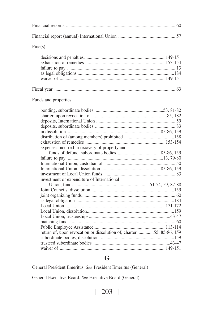Fine(s):

Funds and properties:

| expenses incurred in recovery of property and                        |  |
|----------------------------------------------------------------------|--|
|                                                                      |  |
|                                                                      |  |
|                                                                      |  |
|                                                                      |  |
|                                                                      |  |
| investment or expenditure of International                           |  |
|                                                                      |  |
|                                                                      |  |
|                                                                      |  |
|                                                                      |  |
|                                                                      |  |
|                                                                      |  |
|                                                                      |  |
|                                                                      |  |
|                                                                      |  |
| return of, upon revocation or dissolution of, charter 55, 85-86, 159 |  |
|                                                                      |  |
|                                                                      |  |
|                                                                      |  |

## **G**

General President Emeritus. *See* President Emeritus (General)

General Executive Board. *See* Executive Board (General)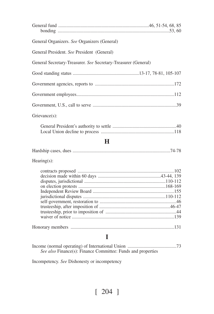| General Organizers. See Organizers (General)                   |  |
|----------------------------------------------------------------|--|
| General President. See President (General)                     |  |
| General Secretary-Treasurer. See Secretary-Treasurer (General) |  |
|                                                                |  |
|                                                                |  |
|                                                                |  |
|                                                                |  |
| Grievance(s):                                                  |  |
|                                                                |  |
| H                                                              |  |
|                                                                |  |
| $Hearing(s)$ :                                                 |  |
|                                                                |  |
| I                                                              |  |
|                                                                |  |

Income (normal operating) of International Union ..........................................73 *See also* Finance(s): Finance Committee: Funds and properties

Incompetency. *See* Dishonesty or incompetency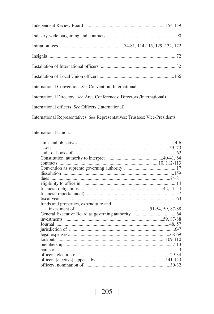| International Convention. See Convention, International                       |  |
|-------------------------------------------------------------------------------|--|
| International Directors. See Area Conferences: Directors /International)      |  |
| International officers. See Officers (International)                          |  |
| International Representatives. See Representatives: Trustees: Vice-Presidents |  |

International Union:

| funds and properties, expenditure and |  |
|---------------------------------------|--|
|                                       |  |
|                                       |  |
|                                       |  |
|                                       |  |
|                                       |  |
|                                       |  |
|                                       |  |
|                                       |  |
|                                       |  |
|                                       |  |
|                                       |  |
|                                       |  |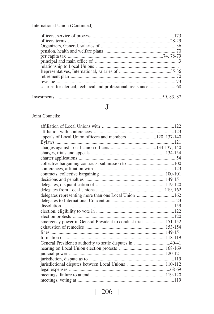International Union (Continued)

## **J**

#### Joint Councils:

| appeals of Local Union officers and members 120, 137-140      |  |
|---------------------------------------------------------------|--|
|                                                               |  |
|                                                               |  |
|                                                               |  |
|                                                               |  |
|                                                               |  |
|                                                               |  |
|                                                               |  |
|                                                               |  |
|                                                               |  |
|                                                               |  |
| delegates representing more than one Local Union 162          |  |
|                                                               |  |
|                                                               |  |
|                                                               |  |
|                                                               |  |
| emergency power in General President to conduct trial 151-152 |  |
|                                                               |  |
|                                                               |  |
|                                                               |  |
| General President s authority to settle disputes in 40-41     |  |
|                                                               |  |
|                                                               |  |
|                                                               |  |
|                                                               |  |
|                                                               |  |
|                                                               |  |
|                                                               |  |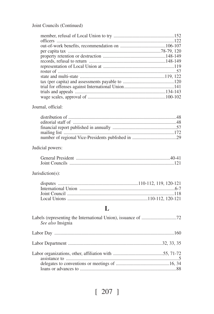Joint Councils (Continued)

#### Journal, official:

#### Judicial powers:

#### Jurisdiction(s):

## L

| See also Insignia |  |
|-------------------|--|
|                   |  |
|                   |  |
|                   |  |
|                   |  |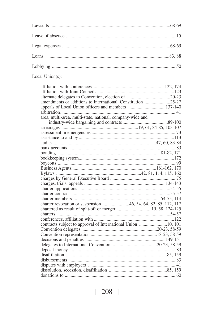#### Local Union(s):

| amendments or additions to International, Constitution 25-27 |  |
|--------------------------------------------------------------|--|
| appeals of Local Union officers and members 137-140          |  |
|                                                              |  |
| area, multi-area, multi-state, national, company-wide and    |  |
|                                                              |  |
|                                                              |  |
|                                                              |  |
|                                                              |  |
|                                                              |  |
|                                                              |  |
|                                                              |  |
|                                                              |  |
|                                                              |  |
|                                                              |  |
|                                                              |  |
|                                                              |  |
|                                                              |  |
|                                                              |  |
|                                                              |  |
|                                                              |  |
| charter revocation or suspension46, 54, 64, 82, 85, 112, 117 |  |
| chartered as result of split-off or merger 19, 58, 124-125   |  |
|                                                              |  |
|                                                              |  |
|                                                              |  |
|                                                              |  |
|                                                              |  |
|                                                              |  |
|                                                              |  |
|                                                              |  |
|                                                              |  |
|                                                              |  |
|                                                              |  |
|                                                              |  |
|                                                              |  |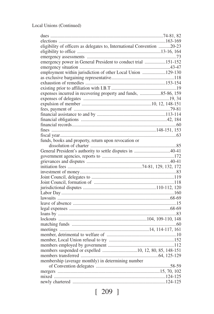| eligibility of officers as delegates to, International Convention 20-23 |  |
|-------------------------------------------------------------------------|--|
|                                                                         |  |
|                                                                         |  |
| emergency power in General President to conduct trial 151-152           |  |
|                                                                         |  |
| employment within jurisdiction of other Local Union 129-130             |  |
|                                                                         |  |
|                                                                         |  |
|                                                                         |  |
| expenses incurred in recovering property and funds, 85-86, 159          |  |
|                                                                         |  |
|                                                                         |  |
|                                                                         |  |
|                                                                         |  |
|                                                                         |  |
|                                                                         |  |
|                                                                         |  |
|                                                                         |  |
|                                                                         |  |
| funds, books and property, return upon revocation or                    |  |
|                                                                         |  |
| General President's authority to settle disputes in 40-41               |  |
|                                                                         |  |
|                                                                         |  |
|                                                                         |  |
|                                                                         |  |
|                                                                         |  |
|                                                                         |  |
|                                                                         |  |
|                                                                         |  |
|                                                                         |  |
|                                                                         |  |
|                                                                         |  |
|                                                                         |  |
|                                                                         |  |
|                                                                         |  |
|                                                                         |  |
|                                                                         |  |
|                                                                         |  |
|                                                                         |  |
| members suspended or expelled 10, 12, 80, 85, 148-151                   |  |
|                                                                         |  |
| membership (average monthly) in determining number                      |  |
|                                                                         |  |
|                                                                         |  |
|                                                                         |  |
|                                                                         |  |
|                                                                         |  |

## $[209]$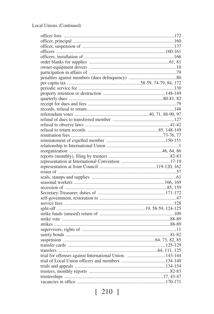$[210]$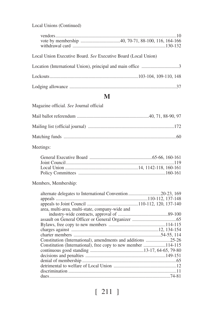Local Unions (Continued)

| Local Union Executive Board. See Executive Board (Local Union) |  |
|----------------------------------------------------------------|--|
| Location (International Union), principal and main office 3    |  |
|                                                                |  |
|                                                                |  |

### **M**

Magazine official. *See* Journal official

### Meetings:

### Members, Membership:

| area, multi-area, multi-state, company-wide and              |  |
|--------------------------------------------------------------|--|
|                                                              |  |
|                                                              |  |
|                                                              |  |
|                                                              |  |
|                                                              |  |
| Constitution (International), amendments and additions 25-26 |  |
|                                                              |  |
|                                                              |  |
|                                                              |  |
|                                                              |  |
|                                                              |  |
|                                                              |  |
|                                                              |  |

# [ 211 ]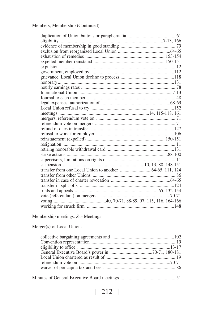Membership meetings. See Meetings

Merger(s) of Local Unions: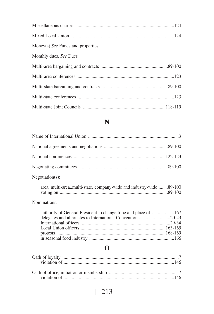| Money(s) See Funds and properties |  |
|-----------------------------------|--|
| Monthly dues. See Dues            |  |
|                                   |  |
|                                   |  |
|                                   |  |
|                                   |  |
|                                   |  |

### $\overline{\mathbf{N}}$

| $Negotiation(s)$ : |  |
|--------------------|--|

| area, multi-area, multi-state, company-wide and industry-wide 89-100 |  |
|----------------------------------------------------------------------|--|
|                                                                      |  |

### Nominations:

| authority of General President to change time and place of 167 |  |
|----------------------------------------------------------------|--|
|                                                                |  |
|                                                                |  |
|                                                                |  |
|                                                                |  |
|                                                                |  |

## $\mathbf 0$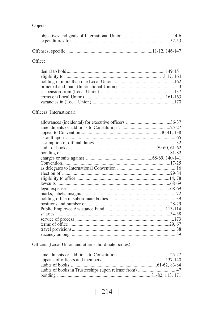Objects:

### Office:

#### Officers (International):

Officers (Local Union and other subordinate bodies):

 $[214]$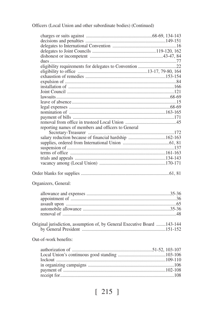Officers (Local Union and other subordinate bodies) (Continued)

| eligibility requirements for delegates to Convention 22                  |  |
|--------------------------------------------------------------------------|--|
|                                                                          |  |
|                                                                          |  |
|                                                                          |  |
|                                                                          |  |
|                                                                          |  |
|                                                                          |  |
|                                                                          |  |
|                                                                          |  |
|                                                                          |  |
|                                                                          |  |
|                                                                          |  |
| reporting names of members and officers to General                       |  |
|                                                                          |  |
| salary reduction because of financial hardship 162-163                   |  |
|                                                                          |  |
|                                                                          |  |
|                                                                          |  |
|                                                                          |  |
|                                                                          |  |
|                                                                          |  |
| Organizers, General:                                                     |  |
|                                                                          |  |
|                                                                          |  |
|                                                                          |  |
|                                                                          |  |
|                                                                          |  |
| Original jurisdiction, assumption of, by General Executive Board 143-144 |  |
|                                                                          |  |
| Out-of-work benefits:                                                    |  |
|                                                                          |  |
|                                                                          |  |
|                                                                          |  |
|                                                                          |  |
|                                                                          |  |
|                                                                          |  |
|                                                                          |  |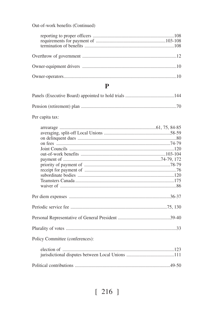Out-of-work benefits (Continued)

### $\mathbf{P}$

### Per capita tax:

| Policy Committee (conferences):                                                                                                                                                                                                |  |
|--------------------------------------------------------------------------------------------------------------------------------------------------------------------------------------------------------------------------------|--|
|                                                                                                                                                                                                                                |  |
| Political contributions and the set of the set of the set of the set of the set of the set of the set of the set of the set of the set of the set of the set of the set of the set of the set of the set of the set of the set |  |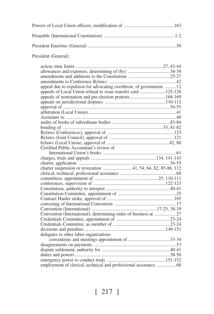President (General):

| appeal due to expulsion for advocating overthrow, of government 12 |  |
|--------------------------------------------------------------------|--|
| appeals of Local Union refusal to issue transfer card 125-126      |  |
|                                                                    |  |
|                                                                    |  |
|                                                                    |  |
|                                                                    |  |
|                                                                    |  |
|                                                                    |  |
|                                                                    |  |
|                                                                    |  |
|                                                                    |  |
|                                                                    |  |
| Certified Public Accountant's review of                            |  |
|                                                                    |  |
|                                                                    |  |
|                                                                    |  |
| charter suspension or revocation 41, 54, 64, 82, 85-86, 112        |  |
|                                                                    |  |
|                                                                    |  |
|                                                                    |  |
|                                                                    |  |
|                                                                    |  |
|                                                                    |  |
|                                                                    |  |
|                                                                    |  |
| Convention (International), determining order of business at 27    |  |
|                                                                    |  |
|                                                                    |  |
|                                                                    |  |
| delegates to other labor organizations                             |  |
|                                                                    |  |
|                                                                    |  |
|                                                                    |  |
|                                                                    |  |
|                                                                    |  |
|                                                                    |  |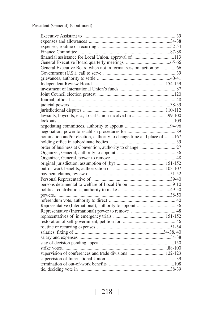President (General) (Continued)

| nomination and/or election, authority to change time and place of  167 |  |
|------------------------------------------------------------------------|--|
|                                                                        |  |
| order of business at Convention, authority to change 27                |  |
|                                                                        |  |
|                                                                        |  |
|                                                                        |  |
|                                                                        |  |
|                                                                        |  |
|                                                                        |  |
|                                                                        |  |
|                                                                        |  |
|                                                                        |  |
|                                                                        |  |
| Representative (International), authority to appoint 36                |  |
|                                                                        |  |
|                                                                        |  |
|                                                                        |  |
|                                                                        |  |
|                                                                        |  |
|                                                                        |  |
|                                                                        |  |
|                                                                        |  |
|                                                                        |  |
|                                                                        |  |
|                                                                        |  |
|                                                                        |  |
|                                                                        |  |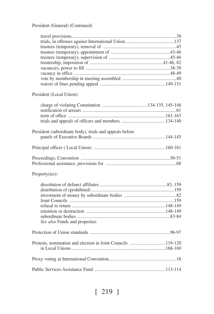President (General) (Continued)

| President (Local Union):                                    |  |
|-------------------------------------------------------------|--|
|                                                             |  |
|                                                             |  |
|                                                             |  |
|                                                             |  |
| President (subordinate body), trials and appeals before     |  |
|                                                             |  |
|                                                             |  |
|                                                             |  |
| Property(ies):                                              |  |
|                                                             |  |
|                                                             |  |
|                                                             |  |
|                                                             |  |
|                                                             |  |
|                                                             |  |
|                                                             |  |
| See also Funds and properties                               |  |
|                                                             |  |
| Protests, nomination and election in Joint Councils 119-120 |  |
|                                                             |  |
|                                                             |  |
|                                                             |  |

# [ 219 ]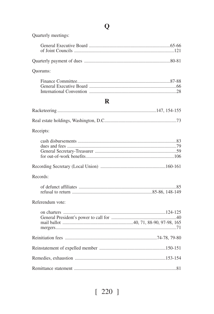### $\bf{Q}$

| Quarterly meetings: |  |
|---------------------|--|
|---------------------|--|

### Quorums:

### $\mathbf R$

### Receipts:

#### Records:

#### Referendum vote: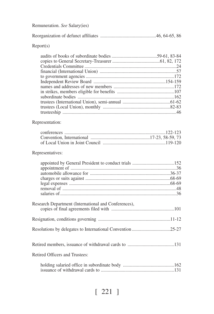Remuneration. *See* Salary(ies)

|--|--|--|--|--|

### Report(s)

### Representation:

### Representatives:

| Research Department (International and Conferences), |  |
|------------------------------------------------------|--|
|                                                      |  |
|                                                      |  |
|                                                      |  |
|                                                      |  |
| Retired Officers and Trustees:                       |  |
|                                                      |  |
|                                                      |  |
|                                                      |  |

# [ 221 ]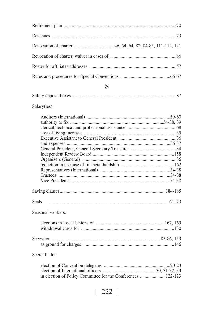## S

|--|--|--|

### Salary(ies):

| <b>Seals</b>                     |       |
|----------------------------------|-------|
| Seasonal workers:                |       |
|                                  |       |
|                                  |       |
|                                  |       |
|                                  |       |
| Secret ballot:                   |       |
| clastics of Convention delegates | 20.22 |

# $[ 222 ]$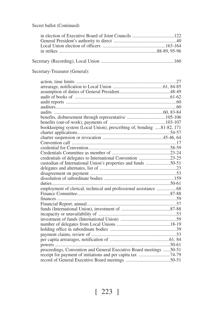Secret ballot (Continued)

## Secretary (Recording), Local Union ...............................................................160

### Secretary-Treasurer (General):

| bookkeeping system (Local Union), prescribing of, bonding 81-82, 171 |  |
|----------------------------------------------------------------------|--|
|                                                                      |  |
|                                                                      |  |
|                                                                      |  |
|                                                                      |  |
|                                                                      |  |
| credentials of delegates to International Convention 23-25           |  |
| custodian of International Union's properties and funds 50-51        |  |
|                                                                      |  |
|                                                                      |  |
|                                                                      |  |
|                                                                      |  |
|                                                                      |  |
|                                                                      |  |
|                                                                      |  |
|                                                                      |  |
|                                                                      |  |
|                                                                      |  |
|                                                                      |  |
|                                                                      |  |
|                                                                      |  |
|                                                                      |  |
|                                                                      |  |
|                                                                      |  |
| proceedings, Convention and General Executive Board meetings 50-51   |  |
| receipt for payment of initiations and per capita tax 74-79          |  |
|                                                                      |  |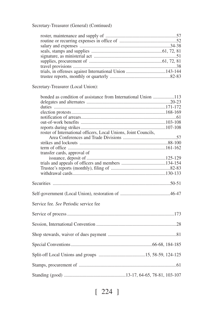Secretary-Treasurer (General) (Continued)

Secretary-Treasurer (Local Union):

| bonded as condition of assistance from International Union 113  |  |
|-----------------------------------------------------------------|--|
|                                                                 |  |
|                                                                 |  |
|                                                                 |  |
|                                                                 |  |
|                                                                 |  |
|                                                                 |  |
| roster of International officers, Local Unions, Joint Councils, |  |
|                                                                 |  |
|                                                                 |  |
|                                                                 |  |
| transfer cards, approval of                                     |  |
|                                                                 |  |
|                                                                 |  |
|                                                                 |  |
|                                                                 |  |
|                                                                 |  |
|                                                                 |  |
| Service fee. See Periodic service fee                           |  |
|                                                                 |  |
|                                                                 |  |
|                                                                 |  |
|                                                                 |  |
|                                                                 |  |
|                                                                 |  |
|                                                                 |  |

[ 224 ]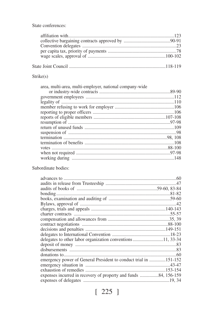State conferences:

### Strike(s)

| area, multi-area, multi-employer, national company-wide |  |
|---------------------------------------------------------|--|
|                                                         |  |
|                                                         |  |
|                                                         |  |
|                                                         |  |
|                                                         |  |
|                                                         |  |
|                                                         |  |
|                                                         |  |
|                                                         |  |
|                                                         |  |
|                                                         |  |
|                                                         |  |
|                                                         |  |
|                                                         |  |
|                                                         |  |

Subordinate bodies:

| delegates to other labor organization conventions11, 33-34       |  |
|------------------------------------------------------------------|--|
|                                                                  |  |
|                                                                  |  |
|                                                                  |  |
| emergency power of General President to conduct trial in 151-152 |  |
|                                                                  |  |
|                                                                  |  |
|                                                                  |  |
|                                                                  |  |
|                                                                  |  |

 $[225]$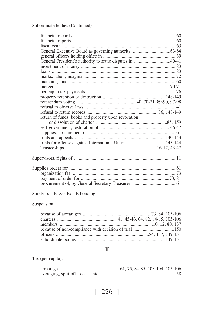Subordinate bodies (Continued)

| General President's authority to settle disputes in 40-41 |  |
|-----------------------------------------------------------|--|
|                                                           |  |
|                                                           |  |
|                                                           |  |
|                                                           |  |
|                                                           |  |
|                                                           |  |
|                                                           |  |
|                                                           |  |
|                                                           |  |
|                                                           |  |
| return of funds, books and property upon revocation       |  |
|                                                           |  |
|                                                           |  |
|                                                           |  |
|                                                           |  |
|                                                           |  |
|                                                           |  |
|                                                           |  |
|                                                           |  |
|                                                           |  |
|                                                           |  |
|                                                           |  |
|                                                           |  |
|                                                           |  |
|                                                           |  |
| Surety bonds. See Bonds bonding                           |  |
|                                                           |  |
| Suspension:                                               |  |

### $\mathbf T$

Tax (per capita):

# $[226]$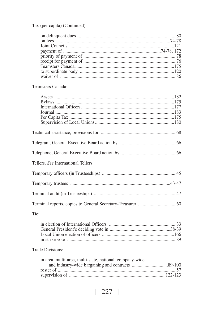Tax (per capita) (Continued)

### Teamsters Canada:

| Tellers. See International Tellers                       |  |
|----------------------------------------------------------|--|
|                                                          |  |
|                                                          |  |
|                                                          |  |
|                                                          |  |
| Tie:                                                     |  |
|                                                          |  |
|                                                          |  |
|                                                          |  |
|                                                          |  |
| <b>Trade Divisions:</b>                                  |  |
| in area, multi-area, multi-state, national, company-wide |  |
|                                                          |  |
|                                                          |  |

# $[227]$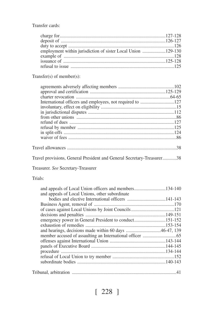Transfer cards:

| employment within jurisdiction of sister Local Union 129-130 |  |
|--------------------------------------------------------------|--|
|                                                              |  |
|                                                              |  |
|                                                              |  |

Transfer(s) of member(s):

Travel provisions, General President and General Secretary-Treasurer............38

Treasurer. *See* Secretary-Treasurer

Trials:

| and appeals of Local Unions, other subordinate         |  |
|--------------------------------------------------------|--|
|                                                        |  |
|                                                        |  |
|                                                        |  |
|                                                        |  |
| emergency power in General President to conduct151-152 |  |
|                                                        |  |
| and hearings, decisions made within 60 days 46-47, 139 |  |
|                                                        |  |
|                                                        |  |
|                                                        |  |
|                                                        |  |
|                                                        |  |
|                                                        |  |
|                                                        |  |
|                                                        |  |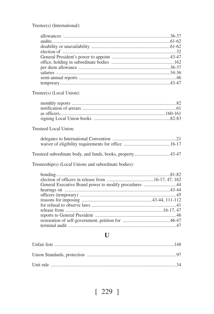Trustee(s) (International):

#### Trustee(s) (Local Union):

### Trusteed Local Union:

| Trusteed subordinate body, and funds, books, property43-47 |  |  |  |  |
|------------------------------------------------------------|--|--|--|--|
|------------------------------------------------------------|--|--|--|--|

Trusteeship(s) (Local Unions and subordinate bodies):

### $\mathbf U$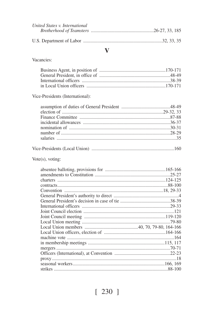| United States v. International |                                            |  |
|--------------------------------|--------------------------------------------|--|
|                                | U.S. Department of Labor (1997) 23, 33, 35 |  |

### $\overline{\mathbf{V}}$

#### Vacancies:

### Vice-Presidents (International):

### Vote(s), voting: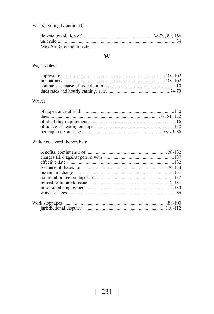Vote(s), voting (Continued)

| See also Referendum vote |  |
|--------------------------|--|

### W

### Wage scales:

#### Waiver

### Withdrawal card (honorable):